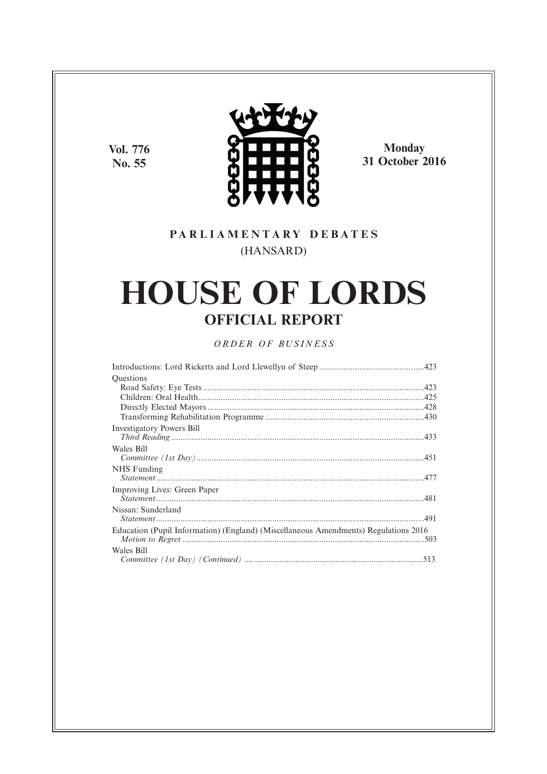**Vol. 776 No. 55**



**Monday 31 October 2016**

# **P A R L I A M E N T A R Y D E B A T E S** (HANSARD)

# **HOUSE OF LORDS OFFICIAL REPORT**

## *O R D E R O F BU S I N E S S*

| Questions                                                                           |  |
|-------------------------------------------------------------------------------------|--|
|                                                                                     |  |
|                                                                                     |  |
|                                                                                     |  |
|                                                                                     |  |
| Investigatory Powers Bill                                                           |  |
|                                                                                     |  |
| Wales Bill                                                                          |  |
|                                                                                     |  |
| NHS Funding                                                                         |  |
|                                                                                     |  |
| Improving Lives: Green Paper                                                        |  |
|                                                                                     |  |
| Nissan: Sunderland                                                                  |  |
|                                                                                     |  |
| Education (Pupil Information) (England) (Miscellaneous Amendments) Regulations 2016 |  |
|                                                                                     |  |
| Wales Bill                                                                          |  |
|                                                                                     |  |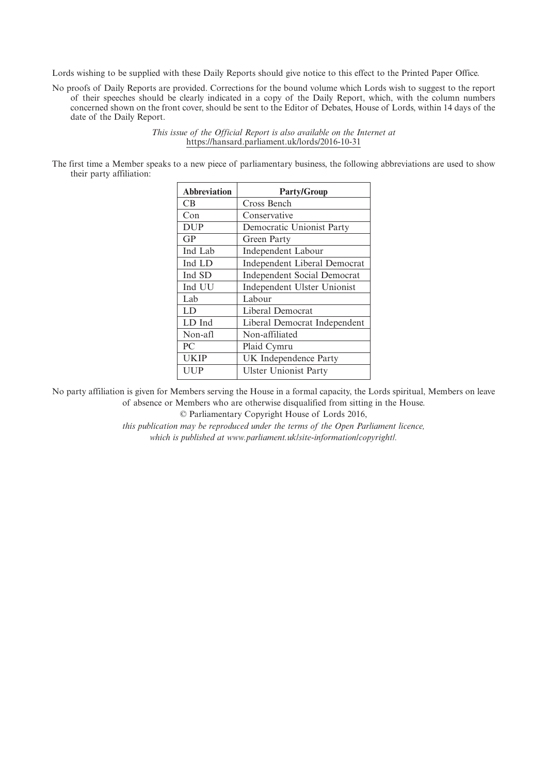Lords wishing to be supplied with these Daily Reports should give notice to this effect to the Printed Paper Office.

No proofs of Daily Reports are provided. Corrections for the bound volume which Lords wish to suggest to the report of their speeches should be clearly indicated in a copy of the Daily Report, which, with the column numbers concerned shown on the front cover, should be sent to the Editor of Debates, House of Lords, within 14 days of the date of the Daily Report.

> *This issue of the Official Report is also available on the Internet at* https://hansard.parliament.uk/lords/2016-10-31

The first time a Member speaks to a new piece of parliamentary business, the following abbreviations are used to show their party affiliation:

| <b>Abbreviation</b> | <b>Party/Group</b>                  |
|---------------------|-------------------------------------|
| CB.                 | Cross Bench                         |
| Con                 | Conservative                        |
| <b>DUP</b>          | Democratic Unionist Party           |
| GP                  | Green Party                         |
| Ind Lab             | <b>Independent Labour</b>           |
| Ind LD              | <b>Independent Liberal Democrat</b> |
| Ind SD              | <b>Independent Social Democrat</b>  |
| Ind UU              | Independent Ulster Unionist         |
| Lab                 | Labour                              |
| LD                  | Liberal Democrat                    |
| LD Ind              | Liberal Democrat Independent        |
| Non-afl             | Non-affiliated                      |
| PC                  | Plaid Cymru                         |
| <b>UKIP</b>         | UK Independence Party               |
| UUP                 | <b>Ulster Unionist Party</b>        |

No party affiliation is given for Members serving the House in a formal capacity, the Lords spiritual, Members on leave of absence or Members who are otherwise disqualified from sitting in the House.

© Parliamentary Copyright House of Lords 2016,

*this publication may be reproduced under the terms of the Open Parliament licence, which is published at www.parliament.uk/site-information/copyright/.*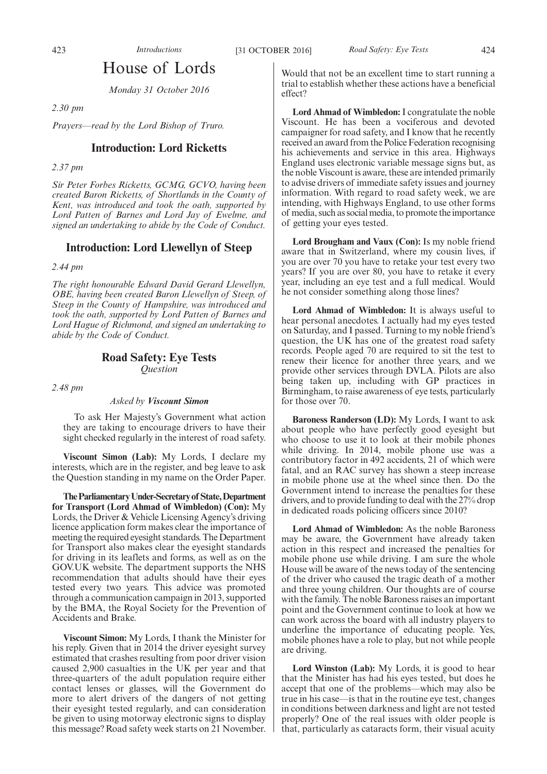## House of Lords

*Monday 31 October 2016*

*2.30 pm*

*Prayers—read by the Lord Bishop of Truro.*

## **Introduction: Lord Ricketts**

*2.37 pm*

*Sir Peter Forbes Ricketts, GCMG, GCVO, having been created Baron Ricketts, of Shortlands in the County of Kent, was introduced and took the oath, supported by Lord Patten of Barnes and Lord Jay of Ewelme, and signed an undertaking to abide by the Code of Conduct.*

## **Introduction: Lord Llewellyn of Steep**

*2.44 pm*

*The right honourable Edward David Gerard Llewellyn, OBE, having been created Baron Llewellyn of Steep, of Steep in the County of Hampshire, was introduced and took the oath, supported by Lord Patten of Barnes and Lord Hague of Richmond, and signed an undertaking to abide by the Code of Conduct.*

## **Road Safety: Eye Tests**

*Question*

*2.48 pm*

## *Asked by Viscount Simon*

To ask Her Majesty's Government what action they are taking to encourage drivers to have their sight checked regularly in the interest of road safety.

**Viscount Simon (Lab):** My Lords, I declare my interests, which are in the register, and beg leave to ask the Question standing in my name on the Order Paper.

**TheParliamentaryUnder-Secretaryof State,Department for Transport (Lord Ahmad of Wimbledon) (Con):** My Lords, the Driver & Vehicle Licensing Agency's driving licence application form makes clear the importance of meeting the required eyesight standards. The Department for Transport also makes clear the eyesight standards for driving in its leaflets and forms, as well as on the GOV.UK website. The department supports the NHS recommendation that adults should have their eyes tested every two years. This advice was promoted through a communication campaign in 2013, supported by the BMA, the Royal Society for the Prevention of Accidents and Brake.

**Viscount Simon:** My Lords, I thank the Minister for his reply. Given that in 2014 the driver eyesight survey estimated that crashes resulting from poor driver vision caused 2,900 casualties in the UK per year and that three-quarters of the adult population require either contact lenses or glasses, will the Government do more to alert drivers of the dangers of not getting their eyesight tested regularly, and can consideration be given to using motorway electronic signs to display this message? Road safety week starts on 21 November.

Would that not be an excellent time to start running a trial to establish whether these actions have a beneficial effect?

**Lord Ahmad of Wimbledon:** I congratulate the noble Viscount. He has been a vociferous and devoted campaigner for road safety, and I know that he recently received an award from the Police Federation recognising his achievements and service in this area. Highways England uses electronic variable message signs but, as the noble Viscount is aware, these are intended primarily to advise drivers of immediate safety issues and journey information. With regard to road safety week, we are intending, with Highways England, to use other forms of media, such as social media, to promote the importance of getting your eyes tested.

**Lord Brougham and Vaux (Con):** Is my noble friend aware that in Switzerland, where my cousin lives, if you are over 70 you have to retake your test every two years? If you are over 80, you have to retake it every year, including an eye test and a full medical. Would he not consider something along those lines?

**Lord Ahmad of Wimbledon:** It is always useful to hear personal anecdotes. I actually had my eyes tested on Saturday, and I passed. Turning to my noble friend's question, the UK has one of the greatest road safety records. People aged 70 are required to sit the test to renew their licence for another three years, and we provide other services through DVLA. Pilots are also being taken up, including with GP practices in Birmingham, to raise awareness of eye tests, particularly for those over 70.

**Baroness Randerson (LD):** My Lords, I want to ask about people who have perfectly good eyesight but who choose to use it to look at their mobile phones while driving. In 2014, mobile phone use was a contributory factor in 492 accidents, 21 of which were fatal, and an RAC survey has shown a steep increase in mobile phone use at the wheel since then. Do the Government intend to increase the penalties for these drivers, and to provide funding to deal with the 27% drop in dedicated roads policing officers since 2010?

**Lord Ahmad of Wimbledon:** As the noble Baroness may be aware, the Government have already taken action in this respect and increased the penalties for mobile phone use while driving. I am sure the whole House will be aware of the news today of the sentencing of the driver who caused the tragic death of a mother and three young children. Our thoughts are of course with the family. The noble Baroness raises an important point and the Government continue to look at how we can work across the board with all industry players to underline the importance of educating people. Yes, mobile phones have a role to play, but not while people are driving.

**Lord Winston (Lab):** My Lords, it is good to hear that the Minister has had his eyes tested, but does he accept that one of the problems—which may also be true in his case—is that in the routine eye test, changes in conditions between darkness and light are not tested properly? One of the real issues with older people is that, particularly as cataracts form, their visual acuity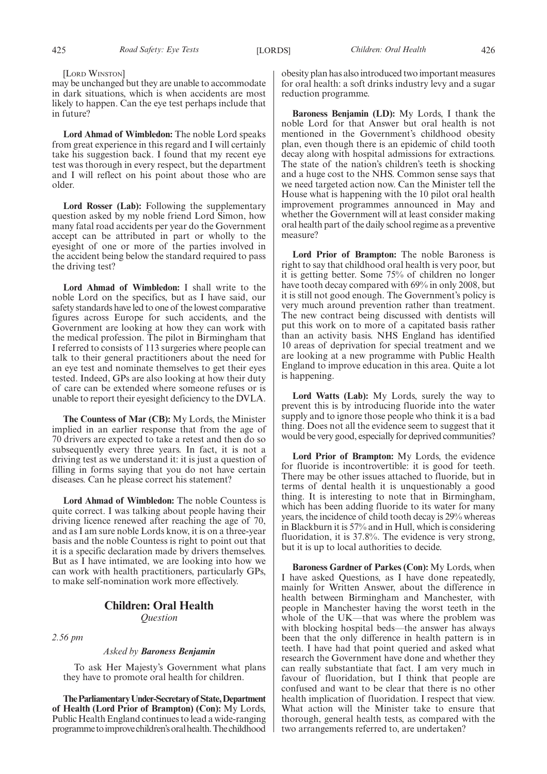#### [LORD WINSTON]

may be unchanged but they are unable to accommodate in dark situations, which is when accidents are most likely to happen. Can the eye test perhaps include that in future?

**Lord Ahmad of Wimbledon:** The noble Lord speaks from great experience in this regard and I will certainly take his suggestion back. I found that my recent eye test was thorough in every respect, but the department and I will reflect on his point about those who are older.

**Lord Rosser (Lab):** Following the supplementary question asked by my noble friend Lord Simon, how many fatal road accidents per year do the Government accept can be attributed in part or wholly to the eyesight of one or more of the parties involved in the accident being below the standard required to pass the driving test?

**Lord Ahmad of Wimbledon:** I shall write to the noble Lord on the specifics, but as I have said, our safety standards have led to one of the lowest comparative figures across Europe for such accidents, and the Government are looking at how they can work with the medical profession. The pilot in Birmingham that I referred to consists of 113 surgeries where people can talk to their general practitioners about the need for an eye test and nominate themselves to get their eyes tested. Indeed, GPs are also looking at how their duty of care can be extended where someone refuses or is unable to report their eyesight deficiency to the DVLA.

**The Countess of Mar (CB):** My Lords, the Minister implied in an earlier response that from the age of 70 drivers are expected to take a retest and then do so subsequently every three years. In fact, it is not a driving test as we understand it: it is just a question of filling in forms saying that you do not have certain diseases. Can he please correct his statement?

**Lord Ahmad of Wimbledon:** The noble Countess is quite correct. I was talking about people having their driving licence renewed after reaching the age of 70, and as I am sure noble Lords know, it is on a three-year basis and the noble Countess is right to point out that it is a specific declaration made by drivers themselves. But as I have intimated, we are looking into how we can work with health practitioners, particularly GPs, to make self-nomination work more effectively.

## **Children: Oral Health**

*Question*

*2.56 pm*

## *Asked by Baroness Benjamin*

To ask Her Majesty's Government what plans they have to promote oral health for children.

**TheParliamentaryUnder-Secretaryof State,Department of Health (Lord Prior of Brampton) (Con):** My Lords, Public Health England continues to lead a wide-ranging programmetoimprovechildren'soralhealth.Thechildhood obesity plan has also introduced two important measures for oral health: a soft drinks industry levy and a sugar reduction programme.

**Baroness Benjamin (LD):** My Lords, I thank the noble Lord for that Answer but oral health is not mentioned in the Government's childhood obesity plan, even though there is an epidemic of child tooth decay along with hospital admissions for extractions. The state of the nation's children's teeth is shocking and a huge cost to the NHS. Common sense says that we need targeted action now. Can the Minister tell the House what is happening with the 10 pilot oral health improvement programmes announced in May and whether the Government will at least consider making oral health part of the daily school regime as a preventive measure?

**Lord Prior of Brampton:** The noble Baroness is right to say that childhood oral health is very poor, but it is getting better. Some 75% of children no longer have tooth decay compared with 69% in only 2008, but it is still not good enough. The Government's policy is very much around prevention rather than treatment. The new contract being discussed with dentists will put this work on to more of a capitated basis rather than an activity basis. NHS England has identified 10 areas of deprivation for special treatment and we are looking at a new programme with Public Health England to improve education in this area. Quite a lot is happening.

**Lord Watts (Lab):** My Lords, surely the way to prevent this is by introducing fluoride into the water supply and to ignore those people who think it is a bad thing. Does not all the evidence seem to suggest that it would be very good, especially for deprived communities?

**Lord Prior of Brampton:** My Lords, the evidence for fluoride is incontrovertible: it is good for teeth. There may be other issues attached to fluoride, but in terms of dental health it is unquestionably a good thing. It is interesting to note that in Birmingham, which has been adding fluoride to its water for many years, the incidence of child tooth decay is 29% whereas in Blackburn it is 57% and in Hull, which is considering fluoridation, it is 37.8%. The evidence is very strong, but it is up to local authorities to decide.

**Baroness Gardner of Parkes (Con):** My Lords, when I have asked Questions, as I have done repeatedly, mainly for Written Answer, about the difference in health between Birmingham and Manchester, with people in Manchester having the worst teeth in the whole of the UK—that was where the problem was with blocking hospital beds—the answer has always been that the only difference in health pattern is in teeth. I have had that point queried and asked what research the Government have done and whether they can really substantiate that fact. I am very much in favour of fluoridation, but I think that people are confused and want to be clear that there is no other health implication of fluoridation. I respect that view. What action will the Minister take to ensure that thorough, general health tests, as compared with the two arrangements referred to, are undertaken?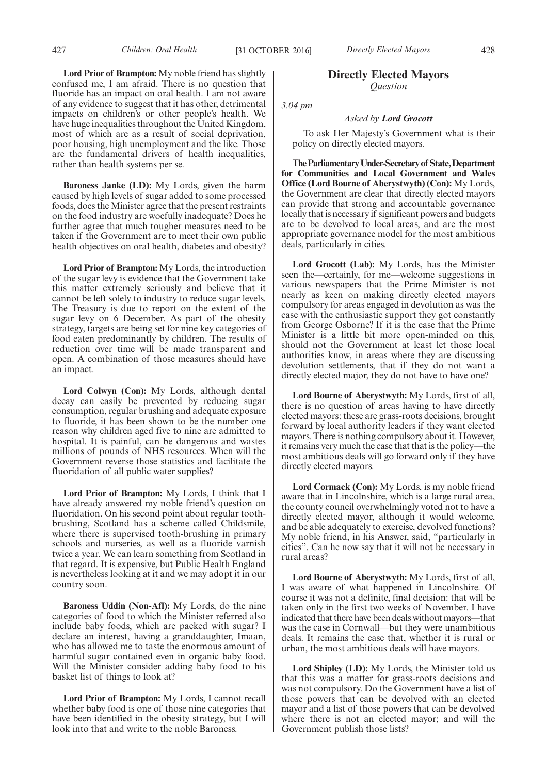**Lord Prior of Brampton:** My noble friend has slightly confused me, I am afraid. There is no question that fluoride has an impact on oral health. I am not aware of any evidence to suggest that it has other, detrimental impacts on children's or other people's health. We have huge inequalities throughout the United Kingdom, most of which are as a result of social deprivation, poor housing, high unemployment and the like. Those are the fundamental drivers of health inequalities, rather than health systems per se.

**Baroness Janke (LD):** My Lords, given the harm caused by high levels of sugar added to some processed foods, does the Minister agree that the present restraints on the food industry are woefully inadequate? Does he further agree that much tougher measures need to be taken if the Government are to meet their own public health objectives on oral health, diabetes and obesity?

**Lord Prior of Brampton:** My Lords, the introduction of the sugar levy is evidence that the Government take this matter extremely seriously and believe that it cannot be left solely to industry to reduce sugar levels. The Treasury is due to report on the extent of the sugar levy on 6 December. As part of the obesity strategy, targets are being set for nine key categories of food eaten predominantly by children. The results of reduction over time will be made transparent and open. A combination of those measures should have an impact.

**Lord Colwyn (Con):** My Lords, although dental decay can easily be prevented by reducing sugar consumption, regular brushing and adequate exposure to fluoride, it has been shown to be the number one reason why children aged five to nine are admitted to hospital. It is painful, can be dangerous and wastes millions of pounds of NHS resources. When will the Government reverse those statistics and facilitate the fluoridation of all public water supplies?

**Lord Prior of Brampton:** My Lords, I think that I have already answered my noble friend's question on fluoridation. On his second point about regular toothbrushing, Scotland has a scheme called Childsmile, where there is supervised tooth-brushing in primary schools and nurseries, as well as a fluoride varnish twice a year. We can learn something from Scotland in that regard. It is expensive, but Public Health England is nevertheless looking at it and we may adopt it in our country soon.

**Baroness Uddin (Non-Afl):** My Lords, do the nine categories of food to which the Minister referred also include baby foods, which are packed with sugar? I declare an interest, having a granddaughter, Imaan, who has allowed me to taste the enormous amount of harmful sugar contained even in organic baby food. Will the Minister consider adding baby food to his basket list of things to look at?

**Lord Prior of Brampton:** My Lords, I cannot recall whether baby food is one of those nine categories that have been identified in the obesity strategy, but I will look into that and write to the noble Baroness.

## **Directly Elected Mayors** *Question*

*3.04 pm*

## *Asked by Lord Grocott*

To ask Her Majesty's Government what is their policy on directly elected mayors.

**TheParliamentaryUnder-Secretaryof State,Department for Communities and Local Government and Wales Office (Lord Bourne of Aberystwyth) (Con):** My Lords, the Government are clear that directly elected mayors can provide that strong and accountable governance locally that is necessary if significant powers and budgets are to be devolved to local areas, and are the most appropriate governance model for the most ambitious deals, particularly in cities.

**Lord Grocott (Lab):** My Lords, has the Minister seen the—certainly, for me—welcome suggestions in various newspapers that the Prime Minister is not nearly as keen on making directly elected mayors compulsory for areas engaged in devolution as was the case with the enthusiastic support they got constantly from George Osborne? If it is the case that the Prime Minister is a little bit more open-minded on this, should not the Government at least let those local authorities know, in areas where they are discussing devolution settlements, that if they do not want a directly elected major, they do not have to have one?

**Lord Bourne of Aberystwyth:** My Lords, first of all, there is no question of areas having to have directly elected mayors: these are grass-roots decisions, brought forward by local authority leaders if they want elected mayors. There is nothing compulsory about it. However, it remains very much the case that that is the policy—the most ambitious deals will go forward only if they have directly elected mayors.

**Lord Cormack (Con):** My Lords, is my noble friend aware that in Lincolnshire, which is a large rural area, the county council overwhelmingly voted not to have a directly elected mayor, although it would welcome, and be able adequately to exercise, devolved functions? My noble friend, in his Answer, said, "particularly in cities". Can he now say that it will not be necessary in rural areas?

**Lord Bourne of Aberystwyth:** My Lords, first of all, I was aware of what happened in Lincolnshire. Of course it was not a definite, final decision: that will be taken only in the first two weeks of November. I have indicated that there have been deals without mayors—that was the case in Cornwall—but they were unambitious deals. It remains the case that, whether it is rural or urban, the most ambitious deals will have mayors.

**Lord Shipley (LD):** My Lords, the Minister told us that this was a matter for grass-roots decisions and was not compulsory. Do the Government have a list of those powers that can be devolved with an elected mayor and a list of those powers that can be devolved where there is not an elected mayor; and will the Government publish those lists?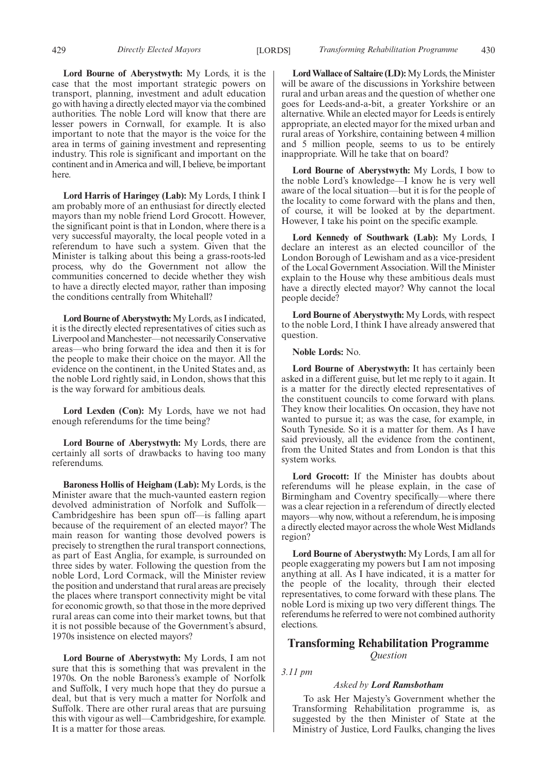429 *Directly Elected Mayors Transforming Rehabilitation Programme* [LORDS] 430

**Lord Bourne of Aberystwyth:** My Lords, it is the case that the most important strategic powers on transport, planning, investment and adult education go with having a directly elected mayor via the combined authorities. The noble Lord will know that there are lesser powers in Cornwall, for example. It is also important to note that the mayor is the voice for the area in terms of gaining investment and representing industry. This role is significant and important on the continent and in America and will, I believe, be important here.

**Lord Harris of Haringey (Lab):** My Lords, I think I am probably more of an enthusiast for directly elected mayors than my noble friend Lord Grocott. However, the significant point is that in London, where there is a very successful mayoralty, the local people voted in a referendum to have such a system. Given that the Minister is talking about this being a grass-roots-led process, why do the Government not allow the communities concerned to decide whether they wish to have a directly elected mayor, rather than imposing the conditions centrally from Whitehall?

**Lord Bourne of Aberystwyth:**My Lords, as I indicated, it is the directly elected representatives of cities such as Liverpool and Manchester—not necessarily Conservative areas—who bring forward the idea and then it is for the people to make their choice on the mayor. All the evidence on the continent, in the United States and, as the noble Lord rightly said, in London, shows that this is the way forward for ambitious deals.

**Lord Lexden (Con):** My Lords, have we not had enough referendums for the time being?

**Lord Bourne of Aberystwyth:** My Lords, there are certainly all sorts of drawbacks to having too many referendums.

**Baroness Hollis of Heigham (Lab):** My Lords, is the Minister aware that the much-vaunted eastern region devolved administration of Norfolk and Suffolk— Cambridgeshire has been spun off—is falling apart because of the requirement of an elected mayor? The main reason for wanting those devolved powers is precisely to strengthen the rural transport connections, as part of East Anglia, for example, is surrounded on three sides by water. Following the question from the noble Lord, Lord Cormack, will the Minister review the position and understand that rural areas are precisely the places where transport connectivity might be vital for economic growth, so that those in the more deprived rural areas can come into their market towns, but that it is not possible because of the Government's absurd, 1970s insistence on elected mayors?

**Lord Bourne of Aberystwyth:** My Lords, I am not sure that this is something that was prevalent in the 1970s. On the noble Baroness's example of Norfolk and Suffolk, I very much hope that they do pursue a deal, but that is very much a matter for Norfolk and Suffolk. There are other rural areas that are pursuing this with vigour as well—Cambridgeshire, for example. It is a matter for those areas.

**Lord Wallace of Saltaire (LD):**My Lords, the Minister will be aware of the discussions in Yorkshire between rural and urban areas and the question of whether one goes for Leeds-and-a-bit, a greater Yorkshire or an alternative. While an elected mayor for Leeds is entirely appropriate, an elected mayor for the mixed urban and rural areas of Yorkshire, containing between 4 million and 5 million people, seems to us to be entirely inappropriate. Will he take that on board?

**Lord Bourne of Aberystwyth:** My Lords, I bow to the noble Lord's knowledge—I know he is very well aware of the local situation—but it is for the people of the locality to come forward with the plans and then, of course, it will be looked at by the department. However, I take his point on the specific example.

**Lord Kennedy of Southwark (Lab):** My Lords, I declare an interest as an elected councillor of the London Borough of Lewisham and as a vice-president of the Local Government Association. Will the Minister explain to the House why these ambitious deals must have a directly elected mayor? Why cannot the local people decide?

**Lord Bourne of Aberystwyth:** My Lords, with respect to the noble Lord, I think I have already answered that question.

**Noble Lords:** No.

**Lord Bourne of Aberystwyth:** It has certainly been asked in a different guise, but let me reply to it again. It is a matter for the directly elected representatives of the constituent councils to come forward with plans. They know their localities. On occasion, they have not wanted to pursue it; as was the case, for example, in South Tyneside. So it is a matter for them. As I have said previously, all the evidence from the continent, from the United States and from London is that this system works.

**Lord Grocott:** If the Minister has doubts about referendums will he please explain, in the case of Birmingham and Coventry specifically—where there was a clear rejection in a referendum of directly elected mayors—why now, without a referendum, he is imposing a directly elected mayor across the whole West Midlands region?

**Lord Bourne of Aberystwyth:** My Lords, I am all for people exaggerating my powers but I am not imposing anything at all. As I have indicated, it is a matter for the people of the locality, through their elected representatives, to come forward with these plans. The noble Lord is mixing up two very different things. The referendums he referred to were not combined authority elections.

## **Transforming Rehabilitation Programme**

*Question*

## *3.11 pm*

#### *Asked by Lord Ramsbotham*

To ask Her Majesty's Government whether the Transforming Rehabilitation programme is, as suggested by the then Minister of State at the Ministry of Justice, Lord Faulks, changing the lives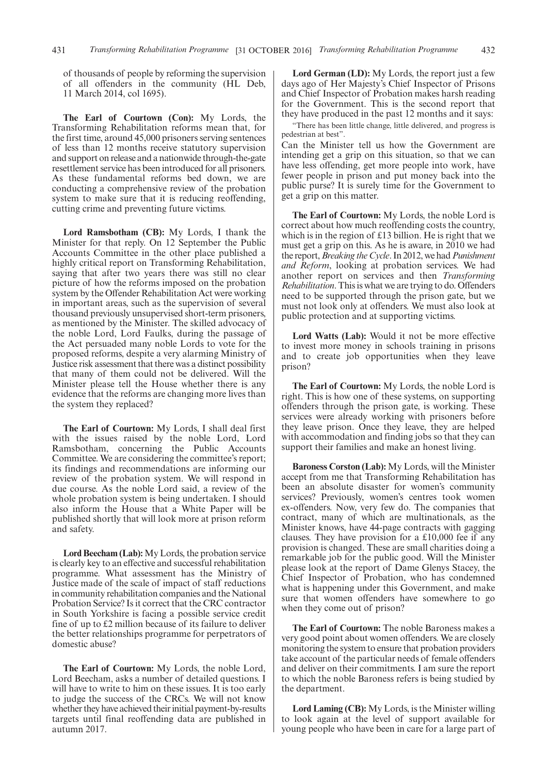of thousands of people by reforming the supervision of all offenders in the community (HL Deb, 11 March 2014, col 1695).

**The Earl of Courtown (Con):** My Lords, the Transforming Rehabilitation reforms mean that, for the first time, around 45,000 prisoners serving sentences of less than 12 months receive statutory supervision and support on release and a nationwide through-the-gate resettlement service has been introduced for all prisoners. As these fundamental reforms bed down, we are conducting a comprehensive review of the probation system to make sure that it is reducing reoffending. cutting crime and preventing future victims.

**Lord Ramsbotham (CB):** My Lords, I thank the Minister for that reply. On 12 September the Public Accounts Committee in the other place published a highly critical report on Transforming Rehabilitation, saying that after two years there was still no clear picture of how the reforms imposed on the probation system by the Offender Rehabilitation Act were working in important areas, such as the supervision of several thousand previously unsupervised short-term prisoners, as mentioned by the Minister. The skilled advocacy of the noble Lord, Lord Faulks, during the passage of the Act persuaded many noble Lords to vote for the proposed reforms, despite a very alarming Ministry of Justice risk assessment that there was a distinct possibility that many of them could not be delivered. Will the Minister please tell the House whether there is any evidence that the reforms are changing more lives than the system they replaced?

**The Earl of Courtown:** My Lords, I shall deal first with the issues raised by the noble Lord, Lord Ramsbotham, concerning the Public Accounts Committee. We are considering the committee's report; its findings and recommendations are informing our review of the probation system. We will respond in due course. As the noble Lord said, a review of the whole probation system is being undertaken. I should also inform the House that a White Paper will be published shortly that will look more at prison reform and safety.

**Lord Beecham (Lab):** My Lords, the probation service is clearly key to an effective and successful rehabilitation programme. What assessment has the Ministry of Justice made of the scale of impact of staff reductions in community rehabilitation companies and the National Probation Service? Is it correct that the CRC contractor in South Yorkshire is facing a possible service credit fine of up to £2 million because of its failure to deliver the better relationships programme for perpetrators of domestic abuse?

**The Earl of Courtown:** My Lords, the noble Lord, Lord Beecham, asks a number of detailed questions. I will have to write to him on these issues. It is too early to judge the success of the CRCs. We will not know whether they have achieved their initial payment-by-results targets until final reoffending data are published in autumn 2017.

**Lord German (LD):** My Lords, the report just a few days ago of Her Majesty's Chief Inspector of Prisons and Chief Inspector of Probation makes harsh reading for the Government. This is the second report that they have produced in the past 12 months and it says:

"There has been little change, little delivered, and progress is pedestrian at best".

Can the Minister tell us how the Government are intending get a grip on this situation, so that we can have less offending, get more people into work, have fewer people in prison and put money back into the public purse? It is surely time for the Government to get a grip on this matter.

**The Earl of Courtown:** My Lords, the noble Lord is correct about how much reoffending costs the country, which is in the region of £13 billion. He is right that we must get a grip on this. As he is aware, in 2010 we had the report,*Breaking the Cycle*. In 2012, we had*Punishment and Reform*, looking at probation services. We had another report on services and then *Transforming Rehabilitation*. This is what we are trying to do. Offenders need to be supported through the prison gate, but we must not look only at offenders. We must also look at public protection and at supporting victims.

**Lord Watts (Lab):** Would it not be more effective to invest more money in schools training in prisons and to create job opportunities when they leave prison?

**The Earl of Courtown:** My Lords, the noble Lord is right. This is how one of these systems, on supporting offenders through the prison gate, is working. These services were already working with prisoners before they leave prison. Once they leave, they are helped with accommodation and finding jobs so that they can support their families and make an honest living.

**Baroness Corston (Lab):** My Lords, will the Minister accept from me that Transforming Rehabilitation has been an absolute disaster for women's community services? Previously, women's centres took women ex-offenders. Now, very few do. The companies that contract, many of which are multinationals, as the Minister knows, have 44-page contracts with gagging clauses. They have provision for a £10,000 fee if any provision is changed. These are small charities doing a remarkable job for the public good. Will the Minister please look at the report of Dame Glenys Stacey, the Chief Inspector of Probation, who has condemned what is happening under this Government, and make sure that women offenders have somewhere to go when they come out of prison?

**The Earl of Courtown:** The noble Baroness makes a very good point about women offenders. We are closely monitoring the system to ensure that probation providers take account of the particular needs of female offenders and deliver on their commitments. I am sure the report to which the noble Baroness refers is being studied by the department.

**Lord Laming (CB):** My Lords, is the Minister willing to look again at the level of support available for young people who have been in care for a large part of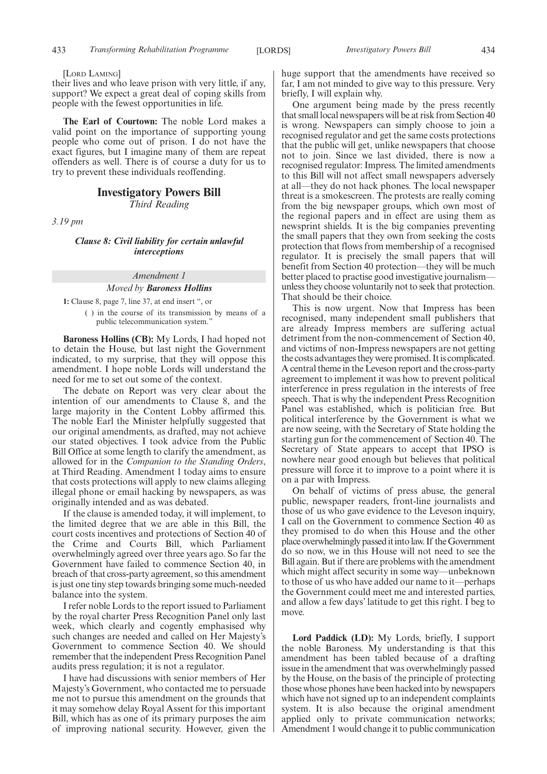#### [LORD LAMING]

their lives and who leave prison with very little, if any, support? We expect a great deal of coping skills from people with the fewest opportunities in life.

**The Earl of Courtown:** The noble Lord makes a valid point on the importance of supporting young people who come out of prison. I do not have the exact figures, but I imagine many of them are repeat offenders as well. There is of course a duty for us to try to prevent these individuals reoffending.

## **Investigatory Powers Bill** *Third Reading*

*3.19 pm*

## *Clause 8: Civil liability for certain unlawful interceptions*

## *Amendment 1*

## *Moved by Baroness Hollins*

**1:** Clause 8, page 7, line 37, at end insert ", or ( ) in the course of its transmission by means of a public telecommunication system."

**Baroness Hollins (CB):** My Lords, I had hoped not to detain the House, but last night the Government indicated, to my surprise, that they will oppose this amendment. I hope noble Lords will understand the need for me to set out some of the context.

The debate on Report was very clear about the intention of our amendments to Clause 8, and the large majority in the Content Lobby affirmed this. The noble Earl the Minister helpfully suggested that our original amendments, as drafted, may not achieve our stated objectives. I took advice from the Public Bill Office at some length to clarify the amendment, as allowed for in the *Companion to the Standing Orders*, at Third Reading. Amendment 1 today aims to ensure that costs protections will apply to new claims alleging illegal phone or email hacking by newspapers, as was originally intended and as was debated.

If the clause is amended today, it will implement, to the limited degree that we are able in this Bill, the court costs incentives and protections of Section 40 of the Crime and Courts Bill, which Parliament overwhelmingly agreed over three years ago. So far the Government have failed to commence Section 40, in breach of that cross-party agreement, so this amendment is just one tiny step towards bringing some much-needed balance into the system.

I refer noble Lords to the report issued to Parliament by the royal charter Press Recognition Panel only last week, which clearly and cogently emphasised why such changes are needed and called on Her Majesty's Government to commence Section 40. We should remember that the independent Press Recognition Panel audits press regulation; it is not a regulator.

I have had discussions with senior members of Her Majesty's Government, who contacted me to persuade me not to pursue this amendment on the grounds that it may somehow delay Royal Assent for this important Bill, which has as one of its primary purposes the aim of improving national security. However, given the huge support that the amendments have received so far, I am not minded to give way to this pressure. Very briefly, I will explain why.

One argument being made by the press recently that small local newspapers will be at risk from Section 40 is wrong. Newspapers can simply choose to join a recognised regulator and get the same costs protections that the public will get, unlike newspapers that choose not to join. Since we last divided, there is now a recognised regulator: Impress. The limited amendments to this Bill will not affect small newspapers adversely at all—they do not hack phones. The local newspaper threat is a smokescreen. The protests are really coming from the big newspaper groups, which own most of the regional papers and in effect are using them as newsprint shields. It is the big companies preventing the small papers that they own from seeking the costs protection that flows from membership of a recognised regulator. It is precisely the small papers that will benefit from Section 40 protection—they will be much better placed to practise good investigative journalism unless they choose voluntarily not to seek that protection. That should be their choice.

This is now urgent. Now that Impress has been recognised, many independent small publishers that are already Impress members are suffering actual detriment from the non-commencement of Section 40, and victims of non-Impress newspapers are not getting the costs advantages they were promised. It is complicated. A central theme in the Leveson report and the cross-party agreement to implement it was how to prevent political interference in press regulation in the interests of free speech. That is why the independent Press Recognition Panel was established, which is politician free. But political interference by the Government is what we are now seeing, with the Secretary of State holding the starting gun for the commencement of Section 40. The Secretary of State appears to accept that IPSO is nowhere near good enough but believes that political pressure will force it to improve to a point where it is on a par with Impress.

On behalf of victims of press abuse, the general public, newspaper readers, front-line journalists and those of us who gave evidence to the Leveson inquiry, I call on the Government to commence Section 40 as they promised to do when this House and the other place overwhelmingly passed it into law. If the Government do so now, we in this House will not need to see the Bill again. But if there are problems with the amendment which might affect security in some way—unbeknown to those of us who have added our name to it—perhaps the Government could meet me and interested parties, and allow a few days' latitude to get this right. I beg to move.

**Lord Paddick (LD):** My Lords, briefly, I support the noble Baroness. My understanding is that this amendment has been tabled because of a drafting issue in the amendment that was overwhelmingly passed by the House, on the basis of the principle of protecting those whose phones have been hacked into by newspapers which have not signed up to an independent complaints system. It is also because the original amendment applied only to private communication networks; Amendment 1 would change it to public communication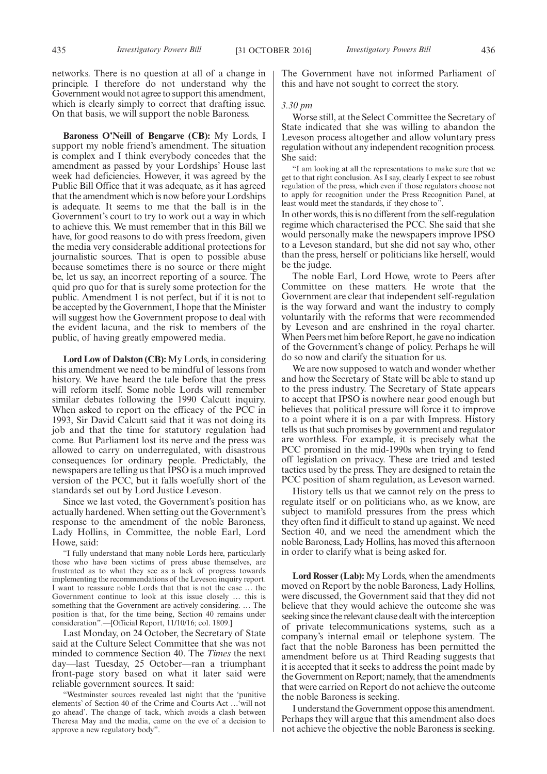networks. There is no question at all of a change in principle. I therefore do not understand why the Government would not agree to support this amendment, which is clearly simply to correct that drafting issue. On that basis, we will support the noble Baroness.

**Baroness O'Neill of Bengarve (CB):** My Lords, I support my noble friend's amendment. The situation is complex and I think everybody concedes that the amendment as passed by your Lordships' House last week had deficiencies. However, it was agreed by the Public Bill Office that it was adequate, as it has agreed that the amendment which is now before your Lordships is adequate. It seems to me that the ball is in the Government's court to try to work out a way in which to achieve this. We must remember that in this Bill we have, for good reasons to do with press freedom, given the media very considerable additional protections for journalistic sources. That is open to possible abuse because sometimes there is no source or there might be, let us say, an incorrect reporting of a source. The quid pro quo for that is surely some protection for the public. Amendment 1 is not perfect, but if it is not to be accepted by the Government, I hope that the Minister will suggest how the Government propose to deal with the evident lacuna, and the risk to members of the public, of having greatly empowered media.

**Lord Low of Dalston (CB):** My Lords, in considering this amendment we need to be mindful of lessons from history. We have heard the tale before that the press will reform itself. Some noble Lords will remember similar debates following the 1990 Calcutt inquiry. When asked to report on the efficacy of the PCC in 1993, Sir David Calcutt said that it was not doing its job and that the time for statutory regulation had come. But Parliament lost its nerve and the press was allowed to carry on underregulated, with disastrous consequences for ordinary people. Predictably, the newspapers are telling us that IPSO is a much improved version of the PCC, but it falls woefully short of the standards set out by Lord Justice Leveson.

Since we last voted, the Government's position has actually hardened. When setting out the Government's response to the amendment of the noble Baroness, Lady Hollins, in Committee, the noble Earl, Lord Howe, said:

"I fully understand that many noble Lords here, particularly those who have been victims of press abuse themselves, are frustrated as to what they see as a lack of progress towards implementing the recommendations of the Leveson inquiry report. I want to reassure noble Lords that that is not the case … the Government continue to look at this issue closely … this is something that the Government are actively considering. … The position is that, for the time being, Section 40 remains under consideration".—[Official Report, 11/10/16; col. 1809.]

Last Monday, on 24 October, the Secretary of State said at the Culture Select Committee that she was not minded to commence Section 40. The *Times* the next day—last Tuesday, 25 October—ran a triumphant front-page story based on what it later said were reliable government sources. It said:

"Westminster sources revealed last night that the 'punitive elements' of Section 40 of the Crime and Courts Act …'will not go ahead'. The change of tack, which avoids a clash between Theresa May and the media, came on the eve of a decision to approve a new regulatory body".

The Government have not informed Parliament of this and have not sought to correct the story.

## *3.30 pm*

Worse still, at the Select Committee the Secretary of State indicated that she was willing to abandon the Leveson process altogether and allow voluntary press regulation without any independent recognition process. She said:

"I am looking at all the representations to make sure that we get to that right conclusion. As I say, clearly I expect to see robust regulation of the press, which even if those regulators choose not to apply for recognition under the Press Recognition Panel, at least would meet the standards, if they chose to".

In other words, this is no different from the self-regulation regime which characterised the PCC. She said that she would personally make the newspapers improve IPSO to a Leveson standard, but she did not say who, other than the press, herself or politicians like herself, would be the judge.

The noble Earl, Lord Howe, wrote to Peers after Committee on these matters. He wrote that the Government are clear that independent self-regulation is the way forward and want the industry to comply voluntarily with the reforms that were recommended by Leveson and are enshrined in the royal charter. When Peers met him before Report, he gave no indication of the Government's change of policy. Perhaps he will do so now and clarify the situation for us.

We are now supposed to watch and wonder whether and how the Secretary of State will be able to stand up to the press industry. The Secretary of State appears to accept that IPSO is nowhere near good enough but believes that political pressure will force it to improve to a point where it is on a par with Impress. History tells us that such promises by government and regulator are worthless. For example, it is precisely what the PCC promised in the mid-1990s when trying to fend off legislation on privacy. These are tried and tested tactics used by the press. They are designed to retain the PCC position of sham regulation, as Leveson warned.

History tells us that we cannot rely on the press to regulate itself or on politicians who, as we know, are subject to manifold pressures from the press which they often find it difficult to stand up against. We need Section 40, and we need the amendment which the noble Baroness, Lady Hollins, has moved this afternoon in order to clarify what is being asked for.

**Lord Rosser (Lab):** My Lords, when the amendments moved on Report by the noble Baroness, Lady Hollins, were discussed, the Government said that they did not believe that they would achieve the outcome she was seeking since the relevant clause dealt with the interception of private telecommunications systems, such as a company's internal email or telephone system. The fact that the noble Baroness has been permitted the amendment before us at Third Reading suggests that it is accepted that it seeks to address the point made by the Government on Report; namely, that the amendments that were carried on Report do not achieve the outcome the noble Baroness is seeking.

I understand the Government oppose this amendment. Perhaps they will argue that this amendment also does not achieve the objective the noble Baroness is seeking.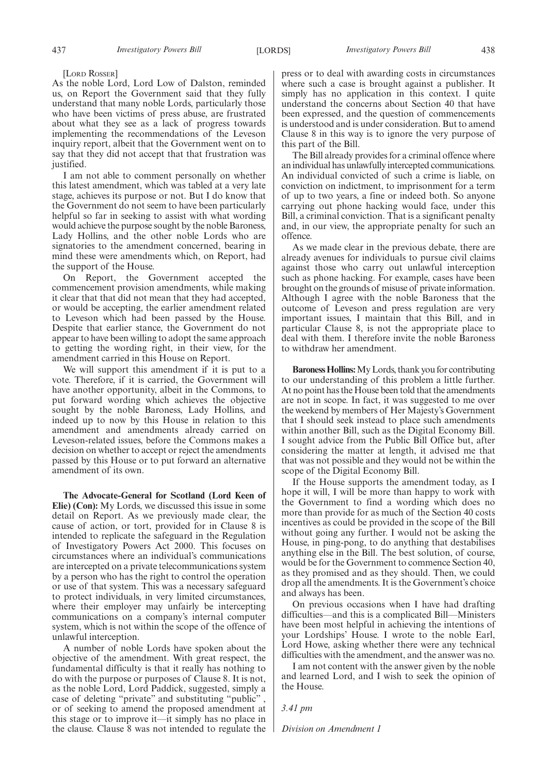[LORD ROSSER]

As the noble Lord, Lord Low of Dalston, reminded us, on Report the Government said that they fully understand that many noble Lords, particularly those who have been victims of press abuse, are frustrated about what they see as a lack of progress towards implementing the recommendations of the Leveson inquiry report, albeit that the Government went on to say that they did not accept that that frustration was justified.

I am not able to comment personally on whether this latest amendment, which was tabled at a very late stage, achieves its purpose or not. But I do know that the Government do not seem to have been particularly helpful so far in seeking to assist with what wording would achieve the purpose sought by the noble Baroness, Lady Hollins, and the other noble Lords who are signatories to the amendment concerned, bearing in mind these were amendments which, on Report, had the support of the House.

On Report, the Government accepted the commencement provision amendments, while making it clear that that did not mean that they had accepted, or would be accepting, the earlier amendment related to Leveson which had been passed by the House. Despite that earlier stance, the Government do not appear to have been willing to adopt the same approach to getting the wording right, in their view, for the amendment carried in this House on Report.

We will support this amendment if it is put to a vote. Therefore, if it is carried, the Government will have another opportunity, albeit in the Commons, to put forward wording which achieves the objective sought by the noble Baroness, Lady Hollins, and indeed up to now by this House in relation to this amendment and amendments already carried on Leveson-related issues, before the Commons makes a decision on whether to accept or reject the amendments passed by this House or to put forward an alternative amendment of its own.

**The Advocate-General for Scotland (Lord Keen of Elie) (Con):** My Lords, we discussed this issue in some detail on Report. As we previously made clear, the cause of action, or tort, provided for in Clause 8 is intended to replicate the safeguard in the Regulation of Investigatory Powers Act 2000. This focuses on circumstances where an individual's communications are intercepted on a private telecommunications system by a person who has the right to control the operation or use of that system. This was a necessary safeguard to protect individuals, in very limited circumstances, where their employer may unfairly be intercepting communications on a company's internal computer system, which is not within the scope of the offence of unlawful interception.

A number of noble Lords have spoken about the objective of the amendment. With great respect, the fundamental difficulty is that it really has nothing to do with the purpose or purposes of Clause 8. It is not, as the noble Lord, Lord Paddick, suggested, simply a case of deleting "private" and substituting "public" , or of seeking to amend the proposed amendment at this stage or to improve it—it simply has no place in the clause. Clause 8 was not intended to regulate the press or to deal with awarding costs in circumstances where such a case is brought against a publisher. It simply has no application in this context. I quite understand the concerns about Section 40 that have been expressed, and the question of commencements is understood and is under consideration. But to amend Clause 8 in this way is to ignore the very purpose of this part of the Bill.

The Bill already provides for a criminal offence where an individual has unlawfully intercepted communications. An individual convicted of such a crime is liable, on conviction on indictment, to imprisonment for a term of up to two years, a fine or indeed both. So anyone carrying out phone hacking would face, under this Bill, a criminal conviction. That is a significant penalty and, in our view, the appropriate penalty for such an offence.

As we made clear in the previous debate, there are already avenues for individuals to pursue civil claims against those who carry out unlawful interception such as phone hacking. For example, cases have been brought on the grounds of misuse of private information. Although I agree with the noble Baroness that the outcome of Leveson and press regulation are very important issues, I maintain that this Bill, and in particular Clause 8, is not the appropriate place to deal with them. I therefore invite the noble Baroness to withdraw her amendment.

**Baroness Hollins:**My Lords, thank you for contributing to our understanding of this problem a little further. At no point has the House been told that the amendments are not in scope. In fact, it was suggested to me over the weekend by members of Her Majesty's Government that I should seek instead to place such amendments within another Bill, such as the Digital Economy Bill. I sought advice from the Public Bill Office but, after considering the matter at length, it advised me that that was not possible and they would not be within the scope of the Digital Economy Bill.

If the House supports the amendment today, as I hope it will, I will be more than happy to work with the Government to find a wording which does no more than provide for as much of the Section 40 costs incentives as could be provided in the scope of the Bill without going any further. I would not be asking the House, in ping-pong, to do anything that destabilises anything else in the Bill. The best solution, of course, would be for the Government to commence Section 40, as they promised and as they should. Then, we could drop all the amendments. It is the Government's choice and always has been.

On previous occasions when I have had drafting difficulties—and this is a complicated Bill—Ministers have been most helpful in achieving the intentions of your Lordships' House. I wrote to the noble Earl, Lord Howe, asking whether there were any technical difficulties with the amendment, and the answer was no.

I am not content with the answer given by the noble and learned Lord, and I wish to seek the opinion of the House.

*3.41 pm*

*Division on Amendment 1*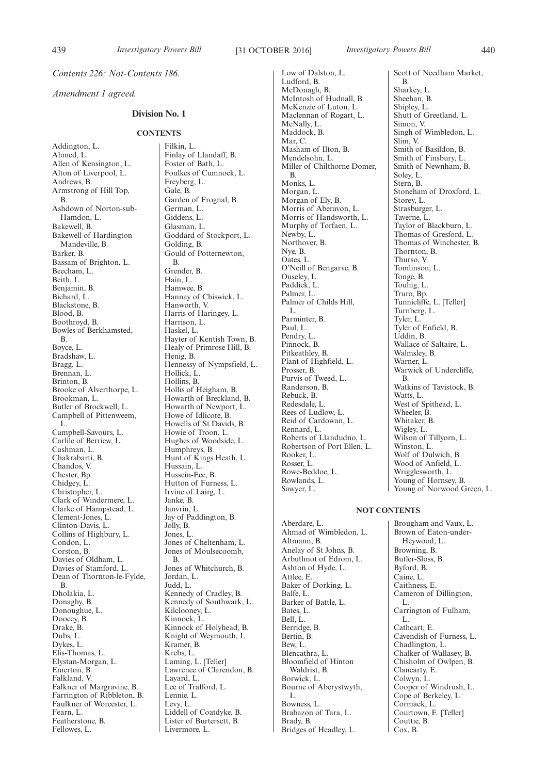*Contents 226; Not-Contents 186.*

*Amendment 1 agreed.*

## **Division No. 1**

#### **CONTENTS**

Addington, L. Ahmed, L. Allen of Kensington, L. Alton of Liverpool, L. Andrews, B. Armstrong of Hill Top, B. Ashdown of Norton-sub-Hamdon, L. Bakewell, B. Bakewell of Hardington Mandeville, B. Barker, B. Bassam of Brighton, L. Beecham, L. Beith, L. Benjamin, B. Bichard, L. Blackstone, B. Blood, B. Boothroyd, B. Bowles of Berkhamsted, B. Boyce, L. Bradshaw, L. Bragg, L. Brennan, L. Brinton, B. Brooke of Alverthorpe, L. Brookman, L. Butler of Brockwell, L. Campbell of Pittenweem, L. Campbell-Savours, L. Carlile of Berriew, L. Cashman, L. Chakrabarti, B. Chandos, V. Chester, Bp. Chidgey, L. Christopher, L. Clark of Windermere, L. Clarke of Hampstead, L. Clement-Jones, L. Clinton-Davis, L. Collins of Highbury, L. Condon, L. Corston, B. Davies of Oldham, L. Davies of Stamford, L. Dean of Thornton-le-Fylde, B. Dholakia, L. Donaghy, B. Donoughue, L. Doocey, B. Drake, B. Dubs, L. Dykes, L. Elis-Thomas, L. Elystan-Morgan, L. Emerton, B. Falkland, V. Falkner of Margravine, B. Farrington of Ribbleton, B. Faulkner of Worcester, L. Fearn, L. Featherstone, B. Fellowes, L.

Filkin, L. Finlay of Llandaff, B. Foster of Bath, L. Foulkes of Cumnock, L. Freyberg, L. Gale, B. Garden of Frognal, B. German, L. Giddens, L. Glasman, L. Goddard of Stockport, L. Golding, B. Gould of Potternewton, B. Grender, B. Hain, L. Hamwee, B. Hannay of Chiswick, L. Hanworth, V. Harris of Haringey, L. Harrison, L. Haskel, L. Hayter of Kentish Town, B. Healy of Primrose Hill, B. Henig, B. Hennessy of Nympsfield, L. Hollick, L. Hollins, B. Hollis of Heigham, B. Howarth of Breckland, B. Howarth of Newport, L. Howe of Idlicote, B. Howells of St Davids, B. Howie of Troon, L. Hughes of Woodside, L. Humphreys, B. Hunt of Kings Heath, L. Hussain, L. Hussein-Ece, B. Hutton of Furness, L. Irvine of Lairg, L. Janke, B. Janvrin, L. Jay of Paddington, B. Jolly, B. Jones, L. Jones of Cheltenham, L. Jones of Moulsecoomb, B. Jones of Whitchurch, B. Jordan, L. Judd, L. Kennedy of Cradley, B. Kennedy of Southwark, L. Kilclooney, L. Kinnock, L. Kinnock of Holyhead, B. Knight of Weymouth, L. Kramer, B. Krebs, L. Laming, L. [Teller] Lawrence of Clarendon, B. Layard, L. Lee of Trafford, L. Lennie, L. Levy, L. Liddell of Coatdyke, B. Lister of Burtersett, B. Livermore, L.

Low of Dalston, L. Ludford, B. McDonagh, B. McIntosh of Hudnall, B. McKenzie of Luton, L. Maclennan of Rogart, L. McNally, L. Maddock, B. Mar, C. Masham of Ilton, B. Mendelsohn, L. Miller of Chilthorne Domer, B. Monks, L. Morgan, L. Morgan of Ely, B. Morris of Aberavon, L. Morris of Handsworth, L. Murphy of Torfaen, L. Newby, L. Northover, B. Nye, B. Oates, L. O'Neill of Bengarve, B. Ouseley, L. Paddick, L. Palmer, L. Palmer of Childs Hill, L. Parminter, B. Paul, L. Pendry, L. Pinnock, B. Pitkeathley, B. Plant of Highfield, L. Prosser, B. Purvis of Tweed, L. Randerson, B. Rebuck, B. Redesdale, L. Rees of Ludlow, L. Reid of Cardowan, L. Rennard, L. Roberts of Llandudno, L. Robertson of Port Ellen, L. Rooker, L. Rosser, L. Rowe-Beddoe, L. Rowlands, L. Sawyer, L.

Scott of Needham Market, B. Sharkey, L. Sheehan, B. Shipley, L. Shutt of Greetland, L. Simon, V. Singh of Wimbledon, L. Slim, V. Smith of Basildon, B. Smith of Finsbury, L. Smith of Newnham, B. Soley, L. Stern, B. Stoneham of Droxford, L. Storey, L. Strasburger, L. Taverne, L. Taylor of Blackburn, L. Thomas of Gresford, L. Thomas of Winchester, B. Thornton, B. Thurso, V. Tomlinson, L. Tonge, B. Touhig, L. Truro, Bp. Tunnicliffe, L. [Teller] Turnberg, L. Tyler, L. Tyler of Enfield, B. Uddin, B. Wallace of Saltaire, L. Walmsley, B. Warner, L. Warwick of Undercliffe, B. Watkins of Tavistock, B. Watts, L. West of Spithead, L. Wheeler, B. Whitaker, B. Wigley, L. Wilson of Tillyorn, L. Winston, L. Wolf of Dulwich, B. Wood of Anfield, L. Wrigglesworth, L. Young of Hornsey, B. Young of Norwood Green, L.

## **NOT CONTENTS**

Aberdare, L. Ahmad of Wimbledon, L. Altmann, B. Anelay of St Johns, B. Arbuthnot of Edrom, L. Ashton of Hyde, L. Attlee, E. Baker of Dorking, L. Balfe, L. Barker of Battle, L. Bates, L. Bell, L. Berridge, B. Bertin, B. Bew, L. Blencathra, L. Bloomfield of Hinton Waldrist, B. Borwick, L. Bourne of Aberystwyth, L. Bowness, L. Brabazon of Tara, L. Brady, B. Bridges of Headley, L.

Brougham and Vaux, L. Brown of Eaton-under-Heywood, L. Browning, B. Butler-Sloss, B. Byford, B. Caine, L. Caithness, E. Cameron of Dillington, L. Carrington of Fulham, L. Cathcart, E. Cavendish of Furness, L. Chadlington, L. Chalker of Wallasey, B. Chisholm of Owlpen, B. Clancarty, E. Colwyn, L. Cooper of Windrush, L. Cope of Berkeley, L. Cormack, L. Courtown, E. [Teller] Couttie, B. Cox, B.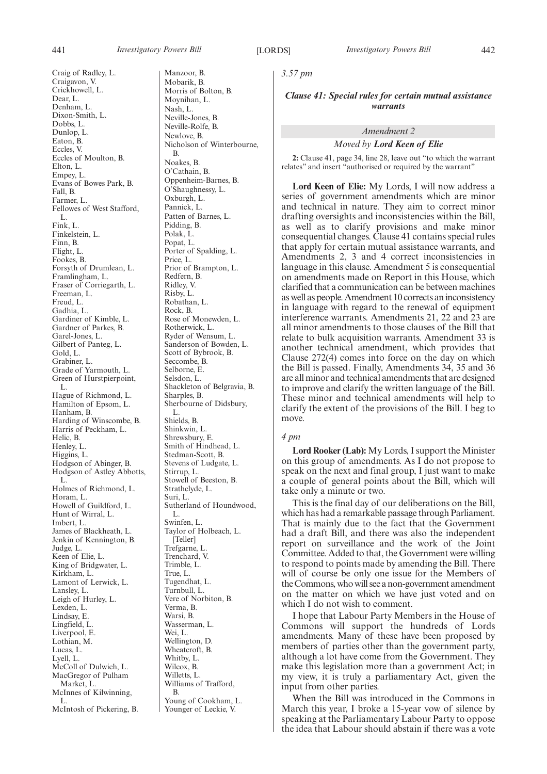Craig of Radley, L. Craigavon, V. Crickhowell, L. Dear, L. Denham, L. Dixon-Smith, L. Dobbs, L. Dunlop, L. Eaton, B. Eccles, V. Eccles of Moulton, B. Elton, L. Empey, L. Evans of Bowes Park, B. Fall, B. Farmer, L. Fellowes of West Stafford, L. Fink, L. Finkelstein, L. Finn, B. Flight, L. Fookes, B. Forsyth of Drumlean, L. Framlingham, L. Fraser of Corriegarth, L. Freeman, L. Freud, L. Gadhia, L. Gardiner of Kimble, L. Gardner of Parkes, B. Garel-Jones, L. Gilbert of Panteg, L. Gold, L. Grabiner, L. Grade of Yarmouth, L. Green of Hurstpierpoint, L. Hague of Richmond, L. Hamilton of Epsom, L. Hanham, B. Harding of Winscombe, B. Harris of Peckham, L. Helic, B. Henley, L. Higgins, L. Hodgson of Abinger, B. Hodgson of Astley Abbotts, L. Holmes of Richmond, L. Horam, L. Howell of Guildford, L. Hunt of Wirral, L. Imbert, L. James of Blackheath, L. Jenkin of Kennington, B. Judge, L. Keen of Elie, L. King of Bridgwater, L. Kirkham, L. Lamont of Lerwick, L. Lansley, L. Leigh of Hurley, L. Lexden, L. Lindsay, E. Lingfield, L. Liverpool, E. Lothian, M. Lucas, L. Lyell, L. McColl of Dulwich, L. MacGregor of Pulham Market, L.

McInnes of Kilwinning,

McIntosh of Pickering, B.

L.

Manzoor, B. Mobarik, B. Morris of Bolton, B. Moynihan, L. Nash, L. Neville-Jones, B. Neville-Rolfe, B. Newlove, B. Nicholson of Winterbourne, B. Noakes, B. O'Cathain, B. Oppenheim-Barnes, B. O'Shaughnessy, L. Oxburgh, L. Pannick, L. Patten of Barnes, L. Pidding, B. Polak, L. Popat, L. Porter of Spalding, L. Price, L. Prior of Brampton, L. Redfern, B. Ridley, V. Risby, L. Robathan, L. Rock, B. Rose of Monewden, L. Rotherwick, L. Ryder of Wensum, L. Sanderson of Bowden, L. Scott of Bybrook, B. Seccombe, B. Selborne, E. Selsdon, L. Shackleton of Belgravia, B. Sharples, B. Sherbourne of Didsbury, L. Shields, B. Shinkwin, L. Shrewsbury, E. Smith of Hindhead, L. Stedman-Scott, B. Stevens of Ludgate, L. Stirrup, L. Stowell of Beeston, B. Strathclyde, L. Suri, L. Sutherland of Houndwood, L. Swinfen, L. Taylor of Holbeach, L. [Teller] Trefgarne, L. Trenchard, V. Trimble, L. True, L. Tugendhat, L. Turnbull, L. Vere of Norbiton, B. Verma, B. Warsi, B. Wasserman, L. Wei, L. Wellington, D. Wheatcroft, B. Whitby, L. Wilcox, B. Willetts, L. Williams of Trafford, B. Young of Cookham, L. Younger of Leckie, V.

*3.57 pm*

*Clause 41: Special rules for certain mutual assistance warrants*

## *Amendment 2*

#### *Moved by Lord Keen of Elie*

**2:** Clause 41, page 34, line 28, leave out "to which the warrant relates" and insert "authorised or required by the warrant"

**Lord Keen of Elie:** My Lords, I will now address a series of government amendments which are minor and technical in nature. They aim to correct minor drafting oversights and inconsistencies within the Bill, as well as to clarify provisions and make minor consequential changes. Clause 41 contains special rules that apply for certain mutual assistance warrants, and Amendments 2, 3 and 4 correct inconsistencies in language in this clause. Amendment 5 is consequential on amendments made on Report in this House, which clarified that a communication can be between machines as well as people. Amendment 10 corrects an inconsistency in language with regard to the renewal of equipment interference warrants. Amendments 21, 22 and 23 are all minor amendments to those clauses of the Bill that relate to bulk acquisition warrants. Amendment 33 is another technical amendment, which provides that Clause 272(4) comes into force on the day on which the Bill is passed. Finally, Amendments 34, 35 and 36 are all minor and technical amendments that are designed to improve and clarify the written language of the Bill. These minor and technical amendments will help to clarify the extent of the provisions of the Bill. I beg to move.

## *4 pm*

**Lord Rooker (Lab):** My Lords, I support the Minister on this group of amendments. As I do not propose to speak on the next and final group, I just want to make a couple of general points about the Bill, which will take only a minute or two.

This is the final day of our deliberations on the Bill, which has had a remarkable passage through Parliament. That is mainly due to the fact that the Government had a draft Bill, and there was also the independent report on surveillance and the work of the Joint Committee. Added to that, the Government were willing to respond to points made by amending the Bill. There will of course be only one issue for the Members of the Commons, who will see a non-government amendment on the matter on which we have just voted and on which I do not wish to comment.

I hope that Labour Party Members in the House of Commons will support the hundreds of Lords amendments. Many of these have been proposed by members of parties other than the government party, although a lot have come from the Government. They make this legislation more than a government Act; in my view, it is truly a parliamentary Act, given the input from other parties.

When the Bill was introduced in the Commons in March this year, I broke a 15-year vow of silence by speaking at the Parliamentary Labour Party to oppose the idea that Labour should abstain if there was a vote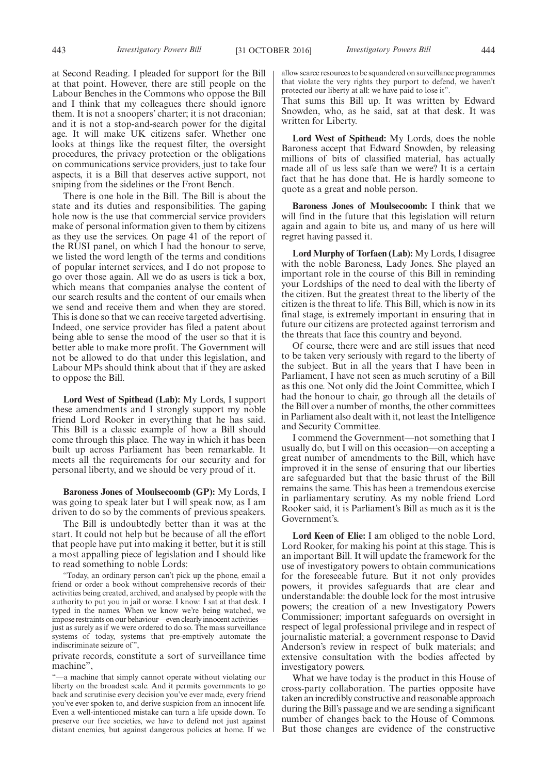at Second Reading. I pleaded for support for the Bill at that point. However, there are still people on the Labour Benches in the Commons who oppose the Bill and I think that my colleagues there should ignore them. It is not a snoopers' charter; it is not draconian; and it is not a stop-and-search power for the digital age. It will make UK citizens safer. Whether one looks at things like the request filter, the oversight procedures, the privacy protection or the obligations on communications service providers, just to take four aspects, it is a Bill that deserves active support, not sniping from the sidelines or the Front Bench.

There is one hole in the Bill. The Bill is about the state and its duties and responsibilities. The gaping hole now is the use that commercial service providers make of personal information given to them by citizens as they use the services. On page 41 of the report of the RUSI panel, on which I had the honour to serve, we listed the word length of the terms and conditions of popular internet services, and I do not propose to go over those again. All we do as users is tick a box, which means that companies analyse the content of our search results and the content of our emails when we send and receive them and when they are stored. This is done so that we can receive targeted advertising. Indeed, one service provider has filed a patent about being able to sense the mood of the user so that it is better able to make more profit. The Government will not be allowed to do that under this legislation, and Labour MPs should think about that if they are asked to oppose the Bill.

**Lord West of Spithead (Lab):** My Lords, I support these amendments and I strongly support my noble friend Lord Rooker in everything that he has said. This Bill is a classic example of how a Bill should come through this place. The way in which it has been built up across Parliament has been remarkable. It meets all the requirements for our security and for personal liberty, and we should be very proud of it.

**Baroness Jones of Moulsecoomb (GP):** My Lords, I was going to speak later but I will speak now, as I am driven to do so by the comments of previous speakers.

The Bill is undoubtedly better than it was at the start. It could not help but be because of all the effort that people have put into making it better, but it is still a most appalling piece of legislation and I should like to read something to noble Lords:

"Today, an ordinary person can't pick up the phone, email a friend or order a book without comprehensive records of their activities being created, archived, and analysed by people with the authority to put you in jail or worse. I know: I sat at that desk. I typed in the names. When we know we're being watched, we impose restraints on our behaviour—even clearly innocent activities just as surely as if we were ordered to do so. The mass surveillance systems of today, systems that pre-emptively automate the indiscriminate seizure of",

private records, constitute a sort of surveillance time machine",

"—a machine that simply cannot operate without violating our liberty on the broadest scale. And it permits governments to go back and scrutinise every decision you've ever made, every friend you've ever spoken to, and derive suspicion from an innocent life. Even a well-intentioned mistake can turn a life upside down. To preserve our free societies, we have to defend not just against distant enemies, but against dangerous policies at home. If we allow scarce resources to be squandered on surveillance programmes that violate the very rights they purport to defend, we haven't protected our liberty at all: we have paid to lose it".

That sums this Bill up. It was written by Edward Snowden, who, as he said, sat at that desk. It was written for Liberty.

**Lord West of Spithead:** My Lords, does the noble Baroness accept that Edward Snowden, by releasing millions of bits of classified material, has actually made all of us less safe than we were? It is a certain fact that he has done that. He is hardly someone to quote as a great and noble person.

**Baroness Jones of Moulsecoomb:** I think that we will find in the future that this legislation will return again and again to bite us, and many of us here will regret having passed it.

**Lord Murphy of Torfaen (Lab):** My Lords, I disagree with the noble Baroness, Lady Jones. She played an important role in the course of this Bill in reminding your Lordships of the need to deal with the liberty of the citizen. But the greatest threat to the liberty of the citizen is the threat to life. This Bill, which is now in its final stage, is extremely important in ensuring that in future our citizens are protected against terrorism and the threats that face this country and beyond.

Of course, there were and are still issues that need to be taken very seriously with regard to the liberty of the subject. But in all the years that I have been in Parliament, I have not seen as much scrutiny of a Bill as this one. Not only did the Joint Committee, which I had the honour to chair, go through all the details of the Bill over a number of months, the other committees in Parliament also dealt with it, not least the Intelligence and Security Committee.

I commend the Government—not something that I usually do, but I will on this occasion—on accepting a great number of amendments to the Bill, which have improved it in the sense of ensuring that our liberties are safeguarded but that the basic thrust of the Bill remains the same. This has been a tremendous exercise in parliamentary scrutiny. As my noble friend Lord Rooker said, it is Parliament's Bill as much as it is the Government's.

**Lord Keen of Elie:** I am obliged to the noble Lord, Lord Rooker, for making his point at this stage. This is an important Bill. It will update the framework for the use of investigatory powers to obtain communications for the foreseeable future. But it not only provides powers, it provides safeguards that are clear and understandable: the double lock for the most intrusive powers; the creation of a new Investigatory Powers Commissioner; important safeguards on oversight in respect of legal professional privilege and in respect of journalistic material; a government response to David Anderson's review in respect of bulk materials; and extensive consultation with the bodies affected by investigatory powers.

What we have today is the product in this House of cross-party collaboration. The parties opposite have taken an incredibly constructive and reasonable approach during the Bill's passage and we are sending a significant number of changes back to the House of Commons. But those changes are evidence of the constructive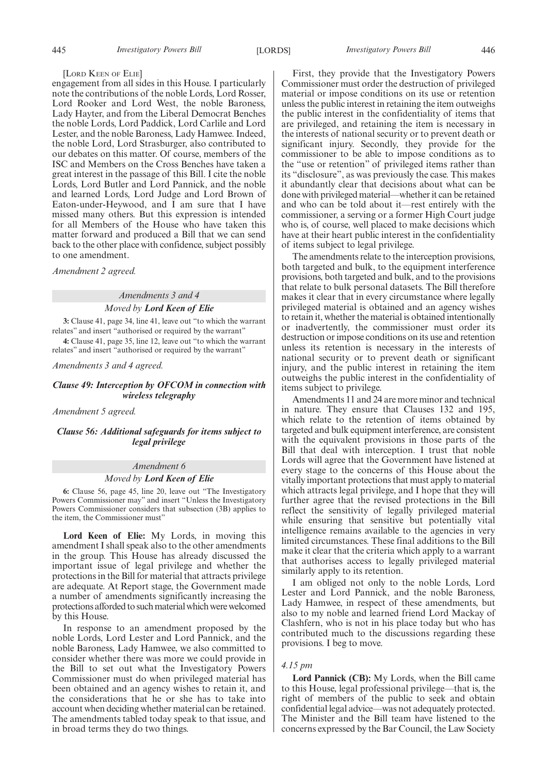#### [LORD KEEN OF ELIE]

engagement from all sides in this House. I particularly note the contributions of the noble Lords, Lord Rosser, Lord Rooker and Lord West, the noble Baroness, Lady Hayter, and from the Liberal Democrat Benches the noble Lords, Lord Paddick, Lord Carlile and Lord Lester, and the noble Baroness, Lady Hamwee. Indeed, the noble Lord, Lord Strasburger, also contributed to our debates on this matter. Of course, members of the ISC and Members on the Cross Benches have taken a great interest in the passage of this Bill. I cite the noble Lords, Lord Butler and Lord Pannick, and the noble and learned Lords, Lord Judge and Lord Brown of Eaton-under-Heywood, and I am sure that I have missed many others. But this expression is intended for all Members of the House who have taken this matter forward and produced a Bill that we can send back to the other place with confidence, subject possibly to one amendment.

*Amendment 2 agreed.*

## *Amendments 3 and 4 Moved by Lord Keen of Elie*

**3:** Clause 41, page 34, line 41, leave out "to which the warrant relates" and insert "authorised or required by the warrant"

**4:** Clause 41, page 35, line 12, leave out "to which the warrant relates" and insert "authorised or required by the warrant"

*Amendments 3 and 4 agreed.*

## *Clause 49: Interception by OFCOM in connection with wireless telegraphy*

*Amendment 5 agreed.*

*Clause 56: Additional safeguards for items subject to legal privilege*

## *Amendment 6 Moved by Lord Keen of Elie*

**6:** Clause 56, page 45, line 20, leave out "The Investigatory Powers Commissioner may" and insert "Unless the Investigatory Powers Commissioner considers that subsection (3B) applies to the item, the Commissioner must"

**Lord Keen of Elie:** My Lords, in moving this amendment I shall speak also to the other amendments in the group. This House has already discussed the important issue of legal privilege and whether the protections in the Bill for material that attracts privilege are adequate. At Report stage, the Government made a number of amendments significantly increasing the protections afforded to such material which were welcomed by this House.

In response to an amendment proposed by the noble Lords, Lord Lester and Lord Pannick, and the noble Baroness, Lady Hamwee, we also committed to consider whether there was more we could provide in the Bill to set out what the Investigatory Powers Commissioner must do when privileged material has been obtained and an agency wishes to retain it, and the considerations that he or she has to take into account when deciding whether material can be retained. The amendments tabled today speak to that issue, and in broad terms they do two things.

First, they provide that the Investigatory Powers Commissioner must order the destruction of privileged material or impose conditions on its use or retention unless the public interest in retaining the item outweighs the public interest in the confidentiality of items that are privileged, and retaining the item is necessary in the interests of national security or to prevent death or significant injury. Secondly, they provide for the commissioner to be able to impose conditions as to the "use or retention" of privileged items rather than its "disclosure", as was previously the case. This makes it abundantly clear that decisions about what can be done with privileged material—whether it can be retained and who can be told about it—rest entirely with the commissioner, a serving or a former High Court judge who is, of course, well placed to make decisions which have at their heart public interest in the confidentiality of items subject to legal privilege.

The amendments relate to the interception provisions, both targeted and bulk, to the equipment interference provisions, both targeted and bulk, and to the provisions that relate to bulk personal datasets. The Bill therefore makes it clear that in every circumstance where legally privileged material is obtained and an agency wishes to retain it, whether the material is obtained intentionally or inadvertently, the commissioner must order its destruction or impose conditions on its use and retention unless its retention is necessary in the interests of national security or to prevent death or significant injury, and the public interest in retaining the item outweighs the public interest in the confidentiality of items subject to privilege.

Amendments 11 and 24 are more minor and technical in nature. They ensure that Clauses 132 and 195, which relate to the retention of items obtained by targeted and bulk equipment interference, are consistent with the equivalent provisions in those parts of the Bill that deal with interception. I trust that noble Lords will agree that the Government have listened at every stage to the concerns of this House about the vitally important protections that must apply to material which attracts legal privilege, and I hope that they will further agree that the revised protections in the Bill reflect the sensitivity of legally privileged material while ensuring that sensitive but potentially vital intelligence remains available to the agencies in very limited circumstances. These final additions to the Bill make it clear that the criteria which apply to a warrant that authorises access to legally privileged material similarly apply to its retention.

I am obliged not only to the noble Lords, Lord Lester and Lord Pannick, and the noble Baroness, Lady Hamwee, in respect of these amendments, but also to my noble and learned friend Lord Mackay of Clashfern, who is not in his place today but who has contributed much to the discussions regarding these provisions. I beg to move.

#### *4.15 pm*

**Lord Pannick (CB):** My Lords, when the Bill came to this House, legal professional privilege—that is, the right of members of the public to seek and obtain confidential legal advice—was not adequately protected. The Minister and the Bill team have listened to the concerns expressed by the Bar Council, the Law Society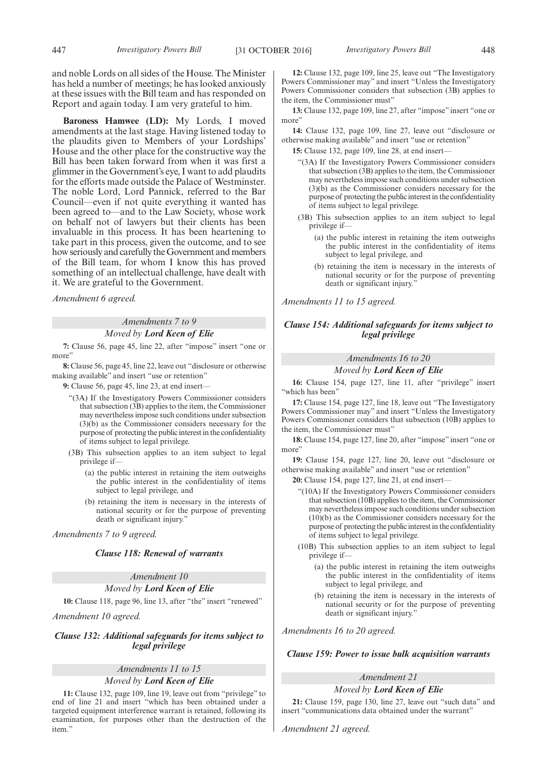and noble Lords on all sides of the House. The Minister has held a number of meetings; he has looked anxiously at these issues with the Bill team and has responded on Report and again today. I am very grateful to him.

**Baroness Hamwee (LD):** My Lords, I moved amendments at the last stage. Having listened today to the plaudits given to Members of your Lordships' House and the other place for the constructive way the Bill has been taken forward from when it was first a glimmer in the Government's eye, I want to add plaudits for the efforts made outside the Palace of Westminster. The noble Lord, Lord Pannick, referred to the Bar Council—even if not quite everything it wanted has been agreed to—and to the Law Society, whose work on behalf not of lawyers but their clients has been invaluable in this process. It has been heartening to take part in this process, given the outcome, and to see how seriously and carefully the Government and members of the Bill team, for whom I know this has proved something of an intellectual challenge, have dealt with it. We are grateful to the Government.

*Amendment 6 agreed.*

#### *Amendments 7 to 9*

## *Moved by Lord Keen of Elie*

**7:** Clause 56, page 45, line 22, after "impose" insert "one or more"

**8:** Clause 56, page 45, line 22, leave out "disclosure or otherwise making available" and insert "use or retention"

**9:** Clause 56, page 45, line 23, at end insert—

"(3A) If the Investigatory Powers Commissioner considers that subsection (3B) applies to the item, the Commissioner may nevertheless impose such conditions under subsection (3)(b) as the Commissioner considers necessary for the purpose of protecting the public interest in the confidentiality of items subject to legal privilege.

(3B) This subsection applies to an item subject to legal privilege if-

- (a) the public interest in retaining the item outweighs the public interest in the confidentiality of items subject to legal privilege, and
- (b) retaining the item is necessary in the interests of national security or for the purpose of preventing death or significant injury."

*Amendments 7 to 9 agreed.*

*Clause 118: Renewal of warrants*

*Amendment 10*

*Moved by Lord Keen of Elie*

**10:** Clause 118, page 96, line 13, after "the" insert "renewed"

*Amendment 10 agreed.*

*Clause 132: Additional safeguards for items subject to legal privilege*

## *Amendments 11 to 15*

#### *Moved by Lord Keen of Elie*

**11:** Clause 132, page 109, line 19, leave out from "privilege" to end of line 21 and insert "which has been obtained under a targeted equipment interference warrant is retained, following its examination, for purposes other than the destruction of the item."

**12:** Clause 132, page 109, line 25, leave out "The Investigatory Powers Commissioner may" and insert "Unless the Investigatory Powers Commissioner considers that subsection (3B) applies to the item, the Commissioner must"

**13:** Clause 132, page 109, line 27, after "impose" insert "one or more"

**14:** Clause 132, page 109, line 27, leave out "disclosure or otherwise making available" and insert "use or retention"

**15:** Clause 132, page 109, line 28, at end insert—

- "(3A) If the Investigatory Powers Commissioner considers that subsection (3B) applies to the item, the Commissioner may nevertheless impose such conditions under subsection (3)(b) as the Commissioner considers necessary for the purpose of protecting the public interest in the confidentiality of items subject to legal privilege.
- (3B) This subsection applies to an item subject to legal privilege if—
	- (a) the public interest in retaining the item outweighs the public interest in the confidentiality of items subject to legal privilege, and
	- (b) retaining the item is necessary in the interests of national security or for the purpose of preventing death or significant injury."

*Amendments 11 to 15 agreed.*

## *Clause 154: Additional safeguards for items subject to legal privilege*

*Amendments 16 to 20 Moved by Lord Keen of Elie*

**16:** Clause 154, page 127, line 11, after "privilege" insert "which has been"

**17:** Clause 154, page 127, line 18, leave out "The Investigatory Powers Commissioner may" and insert "Unless the Investigatory Powers Commissioner considers that subsection (10B) applies to the item, the Commissioner must"

**18:** Clause 154, page 127, line 20, after "impose" insert "one or more'

**19:** Clause 154, page 127, line 20, leave out "disclosure or otherwise making available" and insert "use or retention"

**20:** Clause 154, page 127, line 21, at end insert—

- "(10A) If the Investigatory Powers Commissioner considers that subsection (10B) applies to the item, the Commissioner may nevertheless impose such conditions under subsection (10)(b) as the Commissioner considers necessary for the purpose of protecting the public interest in the confidentiality of items subject to legal privilege.
- (10B) This subsection applies to an item subject to legal privilege if—
	- (a) the public interest in retaining the item outweighs the public interest in the confidentiality of items subject to legal privilege, and
	- (b) retaining the item is necessary in the interests of national security or for the purpose of preventing death or significant injury.

*Amendments 16 to 20 agreed.*

#### *Clause 159: Power to issue bulk acquisition warrants*

## *Amendment 21*

*Moved by Lord Keen of Elie*

**21:** Clause 159, page 130, line 27, leave out "such data" and insert "communications data obtained under the warrant"

*Amendment 21 agreed.*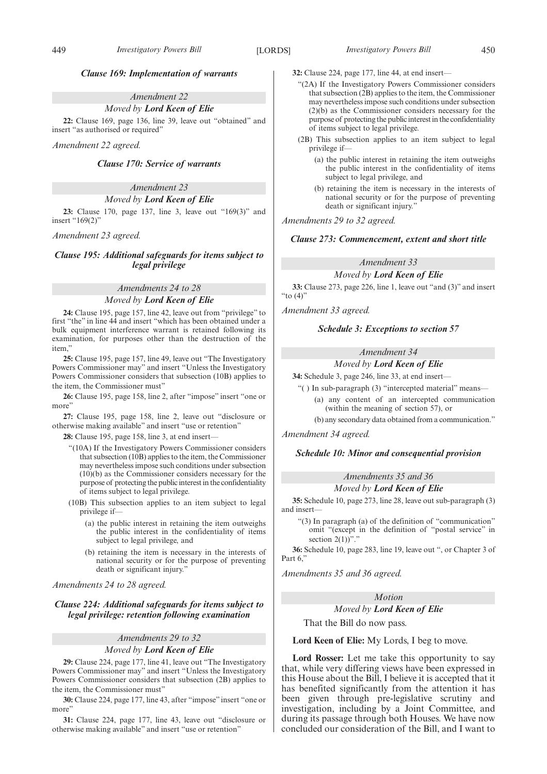## *Clause 169: Implementation of warrants*

## *Amendment 22*

*Moved by Lord Keen of Elie*

**22:** Clause 169, page 136, line 39, leave out "obtained" and insert "as authorised or required"

*Amendment 22 agreed.*

## *Clause 170: Service of warrants*

*Amendment 23*

## *Moved by Lord Keen of Elie*

**23:** Clause 170, page 137, line 3, leave out "169(3)" and insert "169(2)"

*Amendment 23 agreed.*

## *Clause 195: Additional safeguards for items subject to legal privilege*

# *Amendments 24 to 28*

## *Moved by Lord Keen of Elie*

**24:** Clause 195, page 157, line 42, leave out from "privilege" to first "the" in line 44 and insert "which has been obtained under a bulk equipment interference warrant is retained following its examination, for purposes other than the destruction of the item,"

**25:** Clause 195, page 157, line 49, leave out "The Investigatory Powers Commissioner may" and insert "Unless the Investigatory Powers Commissioner considers that subsection (10B) applies to the item, the Commissioner must"

**26:** Clause 195, page 158, line 2, after "impose" insert "one or more'

**27:** Clause 195, page 158, line 2, leave out "disclosure or otherwise making available" and insert "use or retention"

**28:** Clause 195, page 158, line 3, at end insert—

- "(10A) If the Investigatory Powers Commissioner considers that subsection (10B) applies to the item, the Commissioner may nevertheless impose such conditions under subsection (10)(b) as the Commissioner considers necessary for the purpose of protecting the public interest in the confidentiality of items subject to legal privilege.
- (10B) This subsection applies to an item subject to legal privilege if—
	- (a) the public interest in retaining the item outweighs the public interest in the confidentiality of items subject to legal privilege, and
	- (b) retaining the item is necessary in the interests of national security or for the purpose of preventing death or significant injury."

*Amendments 24 to 28 agreed.*

## *Clause 224: Additional safeguards for items subject to legal privilege: retention following examination*

## *Amendments 29 to 32 Moved by Lord Keen of Elie*

**29:** Clause 224, page 177, line 41, leave out "The Investigatory Powers Commissioner may" and insert "Unless the Investigatory Powers Commissioner considers that subsection (2B) applies to the item, the Commissioner must"

**30:** Clause 224, page 177, line 43, after "impose" insert "one or more"

**31:** Clause 224, page 177, line 43, leave out "disclosure or otherwise making available" and insert "use or retention"

- **32:** Clause 224, page 177, line 44, at end insert—
	- "(2A) If the Investigatory Powers Commissioner considers that subsection (2B) applies to the item, the Commissioner may nevertheless impose such conditions under subsection (2)(b) as the Commissioner considers necessary for the purpose of protecting the public interest in the confidentiality of items subject to legal privilege.
	- (2B) This subsection applies to an item subject to legal privilege if—
		- (a) the public interest in retaining the item outweighs the public interest in the confidentiality of items subject to legal privilege, and
		- (b) retaining the item is necessary in the interests of national security or for the purpose of preventing death or significant injury."

## *Amendments 29 to 32 agreed.*

## *Clause 273: Commencement, extent and short title*

## *Amendment 33*

*Moved by Lord Keen of Elie*

**33:** Clause 273, page 226, line 1, leave out "and (3)" and insert "to (4)"

*Amendment 33 agreed.*

## *Schedule 3: Exceptions to section 57*

## *Amendment 34*

## *Moved by Lord Keen of Elie*

**34:** Schedule 3, page 246, line 33, at end insert—

- "( ) In sub-paragraph (3) "intercepted material" means— (a) any content of an intercepted communication
	- (within the meaning of section 57), or (b) any secondary data obtained from a communication."

*Amendment 34 agreed.*

## *Schedule 10: Minor and consequential provision*

## *Amendments 35 and 36 Moved by Lord Keen of Elie*

**35:** Schedule 10, page 273, line 28, leave out sub-paragraph (3) and insert—

"(3) In paragraph (a) of the definition of "communication" omit "(except in the definition of "postal service" in section  $2(1)$ "."

**36:** Schedule 10, page 283, line 19, leave out ", or Chapter 3 of Part 6.

*Amendments 35 and 36 agreed.*

## *Motion Moved by Lord Keen of Elie*

That the Bill do now pass.

## **Lord Keen of Elie:** My Lords, I beg to move.

**Lord Rosser:** Let me take this opportunity to say that, while very differing views have been expressed in this House about the Bill, I believe it is accepted that it has benefited significantly from the attention it has been given through pre-legislative scrutiny and investigation, including by a Joint Committee, and during its passage through both Houses. We have now concluded our consideration of the Bill, and I want to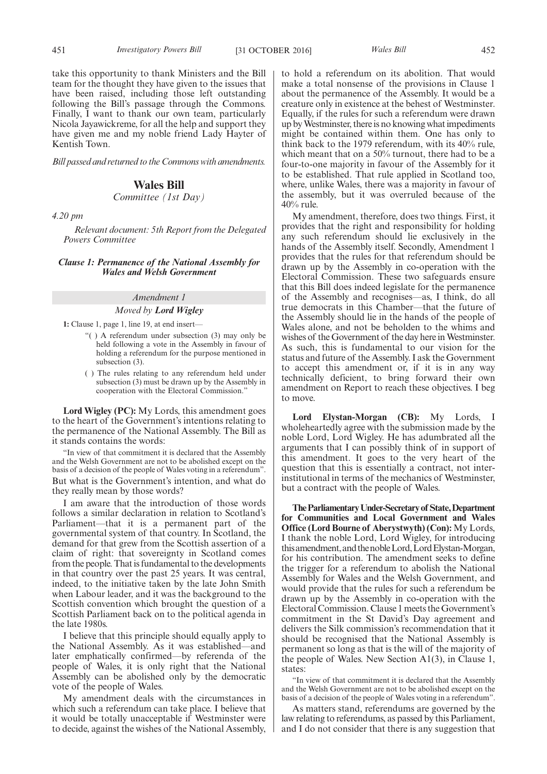take this opportunity to thank Ministers and the Bill team for the thought they have given to the issues that have been raised, including those left outstanding following the Bill's passage through the Commons. Finally, I want to thank our own team, particularly Nicola Jayawickreme, for all the help and support they have given me and my noble friend Lady Hayter of Kentish Town.

*Bill passed and returned to the Commons with amendments.*

## **Wales Bill**

## *Committee (1st Day)*

*4.20 pm*

*Relevant document: 5th Report from the Delegated Powers Committee*

## *Clause 1: Permanence of the National Assembly for Wales and Welsh Government*

## *Amendment 1*

## *Moved by Lord Wigley*

**1:** Clause 1, page 1, line 19, at end insert—

- "( ) A referendum under subsection (3) may only be held following a vote in the Assembly in favour of holding a referendum for the purpose mentioned in subsection (3).
- ( ) The rules relating to any referendum held under subsection (3) must be drawn up by the Assembly in cooperation with the Electoral Commission."

**Lord Wigley (PC):** My Lords, this amendment goes to the heart of the Government's intentions relating to the permanence of the National Assembly. The Bill as it stands contains the words:

"In view of that commitment it is declared that the Assembly and the Welsh Government are not to be abolished except on the basis of a decision of the people of Wales voting in a referendum". But what is the Government's intention, and what do they really mean by those words?

I am aware that the introduction of those words follows a similar declaration in relation to Scotland's Parliament—that it is a permanent part of the governmental system of that country. In Scotland, the demand for that grew from the Scottish assertion of a claim of right: that sovereignty in Scotland comes from the people. That is fundamental to the developments in that country over the past 25 years. It was central, indeed, to the initiative taken by the late John Smith when Labour leader, and it was the background to the Scottish convention which brought the question of a Scottish Parliament back on to the political agenda in the late 1980s.

I believe that this principle should equally apply to the National Assembly. As it was established—and later emphatically confirmed—by referenda of the people of Wales, it is only right that the National Assembly can be abolished only by the democratic vote of the people of Wales.

My amendment deals with the circumstances in which such a referendum can take place. I believe that it would be totally unacceptable if Westminster were to decide, against the wishes of the National Assembly, to hold a referendum on its abolition. That would make a total nonsense of the provisions in Clause 1 about the permanence of the Assembly. It would be a creature only in existence at the behest of Westminster. Equally, if the rules for such a referendum were drawn up by Westminster, there is no knowing what impediments might be contained within them. One has only to think back to the 1979 referendum, with its 40% rule, which meant that on a 50% turnout, there had to be a four-to-one majority in favour of the Assembly for it to be established. That rule applied in Scotland too, where, unlike Wales, there was a majority in favour of the assembly, but it was overruled because of the 40% rule.

My amendment, therefore, does two things. First, it provides that the right and responsibility for holding any such referendum should lie exclusively in the hands of the Assembly itself. Secondly, Amendment 1 provides that the rules for that referendum should be drawn up by the Assembly in co-operation with the Electoral Commission. These two safeguards ensure that this Bill does indeed legislate for the permanence of the Assembly and recognises—as, I think, do all true democrats in this Chamber—that the future of the Assembly should lie in the hands of the people of Wales alone, and not be beholden to the whims and wishes of the Government of the day here in Westminster. As such, this is fundamental to our vision for the status and future of the Assembly. I ask the Government to accept this amendment or, if it is in any way technically deficient, to bring forward their own amendment on Report to reach these objectives. I beg to move.

**Lord Elystan-Morgan (CB):** My Lords, I wholeheartedly agree with the submission made by the noble Lord, Lord Wigley. He has adumbrated all the arguments that I can possibly think of in support of this amendment. It goes to the very heart of the question that this is essentially a contract, not interinstitutional in terms of the mechanics of Westminster, but a contract with the people of Wales.

**TheParliamentaryUnder-Secretaryof State,Department for Communities and Local Government and Wales Office (Lord Bourne of Aberystwyth) (Con):** My Lords, I thank the noble Lord, Lord Wigley, for introducing this amendment, and the noble Lord, Lord Elystan-Morgan, for his contribution. The amendment seeks to define the trigger for a referendum to abolish the National Assembly for Wales and the Welsh Government, and would provide that the rules for such a referendum be drawn up by the Assembly in co-operation with the Electoral Commission. Clause 1 meets the Government's commitment in the St David's Day agreement and delivers the Silk commission's recommendation that it should be recognised that the National Assembly is permanent so long as that is the will of the majority of the people of Wales. New Section A1(3), in Clause 1, states:

"In view of that commitment it is declared that the Assembly and the Welsh Government are not to be abolished except on the basis of a decision of the people of Wales voting in a referendum".

As matters stand, referendums are governed by the law relating to referendums, as passed by this Parliament, and I do not consider that there is any suggestion that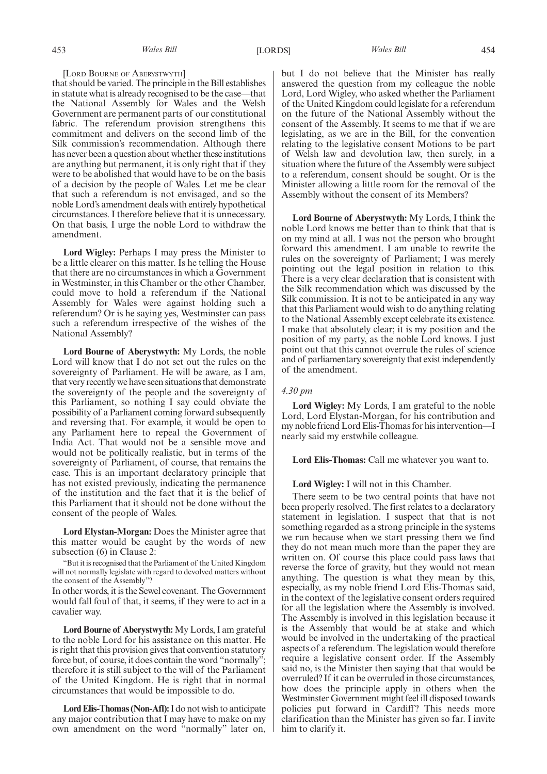#### [LORD BOURNE OF ABERYSTWYTH]

that should be varied. The principle in the Bill establishes in statute what is already recognised to be the case—that the National Assembly for Wales and the Welsh Government are permanent parts of our constitutional fabric. The referendum provision strengthens this commitment and delivers on the second limb of the Silk commission's recommendation. Although there has never been a question about whether these institutions are anything but permanent, it is only right that if they were to be abolished that would have to be on the basis of a decision by the people of Wales. Let me be clear that such a referendum is not envisaged, and so the noble Lord's amendment deals with entirely hypothetical circumstances. I therefore believe that it is unnecessary. On that basis, I urge the noble Lord to withdraw the amendment.

**Lord Wigley:** Perhaps I may press the Minister to be a little clearer on this matter. Is he telling the House that there are no circumstances in which a Government in Westminster, in this Chamber or the other Chamber, could move to hold a referendum if the National Assembly for Wales were against holding such a referendum? Or is he saying yes, Westminster can pass such a referendum irrespective of the wishes of the National Assembly?

**Lord Bourne of Aberystwyth:** My Lords, the noble Lord will know that I do not set out the rules on the sovereignty of Parliament. He will be aware, as I am, that very recently we have seen situations that demonstrate the sovereignty of the people and the sovereignty of this Parliament, so nothing I say could obviate the possibility of a Parliament coming forward subsequently and reversing that. For example, it would be open to any Parliament here to repeal the Government of India Act. That would not be a sensible move and would not be politically realistic, but in terms of the sovereignty of Parliament, of course, that remains the case. This is an important declaratory principle that has not existed previously, indicating the permanence of the institution and the fact that it is the belief of this Parliament that it should not be done without the consent of the people of Wales.

**Lord Elystan-Morgan:** Does the Minister agree that this matter would be caught by the words of new subsection (6) in Clause 2:

"But it is recognised that the Parliament of the United Kingdom will not normally legislate with regard to devolved matters without the consent of the Assembly"?

In other words, it is the Sewel covenant. The Government would fall foul of that, it seems, if they were to act in a cavalier way.

**Lord Bourne of Aberystwyth:** My Lords, I am grateful to the noble Lord for his assistance on this matter. He is right that this provision gives that convention statutory force but, of course, it does contain the word "normally"; therefore it is still subject to the will of the Parliament of the United Kingdom. He is right that in normal circumstances that would be impossible to do.

**Lord Elis-Thomas (Non-Afl):**I do not wish to anticipate any major contribution that I may have to make on my own amendment on the word "normally" later on, but I do not believe that the Minister has really answered the question from my colleague the noble Lord, Lord Wigley, who asked whether the Parliament of the United Kingdom could legislate for a referendum on the future of the National Assembly without the consent of the Assembly. It seems to me that if we are legislating, as we are in the Bill, for the convention relating to the legislative consent Motions to be part of Welsh law and devolution law, then surely, in a situation where the future of the Assembly were subject to a referendum, consent should be sought. Or is the Minister allowing a little room for the removal of the Assembly without the consent of its Members?

**Lord Bourne of Aberystwyth:** My Lords, I think the noble Lord knows me better than to think that that is on my mind at all. I was not the person who brought forward this amendment. I am unable to rewrite the rules on the sovereignty of Parliament; I was merely pointing out the legal position in relation to this. There is a very clear declaration that is consistent with the Silk recommendation which was discussed by the Silk commission. It is not to be anticipated in any way that this Parliament would wish to do anything relating to the National Assembly except celebrate its existence. I make that absolutely clear; it is my position and the position of my party, as the noble Lord knows. I just point out that this cannot overrule the rules of science and of parliamentary sovereignty that exist independently of the amendment.

## *4.30 pm*

**Lord Wigley:** My Lords, I am grateful to the noble Lord, Lord Elystan-Morgan, for his contribution and my noble friend Lord Elis-Thomas for his intervention—I nearly said my erstwhile colleague.

**Lord Elis-Thomas:** Call me whatever you want to.

#### **Lord Wigley:** I will not in this Chamber.

There seem to be two central points that have not been properly resolved. The first relates to a declaratory statement in legislation. I suspect that that is not something regarded as a strong principle in the systems we run because when we start pressing them we find they do not mean much more than the paper they are written on. Of course this place could pass laws that reverse the force of gravity, but they would not mean anything. The question is what they mean by this, especially, as my noble friend Lord Elis-Thomas said, in the context of the legislative consent orders required for all the legislation where the Assembly is involved. The Assembly is involved in this legislation because it is the Assembly that would be at stake and which would be involved in the undertaking of the practical aspects of a referendum. The legislation would therefore require a legislative consent order. If the Assembly said no, is the Minister then saying that that would be overruled? If it can be overruled in those circumstances, how does the principle apply in others when the Westminster Government might feel ill disposed towards policies put forward in Cardiff? This needs more clarification than the Minister has given so far. I invite him to clarify it.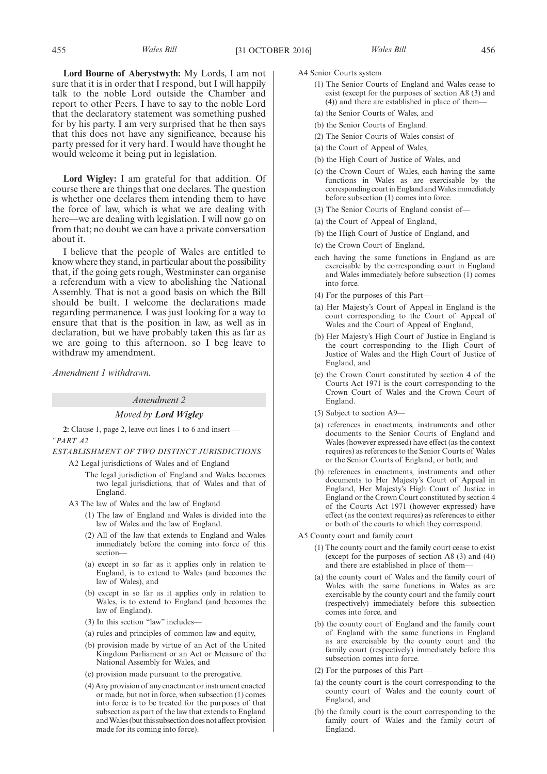**Lord Bourne of Aberystwyth:** My Lords, I am not sure that it is in order that I respond, but I will happily talk to the noble Lord outside the Chamber and report to other Peers. I have to say to the noble Lord that the declaratory statement was something pushed for by his party. I am very surprised that he then says that this does not have any significance, because his party pressed for it very hard. I would have thought he would welcome it being put in legislation.

**Lord Wigley:** I am grateful for that addition. Of course there are things that one declares. The question is whether one declares them intending them to have the force of law, which is what we are dealing with here—we are dealing with legislation. I will now go on from that; no doubt we can have a private conversation about it.

I believe that the people of Wales are entitled to know where they stand, in particular about the possibility that, if the going gets rough, Westminster can organise a referendum with a view to abolishing the National Assembly. That is not a good basis on which the Bill should be built. I welcome the declarations made regarding permanence. I was just looking for a way to ensure that that is the position in law, as well as in declaration, but we have probably taken this as far as we are going to this afternoon, so I beg leave to withdraw my amendment.

*Amendment 1 withdrawn.*

#### *Amendment 2*

#### *Moved by Lord Wigley*

**2:** Clause 1, page 2, leave out lines 1 to 6 and insert — *"PART A2*

*ESTABLISHMENT OF TWO DISTINCT JURISDICTIONS*

A2 Legal jurisdictions of Wales and of England

- The legal jurisdiction of England and Wales becomes two legal jurisdictions, that of Wales and that of England.
- A3 The law of Wales and the law of England
	- (1) The law of England and Wales is divided into the law of Wales and the law of England.
	- (2) All of the law that extends to England and Wales immediately before the coming into force of this section—
	- (a) except in so far as it applies only in relation to England, is to extend to Wales (and becomes the law of Wales), and
	- (b) except in so far as it applies only in relation to Wales, is to extend to England (and becomes the law of England).
	- (3) In this section "law" includes—
	- (a) rules and principles of common law and equity,
	- (b) provision made by virtue of an Act of the United Kingdom Parliament or an Act or Measure of the National Assembly for Wales, and
	- (c) provision made pursuant to the prerogative.
	- (4) Any provision of any enactment or instrument enacted or made, but not in force, when subsection (1) comes into force is to be treated for the purposes of that subsection as part of the law that extends to England and Wales (but this subsection does not affect provision made for its coming into force).
- A4 Senior Courts system
	- (1) The Senior Courts of England and Wales cease to exist (except for the purposes of section A8 (3) and (4)) and there are established in place of them—
	- (a) the Senior Courts of Wales, and
	- (b) the Senior Courts of England.
	- (2) The Senior Courts of Wales consist of—
	- (a) the Court of Appeal of Wales,
	- (b) the High Court of Justice of Wales, and
	- (c) the Crown Court of Wales, each having the same functions in Wales as are exercisable by the corresponding court in England and Wales immediately before subsection (1) comes into force.
	- (3) The Senior Courts of England consist of—
	- (a) the Court of Appeal of England,
	- (b) the High Court of Justice of England, and
	- (c) the Crown Court of England,
	- each having the same functions in England as are exercisable by the corresponding court in England and Wales immediately before subsection (1) comes into force.
	- (4) For the purposes of this Part—
	- (a) Her Majesty's Court of Appeal in England is the court corresponding to the Court of Appeal of Wales and the Court of Appeal of England,
	- (b) Her Majesty's High Court of Justice in England is the court corresponding to the High Court of Justice of Wales and the High Court of Justice of England, and
	- (c) the Crown Court constituted by section 4 of the Courts Act 1971 is the court corresponding to the Crown Court of Wales and the Crown Court of England.
	- (5) Subject to section A9—
	- (a) references in enactments, instruments and other documents to the Senior Courts of England and Wales (however expressed) have effect (as the context requires) as references to the Senior Courts of Wales or the Senior Courts of England, or both; and
	- (b) references in enactments, instruments and other documents to Her Majesty's Court of Appeal in England, Her Majesty's High Court of Justice in England or the Crown Court constituted by section 4 of the Courts Act 1971 (however expressed) have effect (as the context requires) as references to either or both of the courts to which they correspond.
- A5 County court and family court
	- (1) The county court and the family court cease to exist (except for the purposes of section A8 (3) and (4)) and there are established in place of them—
	- (a) the county court of Wales and the family court of Wales with the same functions in Wales as are exercisable by the county court and the family court (respectively) immediately before this subsection comes into force, and
	- (b) the county court of England and the family court of England with the same functions in England as are exercisable by the county court and the family court (respectively) immediately before this subsection comes into force.
	- (2) For the purposes of this Part—
	- (a) the county court is the court corresponding to the county court of Wales and the county court of England, and
	- (b) the family court is the court corresponding to the family court of Wales and the family court of England.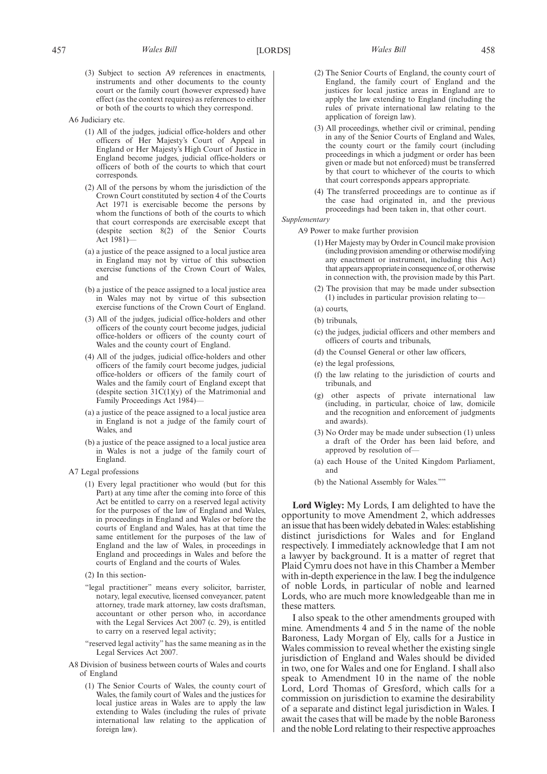(3) Subject to section A9 references in enactments, instruments and other documents to the county court or the family court (however expressed) have effect (as the context requires) as references to either or both of the courts to which they correspond.

A6 Judiciary etc.

- (1) All of the judges, judicial office-holders and other officers of Her Majesty's Court of Appeal in England or Her Majesty's High Court of Justice in England become judges, judicial office-holders or officers of both of the courts to which that court corresponds.
- (2) All of the persons by whom the jurisdiction of the Crown Court constituted by section 4 of the Courts Act 1971 is exercisable become the persons by whom the functions of both of the courts to which that court corresponds are exercisable except that (despite section 8(2) of the Senior Courts Act 1981)—
- (a) a justice of the peace assigned to a local justice area in England may not by virtue of this subsection exercise functions of the Crown Court of Wales, and
- (b) a justice of the peace assigned to a local justice area in Wales may not by virtue of this subsection exercise functions of the Crown Court of England.
- (3) All of the judges, judicial office-holders and other officers of the county court become judges, judicial office-holders or officers of the county court of Wales and the county court of England.
- (4) All of the judges, judicial office-holders and other officers of the family court become judges, judicial office-holders or officers of the family court of Wales and the family court of England except that (despite section  $31C(1)(y)$  of the Matrimonial and Family Proceedings Act 1984)—
- (a) a justice of the peace assigned to a local justice area in England is not a judge of the family court of Wales, and
- (b) a justice of the peace assigned to a local justice area in Wales is not a judge of the family court of England.
- A7 Legal professions
	- (1) Every legal practitioner who would (but for this Part) at any time after the coming into force of this Act be entitled to carry on a reserved legal activity for the purposes of the law of England and Wales, in proceedings in England and Wales or before the courts of England and Wales, has at that time the same entitlement for the purposes of the law of England and the law of Wales, in proceedings in England and proceedings in Wales and before the courts of England and the courts of Wales.
	- (2) In this section-
	- "legal practitioner" means every solicitor, barrister, notary, legal executive, licensed conveyancer, patent attorney, trade mark attorney, law costs draftsman, accountant or other person who, in accordance with the Legal Services Act 2007 (c. 29), is entitled to carry on a reserved legal activity;
	- "reserved legal activity" has the same meaning as in the Legal Services Act 2007.
- A8 Division of business between courts of Wales and courts of England
	- (1) The Senior Courts of Wales, the county court of Wales, the family court of Wales and the justices for local justice areas in Wales are to apply the law extending to Wales (including the rules of private international law relating to the application of foreign law).
- 
- (2) The Senior Courts of England, the county court of England, the family court of England and the justices for local justice areas in England are to apply the law extending to England (including the rules of private international law relating to the application of foreign law).
- (3) All proceedings, whether civil or criminal, pending in any of the Senior Courts of England and Wales, the county court or the family court (including proceedings in which a judgment or order has been given or made but not enforced) must be transferred by that court to whichever of the courts to which that court corresponds appears appropriate.
- (4) The transferred proceedings are to continue as if the case had originated in, and the previous proceedings had been taken in, that other court.

#### *Supplementary*

- A9 Power to make further provision
	- (1) Her Majesty may by Order in Council make provision (including provision amending or otherwise modifying any enactment or instrument, including this Act) that appears appropriate in consequence of, or otherwise in connection with, the provision made by this Part.
	- (2) The provision that may be made under subsection (1) includes in particular provision relating to—
	- (a) courts,
	- (b) tribunals.
	- (c) the judges, judicial officers and other members and officers of courts and tribunals,
	- (d) the Counsel General or other law officers,
	- (e) the legal professions,
	- (f) the law relating to the jurisdiction of courts and tribunals, and
	- (g) other aspects of private international law (including, in particular, choice of law, domicile and the recognition and enforcement of judgments and awards).
	- (3) No Order may be made under subsection (1) unless a draft of the Order has been laid before, and approved by resolution of—
	- (a) each House of the United Kingdom Parliament, and
	- (b) the National Assembly for Wales.""

**Lord Wigley:** My Lords, I am delighted to have the opportunity to move Amendment 2, which addresses an issue that has been widely debated in Wales: establishing distinct jurisdictions for Wales and for England respectively. I immediately acknowledge that I am not a lawyer by background. It is a matter of regret that Plaid Cymru does not have in this Chamber a Member with in-depth experience in the law. I beg the indulgence of noble Lords, in particular of noble and learned Lords, who are much more knowledgeable than me in these matters.

I also speak to the other amendments grouped with mine. Amendments 4 and 5 in the name of the noble Baroness, Lady Morgan of Ely, calls for a Justice in Wales commission to reveal whether the existing single jurisdiction of England and Wales should be divided in two, one for Wales and one for England. I shall also speak to Amendment 10 in the name of the noble Lord, Lord Thomas of Gresford, which calls for a commission on jurisdiction to examine the desirability of a separate and distinct legal jurisdiction in Wales. I await the cases that will be made by the noble Baroness and the noble Lord relating to their respective approaches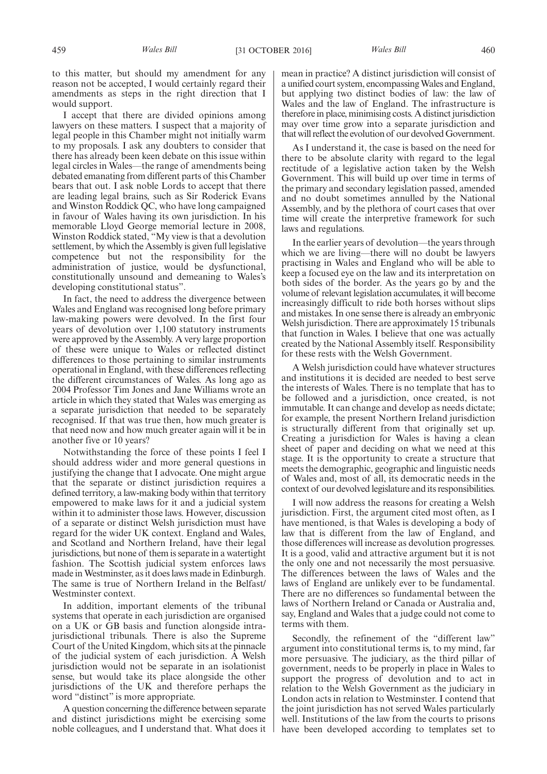to this matter, but should my amendment for any reason not be accepted, I would certainly regard their amendments as steps in the right direction that I would support.

I accept that there are divided opinions among lawyers on these matters. I suspect that a majority of legal people in this Chamber might not initially warm to my proposals. I ask any doubters to consider that there has already been keen debate on this issue within legal circles in Wales—the range of amendments being debated emanating from different parts of this Chamber bears that out. I ask noble Lords to accept that there are leading legal brains, such as Sir Roderick Evans and Winston Roddick QC, who have long campaigned in favour of Wales having its own jurisdiction. In his memorable Lloyd George memorial lecture in 2008, Winston Roddick stated, "My view is that a devolution settlement, by which the Assembly is given full legislative competence but not the responsibility for the administration of justice, would be dysfunctional, constitutionally unsound and demeaning to Wales's developing constitutional status".

In fact, the need to address the divergence between Wales and England was recognised long before primary law-making powers were devolved. In the first four years of devolution over 1,100 statutory instruments were approved by the Assembly. A very large proportion of these were unique to Wales or reflected distinct differences to those pertaining to similar instruments operational in England, with these differences reflecting the different circumstances of Wales. As long ago as 2004 Professor Tim Jones and Jane Williams wrote an article in which they stated that Wales was emerging as a separate jurisdiction that needed to be separately recognised. If that was true then, how much greater is that need now and how much greater again will it be in another five or 10 years?

Notwithstanding the force of these points I feel I should address wider and more general questions in justifying the change that I advocate. One might argue that the separate or distinct jurisdiction requires a defined territory, a law-making body within that territory empowered to make laws for it and a judicial system within it to administer those laws. However, discussion of a separate or distinct Welsh jurisdiction must have regard for the wider UK context. England and Wales, and Scotland and Northern Ireland, have their legal jurisdictions, but none of them is separate in a watertight fashion. The Scottish judicial system enforces laws made in Westminster, as it does laws made in Edinburgh. The same is true of Northern Ireland in the Belfast/ Westminster context.

In addition, important elements of the tribunal systems that operate in each jurisdiction are organised on a UK or GB basis and function alongside intrajurisdictional tribunals. There is also the Supreme Court of the United Kingdom, which sits at the pinnacle of the judicial system of each jurisdiction. A Welsh jurisdiction would not be separate in an isolationist sense, but would take its place alongside the other jurisdictions of the UK and therefore perhaps the word "distinct" is more appropriate.

A question concerning the difference between separate and distinct jurisdictions might be exercising some noble colleagues, and I understand that. What does it mean in practice? A distinct jurisdiction will consist of a unified court system, encompassing Wales and England, but applying two distinct bodies of law: the law of Wales and the law of England. The infrastructure is therefore in place, minimising costs. A distinct jurisdiction may over time grow into a separate jurisdiction and that will reflect the evolution of our devolved Government.

As I understand it, the case is based on the need for there to be absolute clarity with regard to the legal rectitude of a legislative action taken by the Welsh Government. This will build up over time in terms of the primary and secondary legislation passed, amended and no doubt sometimes annulled by the National Assembly, and by the plethora of court cases that over time will create the interpretive framework for such laws and regulations.

In the earlier years of devolution—the years through which we are living—there will no doubt be lawyers practising in Wales and England who will be able to keep a focused eye on the law and its interpretation on both sides of the border. As the years go by and the volume of relevant legislation accumulates, it will become increasingly difficult to ride both horses without slips and mistakes. In one sense there is already an embryonic Welsh jurisdiction. There are approximately 15 tribunals that function in Wales. I believe that one was actually created by the National Assembly itself. Responsibility for these rests with the Welsh Government.

A Welsh jurisdiction could have whatever structures and institutions it is decided are needed to best serve the interests of Wales. There is no template that has to be followed and a jurisdiction, once created, is not immutable. It can change and develop as needs dictate; for example, the present Northern Ireland jurisdiction is structurally different from that originally set up. Creating a jurisdiction for Wales is having a clean sheet of paper and deciding on what we need at this stage. It is the opportunity to create a structure that meets the demographic, geographic and linguistic needs of Wales and, most of all, its democratic needs in the context of our devolved legislature and its responsibilities.

I will now address the reasons for creating a Welsh jurisdiction. First, the argument cited most often, as I have mentioned, is that Wales is developing a body of law that is different from the law of England, and those differences will increase as devolution progresses. It is a good, valid and attractive argument but it is not the only one and not necessarily the most persuasive. The differences between the laws of Wales and the laws of England are unlikely ever to be fundamental. There are no differences so fundamental between the laws of Northern Ireland or Canada or Australia and, say, England and Wales that a judge could not come to terms with them.

Secondly, the refinement of the "different law" argument into constitutional terms is, to my mind, far more persuasive. The judiciary, as the third pillar of government, needs to be properly in place in Wales to support the progress of devolution and to act in relation to the Welsh Government as the judiciary in London acts in relation to Westminster. I contend that the joint jurisdiction has not served Wales particularly well. Institutions of the law from the courts to prisons have been developed according to templates set to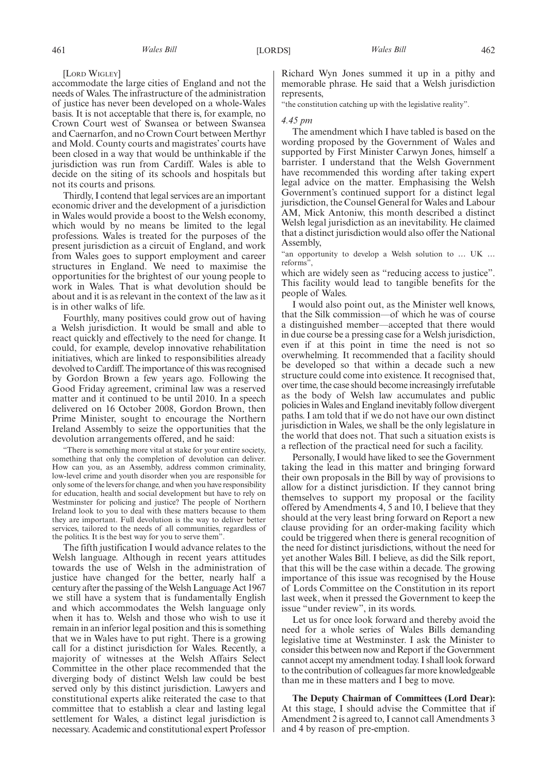[LORD WIGLEY]

accommodate the large cities of England and not the needs of Wales. The infrastructure of the administration of justice has never been developed on a whole-Wales basis. It is not acceptable that there is, for example, no Crown Court west of Swansea or between Swansea and Caernarfon, and no Crown Court between Merthyr and Mold. County courts and magistrates' courts have been closed in a way that would be unthinkable if the jurisdiction was run from Cardiff. Wales is able to decide on the siting of its schools and hospitals but not its courts and prisons.

Thirdly, I contend that legal services are an important economic driver and the development of a jurisdiction in Wales would provide a boost to the Welsh economy, which would by no means be limited to the legal professions. Wales is treated for the purposes of the present jurisdiction as a circuit of England, and work from Wales goes to support employment and career structures in England. We need to maximise the opportunities for the brightest of our young people to work in Wales. That is what devolution should be about and it is as relevant in the context of the law as it is in other walks of life.

Fourthly, many positives could grow out of having a Welsh jurisdiction. It would be small and able to react quickly and effectively to the need for change. It could, for example, develop innovative rehabilitation initiatives, which are linked to responsibilities already devolved to Cardiff. The importance of this was recognised by Gordon Brown a few years ago. Following the Good Friday agreement, criminal law was a reserved matter and it continued to be until 2010. In a speech delivered on 16 October 2008, Gordon Brown, then Prime Minister, sought to encourage the Northern Ireland Assembly to seize the opportunities that the devolution arrangements offered, and he said:

"There is something more vital at stake for your entire society, something that only the completion of devolution can deliver. How can you, as an Assembly, address common criminality, low-level crime and youth disorder when you are responsible for only some of the levers for change, and when you have responsibility for education, health and social development but have to rely on Westminster for policing and justice? The people of Northern Ireland look to you to deal with these matters because to them they are important. Full devolution is the way to deliver better services, tailored to the needs of all communities, regardless of the politics. It is the best way for you to serve them".

The fifth justification I would advance relates to the Welsh language. Although in recent years attitudes towards the use of Welsh in the administration of justice have changed for the better, nearly half a century after the passing of the Welsh Language Act 1967 we still have a system that is fundamentally English and which accommodates the Welsh language only when it has to. Welsh and those who wish to use it remain in an inferior legal position and this is something that we in Wales have to put right. There is a growing call for a distinct jurisdiction for Wales. Recently, a majority of witnesses at the Welsh Affairs Select Committee in the other place recommended that the diverging body of distinct Welsh law could be best served only by this distinct jurisdiction. Lawyers and constitutional experts alike reiterated the case to that committee that to establish a clear and lasting legal settlement for Wales, a distinct legal jurisdiction is necessary. Academic and constitutional expert Professor Richard Wyn Jones summed it up in a pithy and memorable phrase. He said that a Welsh jurisdiction represents,

"the constitution catching up with the legislative reality".

#### *4.45 pm*

The amendment which I have tabled is based on the wording proposed by the Government of Wales and supported by First Minister Carwyn Jones, himself a barrister. I understand that the Welsh Government have recommended this wording after taking expert legal advice on the matter. Emphasising the Welsh Government's continued support for a distinct legal jurisdiction, the Counsel General for Wales and Labour AM, Mick Antoniw, this month described a distinct Welsh legal jurisdiction as an inevitability. He claimed that a distinct jurisdiction would also offer the National Assembly,

"an opportunity to develop a Welsh solution to … UK … reforms",

which are widely seen as "reducing access to justice". This facility would lead to tangible benefits for the people of Wales.

I would also point out, as the Minister well knows, that the Silk commission—of which he was of course a distinguished member—accepted that there would in due course be a pressing case for a Welsh jurisdiction, even if at this point in time the need is not so overwhelming*.* It recommended that a facility should be developed so that within a decade such a new structure could come into existence. It recognised that, over time, the case should become increasingly irrefutable as the body of Welsh law accumulates and public policies in Wales and England inevitably follow divergent paths. I am told that if we do not have our own distinct jurisdiction in Wales, we shall be the only legislature in the world that does not. That such a situation exists is a reflection of the practical need for such a facility.

Personally, I would have liked to see the Government taking the lead in this matter and bringing forward their own proposals in the Bill by way of provisions to allow for a distinct jurisdiction. If they cannot bring themselves to support my proposal or the facility offered by Amendments 4, 5 and 10, I believe that they should at the very least bring forward on Report a new clause providing for an order-making facility which could be triggered when there is general recognition of the need for distinct jurisdictions, without the need for yet another Wales Bill. I believe, as did the Silk report, that this will be the case within a decade. The growing importance of this issue was recognised by the House of Lords Committee on the Constitution in its report last week, when it pressed the Government to keep the issue "under review", in its words.

Let us for once look forward and thereby avoid the need for a whole series of Wales Bills demanding legislative time at Westminster. I ask the Minister to consider this between now and Report if the Government cannot accept my amendment today. I shall look forward to the contribution of colleagues far more knowledgeable than me in these matters and I beg to move.

**The Deputy Chairman of Committees (Lord Dear):** At this stage, I should advise the Committee that if Amendment 2 is agreed to, I cannot call Amendments 3 and 4 by reason of pre-emption.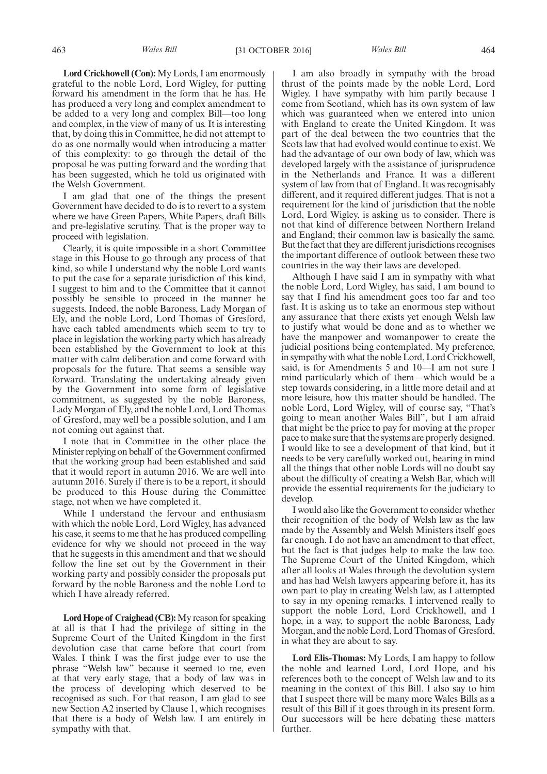**Lord Crickhowell (Con):** My Lords, I am enormously grateful to the noble Lord, Lord Wigley, for putting forward his amendment in the form that he has. He has produced a very long and complex amendment to be added to a very long and complex Bill—too long and complex, in the view of many of us. It is interesting that, by doing this in Committee, he did not attempt to do as one normally would when introducing a matter of this complexity: to go through the detail of the proposal he was putting forward and the wording that has been suggested, which he told us originated with the Welsh Government.

I am glad that one of the things the present Government have decided to do is to revert to a system where we have Green Papers, White Papers, draft Bills and pre-legislative scrutiny. That is the proper way to proceed with legislation.

Clearly, it is quite impossible in a short Committee stage in this House to go through any process of that kind, so while I understand why the noble Lord wants to put the case for a separate jurisdiction of this kind, I suggest to him and to the Committee that it cannot possibly be sensible to proceed in the manner he suggests. Indeed, the noble Baroness, Lady Morgan of Ely, and the noble Lord, Lord Thomas of Gresford, have each tabled amendments which seem to try to place in legislation the working party which has already been established by the Government to look at this matter with calm deliberation and come forward with proposals for the future. That seems a sensible way forward. Translating the undertaking already given by the Government into some form of legislative commitment, as suggested by the noble Baroness, Lady Morgan of Ely, and the noble Lord, Lord Thomas of Gresford, may well be a possible solution, and I am not coming out against that.

I note that in Committee in the other place the Minister replying on behalf of the Government confirmed that the working group had been established and said that it would report in autumn 2016. We are well into autumn 2016. Surely if there is to be a report, it should be produced to this House during the Committee stage, not when we have completed it.

While I understand the fervour and enthusiasm with which the noble Lord, Lord Wigley, has advanced his case, it seems to me that he has produced compelling evidence for why we should not proceed in the way that he suggests in this amendment and that we should follow the line set out by the Government in their working party and possibly consider the proposals put forward by the noble Baroness and the noble Lord to which I have already referred.

**Lord Hope of Craighead (CB):**My reason for speaking at all is that I had the privilege of sitting in the Supreme Court of the United Kingdom in the first devolution case that came before that court from Wales. I think I was the first judge ever to use the phrase "Welsh law" because it seemed to me, even at that very early stage, that a body of law was in the process of developing which deserved to be recognised as such. For that reason, I am glad to see new Section A2 inserted by Clause 1, which recognises that there is a body of Welsh law. I am entirely in sympathy with that.

I am also broadly in sympathy with the broad thrust of the points made by the noble Lord, Lord Wigley. I have sympathy with him partly because I come from Scotland, which has its own system of law which was guaranteed when we entered into union with England to create the United Kingdom. It was part of the deal between the two countries that the Scots law that had evolved would continue to exist. We had the advantage of our own body of law, which was developed largely with the assistance of jurisprudence in the Netherlands and France. It was a different system of law from that of England. It was recognisably different, and it required different judges. That is not a requirement for the kind of jurisdiction that the noble Lord, Lord Wigley, is asking us to consider. There is not that kind of difference between Northern Ireland and England; their common law is basically the same. But the fact that they are different jurisdictions recognises the important difference of outlook between these two countries in the way their laws are developed.

Although I have said I am in sympathy with what the noble Lord, Lord Wigley, has said, I am bound to say that I find his amendment goes too far and too fast. It is asking us to take an enormous step without any assurance that there exists yet enough Welsh law to justify what would be done and as to whether we have the manpower and womanpower to create the judicial positions being contemplated. My preference, in sympathy with what the noble Lord, Lord Crickhowell, said, is for Amendments 5 and 10—I am not sure I mind particularly which of them—which would be a step towards considering, in a little more detail and at more leisure, how this matter should be handled. The noble Lord, Lord Wigley, will of course say, "That's going to mean another Wales Bill", but I am afraid that might be the price to pay for moving at the proper pace to make sure that the systems are properly designed. I would like to see a development of that kind, but it needs to be very carefully worked out, bearing in mind all the things that other noble Lords will no doubt say about the difficulty of creating a Welsh Bar, which will provide the essential requirements for the judiciary to develop.

I would also like the Government to consider whether their recognition of the body of Welsh law as the law made by the Assembly and Welsh Ministers itself goes far enough. I do not have an amendment to that effect, but the fact is that judges help to make the law too. The Supreme Court of the United Kingdom, which after all looks at Wales through the devolution system and has had Welsh lawyers appearing before it, has its own part to play in creating Welsh law, as I attempted to say in my opening remarks. I intervened really to support the noble Lord, Lord Crickhowell, and I hope, in a way, to support the noble Baroness, Lady Morgan, and the noble Lord, Lord Thomas of Gresford, in what they are about to say.

**Lord Elis-Thomas:** My Lords, I am happy to follow the noble and learned Lord, Lord Hope, and his references both to the concept of Welsh law and to its meaning in the context of this Bill. I also say to him that I suspect there will be many more Wales Bills as a result of this Bill if it goes through in its present form. Our successors will be here debating these matters further.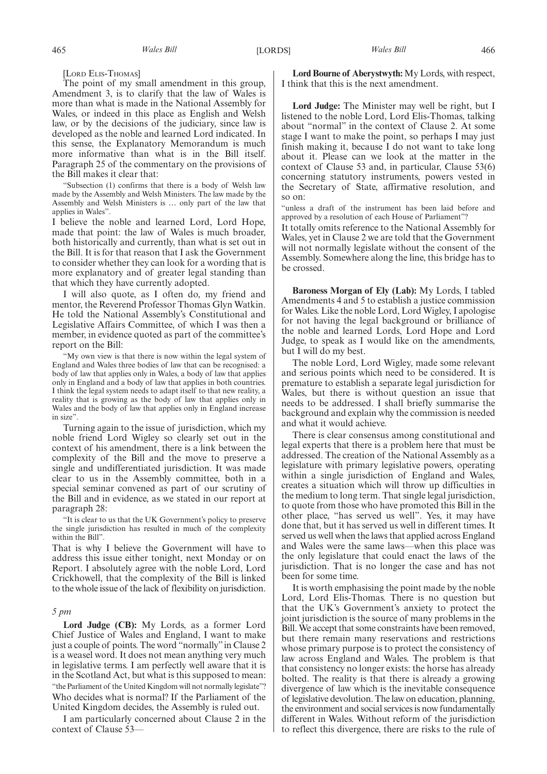[LORD ELIS-THOMAS]

The point of my small amendment in this group, Amendment 3, is to clarify that the law of Wales is more than what is made in the National Assembly for Wales, or indeed in this place as English and Welsh law, or by the decisions of the judiciary, since law is developed as the noble and learned Lord indicated. In this sense, the Explanatory Memorandum is much more informative than what is in the Bill itself. Paragraph 25 of the commentary on the provisions of the Bill makes it clear that:

"Subsection (1) confirms that there is a body of Welsh law made by the Assembly and Welsh Ministers. The law made by the Assembly and Welsh Ministers is … only part of the law that applies in Wales".

I believe the noble and learned Lord, Lord Hope, made that point: the law of Wales is much broader, both historically and currently, than what is set out in the Bill. It is for that reason that I ask the Government to consider whether they can look for a wording that is more explanatory and of greater legal standing than that which they have currently adopted.

I will also quote, as I often do, my friend and mentor, the Reverend Professor Thomas Glyn Watkin. He told the National Assembly's Constitutional and Legislative Affairs Committee, of which I was then a member, in evidence quoted as part of the committee's report on the Bill:

"My own view is that there is now within the legal system of England and Wales three bodies of law that can be recognised: a body of law that applies only in Wales, a body of law that applies only in England and a body of law that applies in both countries. I think the legal system needs to adapt itself to that new reality, a reality that is growing as the body of law that applies only in Wales and the body of law that applies only in England increase in size".

Turning again to the issue of jurisdiction, which my noble friend Lord Wigley so clearly set out in the context of his amendment, there is a link between the complexity of the Bill and the move to preserve a single and undifferentiated jurisdiction. It was made clear to us in the Assembly committee, both in a special seminar convened as part of our scrutiny of the Bill and in evidence, as we stated in our report at paragraph 28:

"It is clear to us that the UK Government's policy to preserve the single jurisdiction has resulted in much of the complexity within the Bill".

That is why I believe the Government will have to address this issue either tonight, next Monday or on Report. I absolutely agree with the noble Lord, Lord Crickhowell, that the complexity of the Bill is linked to the whole issue of the lack of flexibility on jurisdiction.

#### *5 pm*

**Lord Judge (CB):** My Lords, as a former Lord Chief Justice of Wales and England, I want to make just a couple of points. The word "normally"in Clause 2 is a weasel word. It does not mean anything very much in legislative terms. I am perfectly well aware that it is in the Scotland Act, but what is this supposed to mean: "the Parliament of the United Kingdom will not normally legislate"? Who decides what is normal? If the Parliament of the United Kingdom decides, the Assembly is ruled out.

I am particularly concerned about Clause 2 in the context of Clause 53-

**Lord Bourne of Aberystwyth:** My Lords, with respect, I think that this is the next amendment.

**Lord Judge:** The Minister may well be right, but I listened to the noble Lord, Lord Elis-Thomas, talking about "normal" in the context of Clause 2. At some stage I want to make the point, so perhaps I may just finish making it, because I do not want to take long about it. Please can we look at the matter in the context of Clause 53 and, in particular, Clause 53(6) concerning statutory instruments, powers vested in the Secretary of State, affirmative resolution, and so on:

"unless a draft of the instrument has been laid before and approved by a resolution of each House of Parliament"?

It totally omits reference to the National Assembly for Wales, yet in Clause 2 we are told that the Government will not normally legislate without the consent of the Assembly. Somewhere along the line, this bridge has to be crossed.

**Baroness Morgan of Ely (Lab):** My Lords, I tabled Amendments 4 and 5 to establish a justice commission for Wales. Like the noble Lord, Lord Wigley, I apologise for not having the legal background or brilliance of the noble and learned Lords, Lord Hope and Lord Judge, to speak as I would like on the amendments, but I will do my best.

The noble Lord, Lord Wigley, made some relevant and serious points which need to be considered. It is premature to establish a separate legal jurisdiction for Wales, but there is without question an issue that needs to be addressed. I shall briefly summarise the background and explain why the commission is needed and what it would achieve.

There is clear consensus among constitutional and legal experts that there is a problem here that must be addressed. The creation of the National Assembly as a legislature with primary legislative powers, operating within a single jurisdiction of England and Wales, creates a situation which will throw up difficulties in the medium to long term. That single legal jurisdiction, to quote from those who have promoted this Bill in the other place, "has served us well". Yes, it may have done that, but it has served us well in different times. It served us well when the laws that applied across England and Wales were the same laws—when this place was the only legislature that could enact the laws of the jurisdiction. That is no longer the case and has not been for some time.

It is worth emphasising the point made by the noble Lord, Lord Elis-Thomas. There is no question but that the UK's Government's anxiety to protect the joint jurisdiction is the source of many problems in the Bill. We accept that some constraints have been removed, but there remain many reservations and restrictions whose primary purpose is to protect the consistency of law across England and Wales. The problem is that that consistency no longer exists: the horse has already bolted. The reality is that there is already a growing divergence of law which is the inevitable consequence of legislative devolution. The law on education, planning, the environment and social services is now fundamentally different in Wales. Without reform of the jurisdiction to reflect this divergence, there are risks to the rule of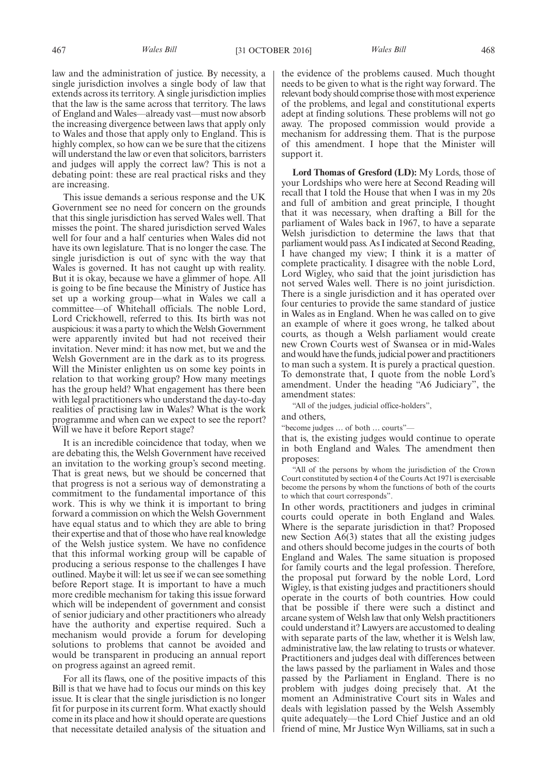law and the administration of justice. By necessity, a single jurisdiction involves a single body of law that extends across its territory. A single jurisdiction implies that the law is the same across that territory. The laws of England and Wales—already vast—must now absorb the increasing divergence between laws that apply only to Wales and those that apply only to England. This is highly complex, so how can we be sure that the citizens will understand the law or even that solicitors, barristers and judges will apply the correct law? This is not a debating point: these are real practical risks and they are increasing.

This issue demands a serious response and the UK Government see no need for concern on the grounds that this single jurisdiction has served Wales well. That misses the point. The shared jurisdiction served Wales well for four and a half centuries when Wales did not have its own legislature. That is no longer the case. The single jurisdiction is out of sync with the way that Wales is governed. It has not caught up with reality. But it is okay, because we have a glimmer of hope. All is going to be fine because the Ministry of Justice has set up a working group—what in Wales we call a committee—of Whitehall officials. The noble Lord, Lord Crickhowell, referred to this. Its birth was not auspicious: it was a party to which the Welsh Government were apparently invited but had not received their invitation. Never mind: it has now met, but we and the Welsh Government are in the dark as to its progress. Will the Minister enlighten us on some key points in relation to that working group? How many meetings has the group held? What engagement has there been with legal practitioners who understand the day-to-day realities of practising law in Wales? What is the work programme and when can we expect to see the report? Will we have it before Report stage?

It is an incredible coincidence that today, when we are debating this, the Welsh Government have received an invitation to the working group's second meeting. That is great news, but we should be concerned that that progress is not a serious way of demonstrating a commitment to the fundamental importance of this work. This is why we think it is important to bring forward a commission on which the Welsh Government have equal status and to which they are able to bring their expertise and that of those who have real knowledge of the Welsh justice system. We have no confidence that this informal working group will be capable of producing a serious response to the challenges I have outlined. Maybe it will: let us see if we can see something before Report stage. It is important to have a much more credible mechanism for taking this issue forward which will be independent of government and consist of senior judiciary and other practitioners who already have the authority and expertise required. Such a mechanism would provide a forum for developing solutions to problems that cannot be avoided and would be transparent in producing an annual report on progress against an agreed remit.

For all its flaws, one of the positive impacts of this Bill is that we have had to focus our minds on this key issue. It is clear that the single jurisdiction is no longer fit for purpose in its current form. What exactly should come in its place and how it should operate are questions that necessitate detailed analysis of the situation and the evidence of the problems caused. Much thought needs to be given to what is the right way forward. The relevant body should comprise those with most experience of the problems, and legal and constitutional experts adept at finding solutions. These problems will not go away. The proposed commission would provide a mechanism for addressing them. That is the purpose of this amendment. I hope that the Minister will support it.

**Lord Thomas of Gresford (LD):** My Lords, those of your Lordships who were here at Second Reading will recall that I told the House that when I was in my 20s and full of ambition and great principle, I thought that it was necessary, when drafting a Bill for the parliament of Wales back in 1967, to have a separate Welsh jurisdiction to determine the laws that that parliament would pass. As I indicated at Second Reading, I have changed my view; I think it is a matter of complete practicality. I disagree with the noble Lord, Lord Wigley, who said that the joint jurisdiction has not served Wales well. There is no joint jurisdiction. There is a single jurisdiction and it has operated over four centuries to provide the same standard of justice in Wales as in England. When he was called on to give an example of where it goes wrong, he talked about courts, as though a Welsh parliament would create new Crown Courts west of Swansea or in mid-Wales and would have the funds, judicial power and practitioners to man such a system. It is purely a practical question. To demonstrate that, I quote from the noble Lord's amendment. Under the heading "A6 Judiciary", the amendment states:

"All of the judges, judicial office-holders",

and others,

"become judges … of both … courts"—

that is, the existing judges would continue to operate in both England and Wales. The amendment then proposes:

"All of the persons by whom the jurisdiction of the Crown Court constituted by section 4 of the Courts Act 1971 is exercisable become the persons by whom the functions of both of the courts to which that court corresponds".

In other words, practitioners and judges in criminal courts could operate in both England and Wales. Where is the separate jurisdiction in that? Proposed new Section A6(3) states that all the existing judges and others should become judges in the courts of both England and Wales. The same situation is proposed for family courts and the legal profession. Therefore, the proposal put forward by the noble Lord, Lord Wigley, is that existing judges and practitioners should operate in the courts of both countries. How could that be possible if there were such a distinct and arcane system of Welsh law that only Welsh practitioners could understand it? Lawyers are accustomed to dealing with separate parts of the law, whether it is Welsh law, administrative law, the law relating to trusts or whatever. Practitioners and judges deal with differences between the laws passed by the parliament in Wales and those passed by the Parliament in England. There is no problem with judges doing precisely that. At the moment an Administrative Court sits in Wales and deals with legislation passed by the Welsh Assembly quite adequately—the Lord Chief Justice and an old friend of mine, Mr Justice Wyn Williams, sat in such a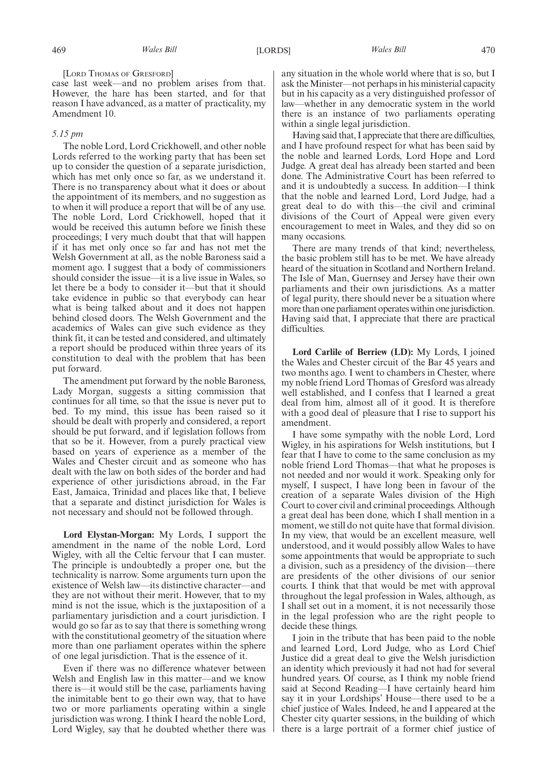[LORD THOMAS OF GRESFORD]

case last week—and no problem arises from that. However, the hare has been started, and for that reason I have advanced, as a matter of practicality, my Amendment 10.

## *5.15 pm*

The noble Lord, Lord Crickhowell, and other noble Lords referred to the working party that has been set up to consider the question of a separate jurisdiction, which has met only once so far, as we understand it. There is no transparency about what it does or about the appointment of its members, and no suggestion as to when it will produce a report that will be of any use. The noble Lord, Lord Crickhowell, hoped that it would be received this autumn before we finish these proceedings; I very much doubt that that will happen if it has met only once so far and has not met the Welsh Government at all, as the noble Baroness said a moment ago. I suggest that a body of commissioners should consider the issue—it is a live issue in Wales, so let there be a body to consider it—but that it should take evidence in public so that everybody can hear what is being talked about and it does not happen behind closed doors. The Welsh Government and the academics of Wales can give such evidence as they think fit, it can be tested and considered, and ultimately a report should be produced within three years of its constitution to deal with the problem that has been put forward.

The amendment put forward by the noble Baroness, Lady Morgan, suggests a sitting commission that continues for all time, so that the issue is never put to bed. To my mind, this issue has been raised so it should be dealt with properly and considered, a report should be put forward, and if legislation follows from that so be it. However, from a purely practical view based on years of experience as a member of the Wales and Chester circuit and as someone who has dealt with the law on both sides of the border and had experience of other jurisdictions abroad, in the Far East, Jamaica, Trinidad and places like that, I believe that a separate and distinct jurisdiction for Wales is not necessary and should not be followed through.

**Lord Elystan-Morgan:** My Lords, I support the amendment in the name of the noble Lord, Lord Wigley, with all the Celtic fervour that I can muster. The principle is undoubtedly a proper one, but the technicality is narrow. Some arguments turn upon the existence of Welsh law—its distinctive character—and they are not without their merit. However, that to my mind is not the issue, which is the juxtaposition of a parliamentary jurisdiction and a court jurisdiction. I would go so far as to say that there is something wrong with the constitutional geometry of the situation where more than one parliament operates within the sphere of one legal jurisdiction. That is the essence of it.

Even if there was no difference whatever between Welsh and English law in this matter—and we know there is—it would still be the case, parliaments having the inimitable bent to go their own way, that to have two or more parliaments operating within a single jurisdiction was wrong. I think I heard the noble Lord, Lord Wigley, say that he doubted whether there was

any situation in the whole world where that is so, but I ask the Minister—not perhaps in his ministerial capacity but in his capacity as a very distinguished professor of law—whether in any democratic system in the world there is an instance of two parliaments operating within a single legal jurisdiction.

Having said that, I appreciate that there are difficulties, and I have profound respect for what has been said by the noble and learned Lords, Lord Hope and Lord Judge. A great deal has already been started and been done. The Administrative Court has been referred to and it is undoubtedly a success. In addition—I think that the noble and learned Lord, Lord Judge, had a great deal to do with this—the civil and criminal divisions of the Court of Appeal were given every encouragement to meet in Wales, and they did so on many occasions.

There are many trends of that kind; nevertheless, the basic problem still has to be met. We have already heard of the situation in Scotland and Northern Ireland. The Isle of Man, Guernsey and Jersey have their own parliaments and their own jurisdictions. As a matter of legal purity, there should never be a situation where more than one parliament operates within one jurisdiction. Having said that, I appreciate that there are practical difficulties.

**Lord Carlile of Berriew (LD):** My Lords, I joined the Wales and Chester circuit of the Bar 45 years and two months ago. I went to chambers in Chester, where my noble friend Lord Thomas of Gresford was already well established, and I confess that I learned a great deal from him, almost all of it good. It is therefore with a good deal of pleasure that I rise to support his amendment.

I have some sympathy with the noble Lord, Lord Wigley, in his aspirations for Welsh institutions, but I fear that I have to come to the same conclusion as my noble friend Lord Thomas—that what he proposes is not needed and nor would it work. Speaking only for myself, I suspect, I have long been in favour of the creation of a separate Wales division of the High Court to cover civil and criminal proceedings. Although a great deal has been done, which I shall mention in a moment, we still do not quite have that formal division. In my view, that would be an excellent measure, well understood, and it would possibly allow Wales to have some appointments that would be appropriate to such a division, such as a presidency of the division—there are presidents of the other divisions of our senior courts. I think that that would be met with approval throughout the legal profession in Wales, although, as I shall set out in a moment, it is not necessarily those in the legal profession who are the right people to decide these things.

I join in the tribute that has been paid to the noble and learned Lord, Lord Judge, who as Lord Chief Justice did a great deal to give the Welsh jurisdiction an identity which previously it had not had for several hundred years. Of course, as I think my noble friend said at Second Reading—I have certainly heard him say it in your Lordships' House—there used to be a chief justice of Wales. Indeed, he and I appeared at the Chester city quarter sessions, in the building of which there is a large portrait of a former chief justice of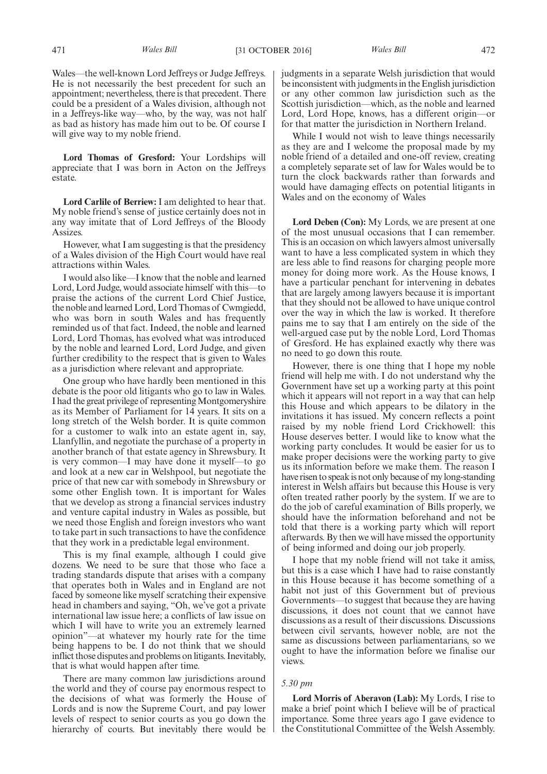Wales—the well-known Lord Jeffreys or Judge Jeffreys. He is not necessarily the best precedent for such an appointment; nevertheless, there is that precedent. There could be a president of a Wales division, although not in a Jeffreys-like way—who, by the way, was not half as bad as history has made him out to be. Of course I will give way to my noble friend.

**Lord Thomas of Gresford:** Your Lordships will appreciate that I was born in Acton on the Jeffreys estate.

**Lord Carlile of Berriew:** I am delighted to hear that. My noble friend's sense of justice certainly does not in any way imitate that of Lord Jeffreys of the Bloody Assizes.

However, what I am suggesting is that the presidency of a Wales division of the High Court would have real attractions within Wales.

I would also like—I know that the noble and learned Lord, Lord Judge, would associate himself with this—to praise the actions of the current Lord Chief Justice, the noble and learned Lord, Lord Thomas of Cwmgiedd, who was born in south Wales and has frequently reminded us of that fact. Indeed, the noble and learned Lord, Lord Thomas, has evolved what was introduced by the noble and learned Lord, Lord Judge, and given further credibility to the respect that is given to Wales as a jurisdiction where relevant and appropriate.

One group who have hardly been mentioned in this debate is the poor old litigants who go to law in Wales. I had the great privilege of representing Montgomeryshire as its Member of Parliament for 14 years. It sits on a long stretch of the Welsh border. It is quite common for a customer to walk into an estate agent in, say, Llanfyllin, and negotiate the purchase of a property in another branch of that estate agency in Shrewsbury. It is very common—I may have done it myself—to go and look at a new car in Welshpool, but negotiate the price of that new car with somebody in Shrewsbury or some other English town. It is important for Wales that we develop as strong a financial services industry and venture capital industry in Wales as possible, but we need those English and foreign investors who want to take part in such transactions to have the confidence that they work in a predictable legal environment.

This is my final example, although I could give dozens. We need to be sure that those who face a trading standards dispute that arises with a company that operates both in Wales and in England are not faced by someone like myself scratching their expensive head in chambers and saying, "Oh, we've got a private international law issue here; a conflicts of law issue on which I will have to write you an extremely learned opinion"—at whatever my hourly rate for the time being happens to be. I do not think that we should inflict those disputes and problems on litigants. Inevitably, that is what would happen after time.

There are many common law jurisdictions around the world and they of course pay enormous respect to the decisions of what was formerly the House of Lords and is now the Supreme Court, and pay lower levels of respect to senior courts as you go down the hierarchy of courts. But inevitably there would be

judgments in a separate Welsh jurisdiction that would be inconsistent with judgments in the English jurisdiction or any other common law jurisdiction such as the Scottish jurisdiction—which, as the noble and learned Lord, Lord Hope, knows, has a different origin—or for that matter the jurisdiction in Northern Ireland.

While I would not wish to leave things necessarily as they are and I welcome the proposal made by my noble friend of a detailed and one-off review, creating a completely separate set of law for Wales would be to turn the clock backwards rather than forwards and would have damaging effects on potential litigants in Wales and on the economy of Wales

**Lord Deben (Con):** My Lords, we are present at one of the most unusual occasions that I can remember. This is an occasion on which lawyers almost universally want to have a less complicated system in which they are less able to find reasons for charging people more money for doing more work. As the House knows, I have a particular penchant for intervening in debates that are largely among lawyers because it is important that they should not be allowed to have unique control over the way in which the law is worked. It therefore pains me to say that I am entirely on the side of the well-argued case put by the noble Lord, Lord Thomas of Gresford. He has explained exactly why there was no need to go down this route.

However, there is one thing that I hope my noble friend will help me with. I do not understand why the Government have set up a working party at this point which it appears will not report in a way that can help this House and which appears to be dilatory in the invitations it has issued. My concern reflects a point raised by my noble friend Lord Crickhowell: this House deserves better. I would like to know what the working party concludes. It would be easier for us to make proper decisions were the working party to give us its information before we make them. The reason I have risen to speak is not only because of my long-standing interest in Welsh affairs but because this House is very often treated rather poorly by the system. If we are to do the job of careful examination of Bills properly, we should have the information beforehand and not be told that there is a working party which will report afterwards. By then we will have missed the opportunity of being informed and doing our job properly.

I hope that my noble friend will not take it amiss, but this is a case which I have had to raise constantly in this House because it has become something of a habit not just of this Government but of previous Governments—to suggest that because they are having discussions, it does not count that we cannot have discussions as a result of their discussions. Discussions between civil servants, however noble, are not the same as discussions between parliamentarians, so we ought to have the information before we finalise our views.

## *5.30 pm*

**Lord Morris of Aberavon (Lab):** My Lords, I rise to make a brief point which I believe will be of practical importance. Some three years ago I gave evidence to the Constitutional Committee of the Welsh Assembly.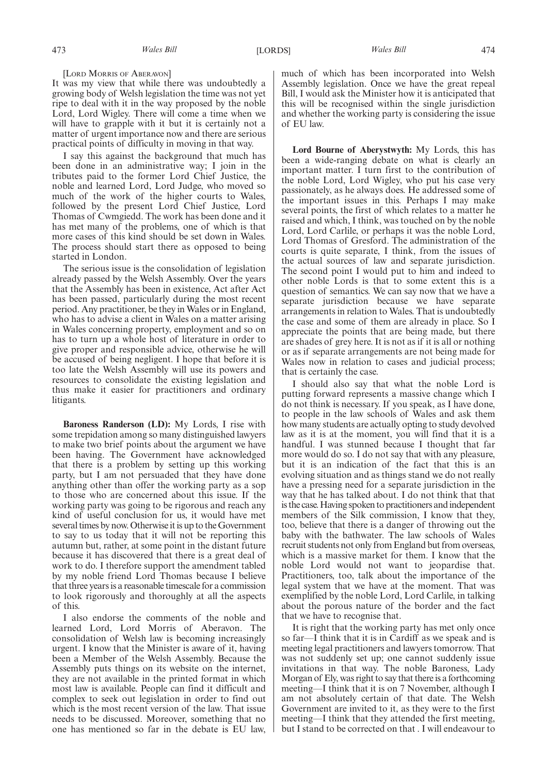[LORD MORRIS OF ABERAVON]

It was my view that while there was undoubtedly a growing body of Welsh legislation the time was not yet ripe to deal with it in the way proposed by the noble Lord, Lord Wigley. There will come a time when we will have to grapple with it but it is certainly not a matter of urgent importance now and there are serious practical points of difficulty in moving in that way.

I say this against the background that much has been done in an administrative way; I join in the tributes paid to the former Lord Chief Justice, the noble and learned Lord, Lord Judge, who moved so much of the work of the higher courts to Wales, followed by the present Lord Chief Justice, Lord Thomas of Cwmgiedd. The work has been done and it has met many of the problems, one of which is that more cases of this kind should be set down in Wales. The process should start there as opposed to being started in London.

The serious issue is the consolidation of legislation already passed by the Welsh Assembly. Over the years that the Assembly has been in existence, Act after Act has been passed, particularly during the most recent period. Any practitioner, be they in Wales or in England, who has to advise a client in Wales on a matter arising in Wales concerning property, employment and so on has to turn up a whole host of literature in order to give proper and responsible advice, otherwise he will be accused of being negligent. I hope that before it is too late the Welsh Assembly will use its powers and resources to consolidate the existing legislation and thus make it easier for practitioners and ordinary litigants.

**Baroness Randerson (LD):** My Lords, I rise with some trepidation among so many distinguished lawyers to make two brief points about the argument we have been having. The Government have acknowledged that there is a problem by setting up this working party, but I am not persuaded that they have done anything other than offer the working party as a sop to those who are concerned about this issue. If the working party was going to be rigorous and reach any kind of useful conclusion for us, it would have met several times by now. Otherwise it is up to the Government to say to us today that it will not be reporting this autumn but, rather, at some point in the distant future because it has discovered that there is a great deal of work to do. I therefore support the amendment tabled by my noble friend Lord Thomas because I believe that three years is a reasonable timescale for a commission to look rigorously and thoroughly at all the aspects of this.

I also endorse the comments of the noble and learned Lord, Lord Morris of Aberavon. The consolidation of Welsh law is becoming increasingly urgent. I know that the Minister is aware of it, having been a Member of the Welsh Assembly. Because the Assembly puts things on its website on the internet, they are not available in the printed format in which most law is available. People can find it difficult and complex to seek out legislation in order to find out which is the most recent version of the law. That issue needs to be discussed. Moreover, something that no one has mentioned so far in the debate is EU law, much of which has been incorporated into Welsh Assembly legislation. Once we have the great repeal Bill, I would ask the Minister how it is anticipated that this will be recognised within the single jurisdiction and whether the working party is considering the issue of EU law.

**Lord Bourne of Aberystwyth:** My Lords, this has been a wide-ranging debate on what is clearly an important matter. I turn first to the contribution of the noble Lord, Lord Wigley, who put his case very passionately, as he always does. He addressed some of the important issues in this. Perhaps I may make several points, the first of which relates to a matter he raised and which, I think, was touched on by the noble Lord, Lord Carlile, or perhaps it was the noble Lord, Lord Thomas of Gresford. The administration of the courts is quite separate, I think, from the issues of the actual sources of law and separate jurisdiction. The second point I would put to him and indeed to other noble Lords is that to some extent this is a question of semantics. We can say now that we have a separate jurisdiction because we have separate arrangements in relation to Wales. That is undoubtedly the case and some of them are already in place. So I appreciate the points that are being made, but there are shades of grey here. It is not as if it is all or nothing or as if separate arrangements are not being made for Wales now in relation to cases and judicial process; that is certainly the case.

I should also say that what the noble Lord is putting forward represents a massive change which I do not think is necessary. If you speak, as I have done, to people in the law schools of Wales and ask them how many students are actually opting to study devolved law as it is at the moment, you will find that it is a handful. I was stunned because I thought that far more would do so. I do not say that with any pleasure, but it is an indication of the fact that this is an evolving situation and as things stand we do not really have a pressing need for a separate jurisdiction in the way that he has talked about. I do not think that that is the case. Having spoken to practitioners and independent members of the Silk commission, I know that they, too, believe that there is a danger of throwing out the baby with the bathwater. The law schools of Wales recruit students not only from England but from overseas, which is a massive market for them. I know that the noble Lord would not want to jeopardise that. Practitioners, too, talk about the importance of the legal system that we have at the moment. That was exemplified by the noble Lord, Lord Carlile, in talking about the porous nature of the border and the fact that we have to recognise that.

It is right that the working party has met only once so far—I think that it is in Cardiff as we speak and is meeting legal practitioners and lawyers tomorrow. That was not suddenly set up; one cannot suddenly issue invitations in that way. The noble Baroness, Lady Morgan of Ely, was right to say that there is a forthcoming meeting—I think that it is on 7 November, although I am not absolutely certain of that date. The Welsh Government are invited to it, as they were to the first meeting—I think that they attended the first meeting, but I stand to be corrected on that . I will endeavour to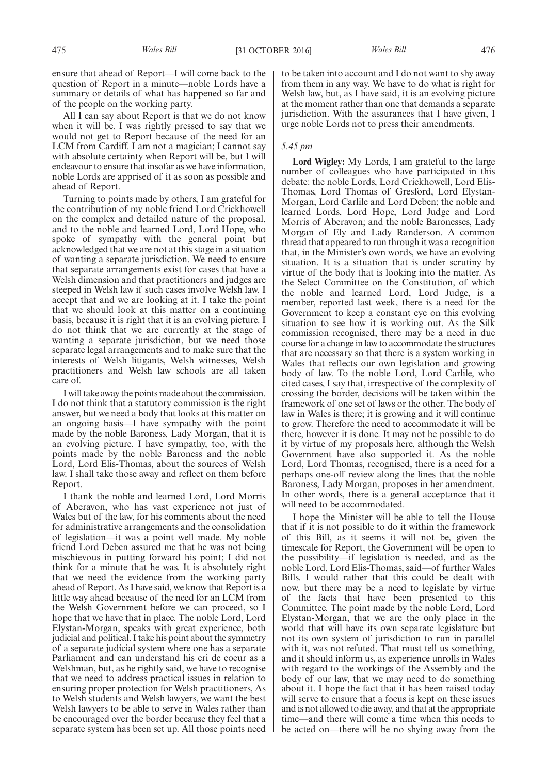ensure that ahead of Report—I will come back to the question of Report in a minute—noble Lords have a summary or details of what has happened so far and of the people on the working party.

All I can say about Report is that we do not know when it will be. I was rightly pressed to say that we would not get to Report because of the need for an LCM from Cardiff. I am not a magician; I cannot say with absolute certainty when Report will be, but I will endeavour to ensure that insofar as we have information, noble Lords are apprised of it as soon as possible and ahead of Report.

Turning to points made by others, I am grateful for the contribution of my noble friend Lord Crickhowell on the complex and detailed nature of the proposal, and to the noble and learned Lord, Lord Hope, who spoke of sympathy with the general point but acknowledged that we are not at this stage in a situation of wanting a separate jurisdiction. We need to ensure that separate arrangements exist for cases that have a Welsh dimension and that practitioners and judges are steeped in Welsh law if such cases involve Welsh law. I accept that and we are looking at it. I take the point that we should look at this matter on a continuing basis, because it is right that it is an evolving picture. I do not think that we are currently at the stage of wanting a separate jurisdiction, but we need those separate legal arrangements and to make sure that the interests of Welsh litigants, Welsh witnesses, Welsh practitioners and Welsh law schools are all taken care of.

I will take away the points made about the commission. I do not think that a statutory commission is the right answer, but we need a body that looks at this matter on an ongoing basis—I have sympathy with the point made by the noble Baroness, Lady Morgan, that it is an evolving picture. I have sympathy, too, with the points made by the noble Baroness and the noble Lord, Lord Elis-Thomas, about the sources of Welsh law. I shall take those away and reflect on them before Report.

I thank the noble and learned Lord, Lord Morris of Aberavon, who has vast experience not just of Wales but of the law, for his comments about the need for administrative arrangements and the consolidation of legislation—it was a point well made. My noble friend Lord Deben assured me that he was not being mischievous in putting forward his point; I did not think for a minute that he was. It is absolutely right that we need the evidence from the working party ahead of Report. As I have said, we know that Report is a little way ahead because of the need for an LCM from the Welsh Government before we can proceed, so I hope that we have that in place. The noble Lord, Lord Elystan-Morgan, speaks with great experience, both judicial and political. I take his point about the symmetry of a separate judicial system where one has a separate Parliament and can understand his cri de coeur as a Welshman, but, as he rightly said, we have to recognise that we need to address practical issues in relation to ensuring proper protection for Welsh practitioners, As to Welsh students and Welsh lawyers, we want the best Welsh lawyers to be able to serve in Wales rather than be encouraged over the border because they feel that a separate system has been set up. All those points need to be taken into account and I do not want to shy away from them in any way. We have to do what is right for Welsh law, but, as I have said, it is an evolving picture at the moment rather than one that demands a separate jurisdiction. With the assurances that I have given, I urge noble Lords not to press their amendments.

## *5.45 pm*

**Lord Wigley:** My Lords, I am grateful to the large number of colleagues who have participated in this debate: the noble Lords, Lord Crickhowell, Lord Elis-Thomas, Lord Thomas of Gresford, Lord Elystan-Morgan, Lord Carlile and Lord Deben; the noble and learned Lords, Lord Hope, Lord Judge and Lord Morris of Aberavon; and the noble Baronesses, Lady Morgan of Ely and Lady Randerson. A common thread that appeared to run through it was a recognition that, in the Minister's own words, we have an evolving situation. It is a situation that is under scrutiny by virtue of the body that is looking into the matter. As the Select Committee on the Constitution, of which the noble and learned Lord, Lord Judge, is a member, reported last week, there is a need for the Government to keep a constant eye on this evolving situation to see how it is working out. As the Silk commission recognised, there may be a need in due course for a change in law to accommodate the structures that are necessary so that there is a system working in Wales that reflects our own legislation and growing body of law. To the noble Lord, Lord Carlile, who cited cases, I say that, irrespective of the complexity of crossing the border, decisions will be taken within the framework of one set of laws or the other. The body of law in Wales is there; it is growing and it will continue to grow. Therefore the need to accommodate it will be there, however it is done. It may not be possible to do it by virtue of my proposals here, although the Welsh Government have also supported it. As the noble Lord, Lord Thomas, recognised, there is a need for a perhaps one-off review along the lines that the noble Baroness, Lady Morgan, proposes in her amendment. In other words, there is a general acceptance that it will need to be accommodated.

I hope the Minister will be able to tell the House that if it is not possible to do it within the framework of this Bill, as it seems it will not be, given the timescale for Report, the Government will be open to the possibility—if legislation is needed, and as the noble Lord, Lord Elis-Thomas, said—of further Wales Bills. I would rather that this could be dealt with now, but there may be a need to legislate by virtue of the facts that have been presented to this Committee. The point made by the noble Lord, Lord Elystan-Morgan, that we are the only place in the world that will have its own separate legislature but not its own system of jurisdiction to run in parallel with it, was not refuted. That must tell us something, and it should inform us, as experience unrolls in Wales with regard to the workings of the Assembly and the body of our law, that we may need to do something about it. I hope the fact that it has been raised today will serve to ensure that a focus is kept on these issues and is not allowed to die away, and that at the appropriate time—and there will come a time when this needs to be acted on—there will be no shying away from the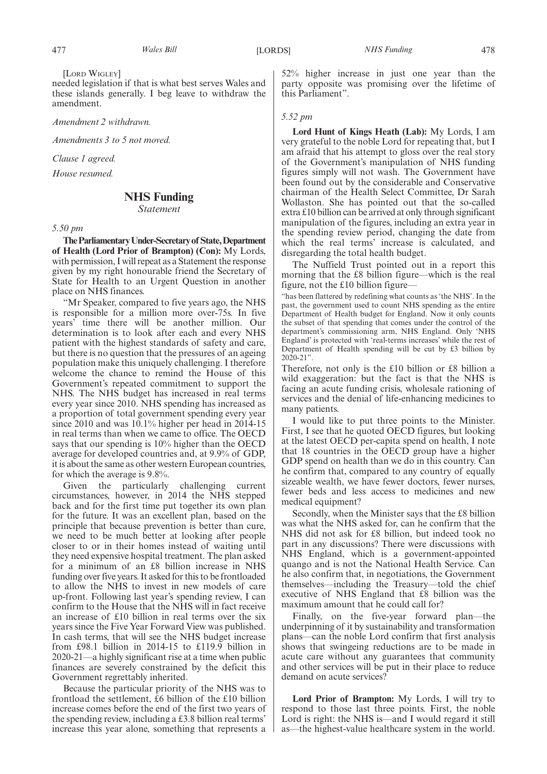[LORD WIGLEY]

needed legislation if that is what best serves Wales and these islands generally. I beg leave to withdraw the amendment.

*Amendment 2 withdrawn.*

*Amendments 3 to 5 not moved.*

*Clause 1 agreed.*

*House resumed.*

## **NHS Funding**

*Statement*

*5.50 pm*

**TheParliamentaryUnder-Secretaryof State,Department of Health (Lord Prior of Brampton) (Con):** My Lords, with permission, I will repeat as a Statement the response given by my right honourable friend the Secretary of State for Health to an Urgent Question in another place on NHS finances.

"Mr Speaker, compared to five years ago, the NHS is responsible for a million more over-75s. In five years' time there will be another million. Our determination is to look after each and every NHS patient with the highest standards of safety and care, but there is no question that the pressures of an ageing population make this uniquely challenging. I therefore welcome the chance to remind the House of this Government's repeated commitment to support the NHS. The NHS budget has increased in real terms every year since 2010. NHS spending has increased as a proportion of total government spending every year since 2010 and was 10.1% higher per head in 2014-15 in real terms than when we came to office. The OECD says that our spending is 10% higher than the OECD average for developed countries and, at 9.9% of GDP, it is about the same as other western European countries, for which the average is 9.8%.

Given the particularly challenging current circumstances, however, in 2014 the NHS stepped back and for the first time put together its own plan for the future. It was an excellent plan, based on the principle that because prevention is better than cure, we need to be much better at looking after people closer to or in their homes instead of waiting until they need expensive hospital treatment. The plan asked for a minimum of an £8 billion increase in NHS funding over five years. It asked for this to be frontloaded to allow the NHS to invest in new models of care up-front. Following last year's spending review, I can confirm to the House that the NHS will in fact receive an increase of £10 billion in real terms over the six years since the Five Year Forward View was published. In cash terms, that will see the NHS budget increase from £98.1 billion in 2014-15 to £119.9 billion in 2020-21—a highly significant rise at a time when public finances are severely constrained by the deficit this Government regrettably inherited.

Because the particular priority of the NHS was to frontload the settlement, £6 billion of the £10 billion increase comes before the end of the first two years of the spending review, including a £3.8 billion real terms' increase this year alone, something that represents a 52% higher increase in just one year than the party opposite was promising over the lifetime of this Parliament".

## *5.52 pm*

**Lord Hunt of Kings Heath (Lab):** My Lords, I am very grateful to the noble Lord for repeating that, but I am afraid that his attempt to gloss over the real story of the Government's manipulation of NHS funding figures simply will not wash. The Government have been found out by the considerable and Conservative chairman of the Health Select Committee, Dr Sarah Wollaston. She has pointed out that the so-called extra £10 billion can be arrived at only through significant manipulation of the figures, including an extra year in the spending review period, changing the date from which the real terms' increase is calculated, and disregarding the total health budget.

The Nuffield Trust pointed out in a report this morning that the £8 billion figure—which is the real figure, not the £10 billion figure—

"has been flattered by redefining what counts as 'the NHS'. In the past, the government used to count NHS spending as the entire Department of Health budget for England. Now it only counts the subset of that spending that comes under the control of the department's commissioning arm, NHS England. Only 'NHS England' is protected with 'real-terms increases' while the rest of Department of Health spending will be cut by £3 billion by 2020-21".

Therefore, not only is the £10 billion or £8 billion a wild exaggeration: but the fact is that the NHS is facing an acute funding crisis, wholesale rationing of services and the denial of life-enhancing medicines to many patients.

I would like to put three points to the Minister. First, I see that he quoted OECD figures, but looking at the latest OECD per-capita spend on health, I note that 18 countries in the OECD group have a higher GDP spend on health than we do in this country. Can he confirm that, compared to any country of equally sizeable wealth, we have fewer doctors, fewer nurses, fewer beds and less access to medicines and new medical equipment?

Secondly, when the Minister says that the £8 billion was what the NHS asked for, can he confirm that the NHS did not ask for £8 billion, but indeed took no part in any discussions? There were discussions with NHS England, which is a government-appointed quango and is not the National Health Service. Can he also confirm that, in negotiations, the Government themselves—including the Treasury—told the chief executive of NHS England that £8 billion was the maximum amount that he could call for?

Finally, on the five-year forward plan—the underpinning of it by sustainability and transformation plans—can the noble Lord confirm that first analysis shows that swingeing reductions are to be made in acute care without any guarantees that community and other services will be put in their place to reduce demand on acute services?

**Lord Prior of Brampton:** My Lords, I will try to respond to those last three points. First, the noble Lord is right: the NHS is—and I would regard it still as—the highest-value healthcare system in the world.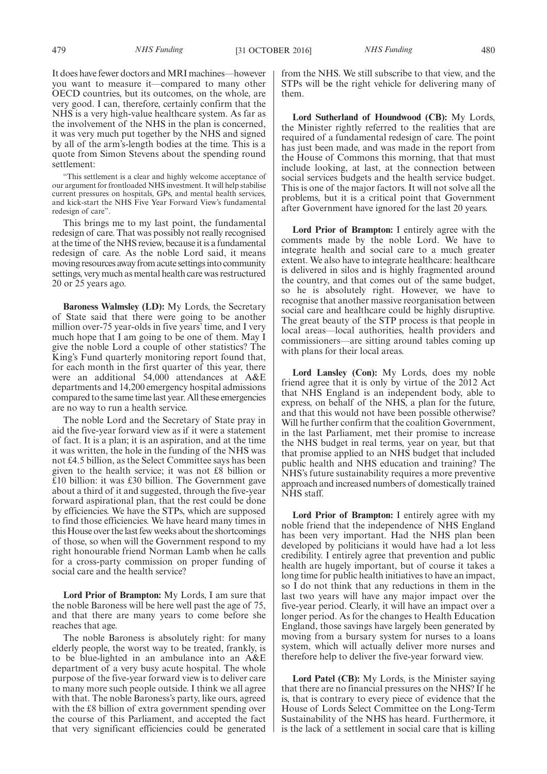It does have fewer doctors and MRI machines—however you want to measure it—compared to many other OECD countries, but its outcomes, on the whole, are very good. I can, therefore, certainly confirm that the NHS is a very high-value healthcare system. As far as the involvement of the NHS in the plan is concerned, it was very much put together by the NHS and signed by all of the arm's-length bodies at the time. This is a quote from Simon Stevens about the spending round settlement:

"This settlement is a clear and highly welcome acceptance of our argument for frontloaded NHS investment. It will help stabilise current pressures on hospitals, GPs, and mental health services, and kick-start the NHS Five Year Forward View's fundamental redesign of care".

This brings me to my last point, the fundamental redesign of care. That was possibly not really recognised at the time of the NHS review, because it is a fundamental redesign of care. As the noble Lord said, it means moving resources away from acute settings into community settings, very much as mental health care was restructured 20 or 25 years ago.

**Baroness Walmsley (LD):** My Lords, the Secretary of State said that there were going to be another million over-75 year-olds in five years' time, and I very much hope that I am going to be one of them. May I give the noble Lord a couple of other statistics? The King's Fund quarterly monitoring report found that, for each month in the first quarter of this year, there were an additional 54,000 attendances at A&E departments and 14,200 emergency hospital admissions compared to the same time last year. All these emergencies are no way to run a health service.

The noble Lord and the Secretary of State pray in aid the five-year forward view as if it were a statement of fact. It is a plan; it is an aspiration, and at the time it was written, the hole in the funding of the NHS was not £4.5 billion, as the Select Committee says has been given to the health service; it was not £8 billion or £10 billion: it was £30 billion. The Government gave about a third of it and suggested, through the five-year forward aspirational plan, that the rest could be done by efficiencies. We have the STPs, which are supposed to find those efficiencies. We have heard many times in this House over the last few weeks about the shortcomings of those, so when will the Government respond to my right honourable friend Norman Lamb when he calls for a cross-party commission on proper funding of social care and the health service?

**Lord Prior of Brampton:** My Lords, I am sure that the noble Baroness will be here well past the age of 75, and that there are many years to come before she reaches that age.

The noble Baroness is absolutely right: for many elderly people, the worst way to be treated, frankly, is to be blue-lighted in an ambulance into an A&E department of a very busy acute hospital. The whole purpose of the five-year forward view is to deliver care to many more such people outside. I think we all agree with that. The noble Baroness's party, like ours, agreed with the £8 billion of extra government spending over the course of this Parliament, and accepted the fact that very significant efficiencies could be generated from the NHS. We still subscribe to that view, and the STPs will b**e** the right vehicle for delivering many of them.

**Lord Sutherland of Houndwood (CB):** My Lords, the Minister rightly referred to the realities that are required of a fundamental redesign of care. The point has just been made, and was made in the report from the House of Commons this morning, that that must include looking, at last, at the connection between social services budgets and the health service budget. This is one of the major factors. It will not solve all the problems, but it is a critical point that Government after Government have ignored for the last 20 years.

**Lord Prior of Brampton:** I entirely agree with the comments made by the noble Lord. We have to integrate health and social care to a much greater extent. We also have to integrate healthcare: healthcare is delivered in silos and is highly fragmented around the country, and that comes out of the same budget, so he is absolutely right. However, we have to recognise that another massive reorganisation between social care and healthcare could be highly disruptive. The great beauty of the STP process is that people in local areas—local authorities, health providers and commissioners—are sitting around tables coming up with plans for their local areas.

**Lord Lansley (Con):** My Lords, does my noble friend agree that it is only by virtue of the 2012 Act that NHS England is an independent body, able to express, on behalf of the NHS, a plan for the future, and that this would not have been possible otherwise? Will he further confirm that the coalition Government, in the last Parliament, met their promise to increase the NHS budget in real terms, year on year, but that that promise applied to an NHS budget that included public health and NHS education and training? The NHS's future sustainability requires a more preventive approach and increased numbers of domestically trained NHS staff.

**Lord Prior of Brampton:** I entirely agree with my noble friend that the independence of NHS England has been very important. Had the NHS plan been developed by politicians it would have had a lot less credibility. I entirely agree that prevention and public health are hugely important, but of course it takes a long time for public health initiatives to have an impact, so I do not think that any reductions in them in the last two years will have any major impact over the five-year period. Clearly, it will have an impact over a longer period. As for the changes to Health Education England, those savings have largely been generated by moving from a bursary system for nurses to a loans system, which will actually deliver more nurses and therefore help to deliver the five-year forward view.

**Lord Patel (CB):** My Lords, is the Minister saying that there are no financial pressures on the NHS? If he is, that is contrary to every piece of evidence that the House of Lords Select Committee on the Long-Term Sustainability of the NHS has heard. Furthermore, it is the lack of a settlement in social care that is killing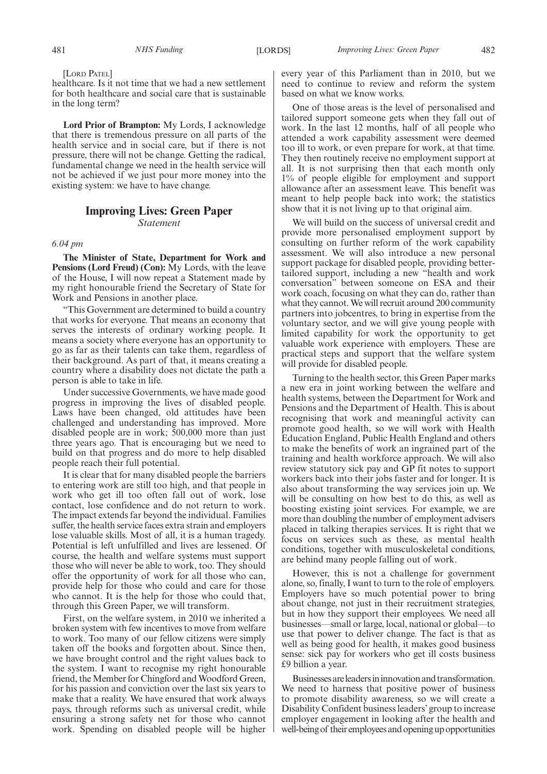[LORD PATEL]

healthcare. Is it not time that we had a new settlement for both healthcare and social care that is sustainable in the long term?

**Lord Prior of Brampton:** My Lords, I acknowledge that there is tremendous pressure on all parts of the health service and in social care, but if there is not pressure, there will not be change. Getting the radical, fundamental change we need in the health service will not be achieved if we just pour more money into the existing system: we have to have change.

## **Improving Lives: Green Paper** *Statement*

*6.04 pm*

**The Minister of State, Department for Work and Pensions (Lord Freud) (Con):** My Lords, with the leave of the House, I will now repeat a Statement made by my right honourable friend the Secretary of State for Work and Pensions in another place.

"This Government are determined to build a country that works for everyone. That means an economy that serves the interests of ordinary working people. It means a society where everyone has an opportunity to go as far as their talents can take them, regardless of their background. As part of that, it means creating a country where a disability does not dictate the path a person is able to take in life.

Under successive Governments, we have made good progress in improving the lives of disabled people. Laws have been changed, old attitudes have been challenged and understanding has improved. More disabled people are in work; 500,000 more than just three years ago. That is encouraging but we need to build on that progress and do more to help disabled people reach their full potential.

It is clear that for many disabled people the barriers to entering work are still too high, and that people in work who get ill too often fall out of work, lose contact, lose confidence and do not return to work. The impact extends far beyond the individual. Families suffer, the health service faces extra strain and employers lose valuable skills. Most of all, it is a human tragedy. Potential is left unfulfilled and lives are lessened. Of course, the health and welfare systems must support those who will never be able to work, too. They should offer the opportunity of work for all those who can, provide help for those who could and care for those who cannot. It is the help for those who could that, through this Green Paper, we will transform.

First, on the welfare system, in 2010 we inherited a broken system with few incentives to move from welfare to work. Too many of our fellow citizens were simply taken off the books and forgotten about. Since then, we have brought control and the right values back to the system. I want to recognise my right honourable friend, the Member for Chingford and Woodford Green, for his passion and conviction over the last six years to make that a reality. We have ensured that work always pays, through reforms such as universal credit, while ensuring a strong safety net for those who cannot work. Spending on disabled people will be higher

every year of this Parliament than in 2010, but we need to continue to review and reform the system based on what we know works.

One of those areas is the level of personalised and tailored support someone gets when they fall out of work. In the last 12 months, half of all people who attended a work capability assessment were deemed too ill to work, or even prepare for work, at that time. They then routinely receive no employment support at all. It is not surprising then that each month only 1% of people eligible for employment and support allowance after an assessment leave. This benefit was meant to help people back into work; the statistics show that it is not living up to that original aim.

We will build on the success of universal credit and provide more personalised employment support by consulting on further reform of the work capability assessment. We will also introduce a new personal support package for disabled people, providing bettertailored support, including a new "health and work conversation" between someone on ESA and their work coach, focusing on what they can do, rather than what they cannot. We will recruit around 200 community partners into jobcentres, to bring in expertise from the voluntary sector, and we will give young people with limited capability for work the opportunity to get valuable work experience with employers. These are practical steps and support that the welfare system will provide for disabled people.

Turning to the health sector, this Green Paper marks a new era in joint working between the welfare and health systems, between the Department for Work and Pensions and the Department of Health. This is about recognising that work and meaningful activity can promote good health, so we will work with Health Education England, Public Health England and others to make the benefits of work an ingrained part of the training and health workforce approach. We will also review statutory sick pay and GP fit notes to support workers back into their jobs faster and for longer. It is also about transforming the way services join up. We will be consulting on how best to do this, as well as boosting existing joint services. For example, we are more than doubling the number of employment advisers placed in talking therapies services. It is right that we focus on services such as these, as mental health conditions, together with musculoskeletal conditions, are behind many people falling out of work.

However, this is not a challenge for government alone, so, finally, I want to turn to the role of employers. Employers have so much potential power to bring about change, not just in their recruitment strategies, but in how they support their employees. We need all businesses—small or large, local, national or global—to use that power to deliver change. The fact is that as well as being good for health, it makes good business sense: sick pay for workers who get ill costs business £9 billion a year.

Businesses are leaders in innovation and transformation. We need to harness that positive power of business to promote disability awareness, so we will create a Disability Confident business leaders' group to increase employer engagement in looking after the health and well-being of their employees and opening up opportunities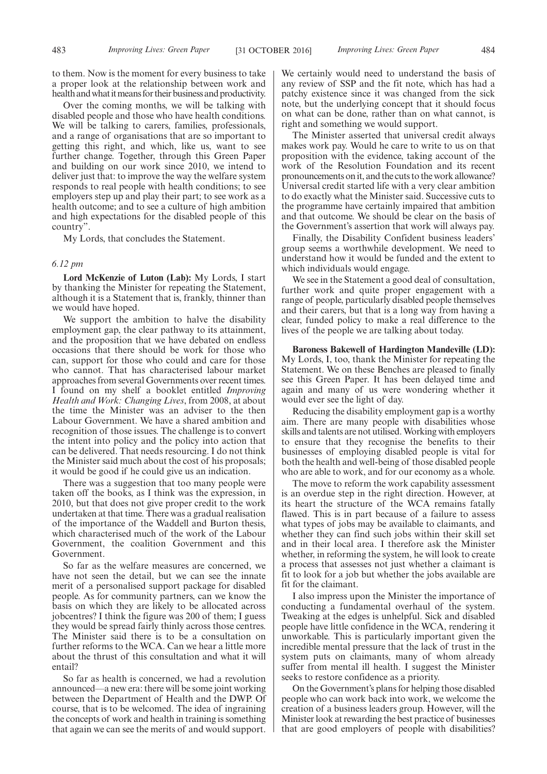to them. Now is the moment for every business to take a proper look at the relationship between work and health and what it means for their business and productivity.

Over the coming months, we will be talking with disabled people and those who have health conditions. We will be talking to carers, families, professionals, and a range of organisations that are so important to getting this right, and which, like us, want to see further change. Together, through this Green Paper and building on our work since 2010, we intend to deliver just that: to improve the way the welfare system responds to real people with health conditions; to see employers step up and play their part; to see work as a health outcome; and to see a culture of high ambition and high expectations for the disabled people of this country".

My Lords, that concludes the Statement.

#### *6.12 pm*

**Lord McKenzie of Luton (Lab):** My Lords, I start by thanking the Minister for repeating the Statement, although it is a Statement that is, frankly, thinner than we would have hoped.

We support the ambition to halve the disability employment gap, the clear pathway to its attainment, and the proposition that we have debated on endless occasions that there should be work for those who can, support for those who could and care for those who cannot. That has characterised labour market approaches from several Governments over recent times. I found on my shelf a booklet entitled *Improving Health and Work: Changing Lives*, from 2008, at about the time the Minister was an adviser to the then Labour Government. We have a shared ambition and recognition of those issues. The challenge is to convert the intent into policy and the policy into action that can be delivered. That needs resourcing. I do not think the Minister said much about the cost of his proposals; it would be good if he could give us an indication.

There was a suggestion that too many people were taken off the books, as I think was the expression, in 2010, but that does not give proper credit to the work undertaken at that time. There was a gradual realisation of the importance of the Waddell and Burton thesis, which characterised much of the work of the Labour Government, the coalition Government and this Government.

So far as the welfare measures are concerned, we have not seen the detail, but we can see the innate merit of a personalised support package for disabled people. As for community partners, can we know the basis on which they are likely to be allocated across jobcentres? I think the figure was 200 of them; I guess they would be spread fairly thinly across those centres. The Minister said there is to be a consultation on further reforms to the WCA. Can we hear a little more about the thrust of this consultation and what it will entail?

So far as health is concerned, we had a revolution announced—a new era: there will be some joint working between the Department of Health and the DWP. Of course, that is to be welcomed. The idea of ingraining the concepts of work and health in training is something that again we can see the merits of and would support.

We certainly would need to understand the basis of any review of SSP and the fit note, which has had a patchy existence since it was changed from the sick note, but the underlying concept that it should focus on what can be done, rather than on what cannot, is right and something we would support.

The Minister asserted that universal credit always makes work pay. Would he care to write to us on that proposition with the evidence, taking account of the work of the Resolution Foundation and its recent pronouncements on it, and the cuts to the work allowance? Universal credit started life with a very clear ambition to do exactly what the Minister said. Successive cuts to the programme have certainly impaired that ambition and that outcome. We should be clear on the basis of the Government's assertion that work will always pay.

Finally, the Disability Confident business leaders' group seems a worthwhile development. We need to understand how it would be funded and the extent to which individuals would engage.

We see in the Statement a good deal of consultation, further work and quite proper engagement with a range of people, particularly disabled people themselves and their carers, but that is a long way from having a clear, funded policy to make a real difference to the lives of the people we are talking about today.

**Baroness Bakewell of Hardington Mandeville (LD):** My Lords, I, too, thank the Minister for repeating the Statement. We on these Benches are pleased to finally see this Green Paper. It has been delayed time and again and many of us were wondering whether it would ever see the light of day.

Reducing the disability employment gap is a worthy aim. There are many people with disabilities whose skills and talents are not utilised. Working with employers to ensure that they recognise the benefits to their businesses of employing disabled people is vital for both the health and well-being of those disabled people who are able to work, and for our economy as a whole.

The move to reform the work capability assessment is an overdue step in the right direction. However, at its heart the structure of the WCA remains fatally flawed. This is in part because of a failure to assess what types of jobs may be available to claimants, and whether they can find such jobs within their skill set and in their local area. I therefore ask the Minister whether, in reforming the system, he will look to create a process that assesses not just whether a claimant is fit to look for a job but whether the jobs available are fit for the claimant.

I also impress upon the Minister the importance of conducting a fundamental overhaul of the system. Tweaking at the edges is unhelpful. Sick and disabled people have little confidence in the WCA, rendering it unworkable. This is particularly important given the incredible mental pressure that the lack of trust in the system puts on claimants, many of whom already suffer from mental ill health. I suggest the Minister seeks to restore confidence as a priority.

On the Government's plans for helping those disabled people who can work back into work, we welcome the creation of a business leaders group. However, will the Minister look at rewarding the best practice of businesses that are good employers of people with disabilities?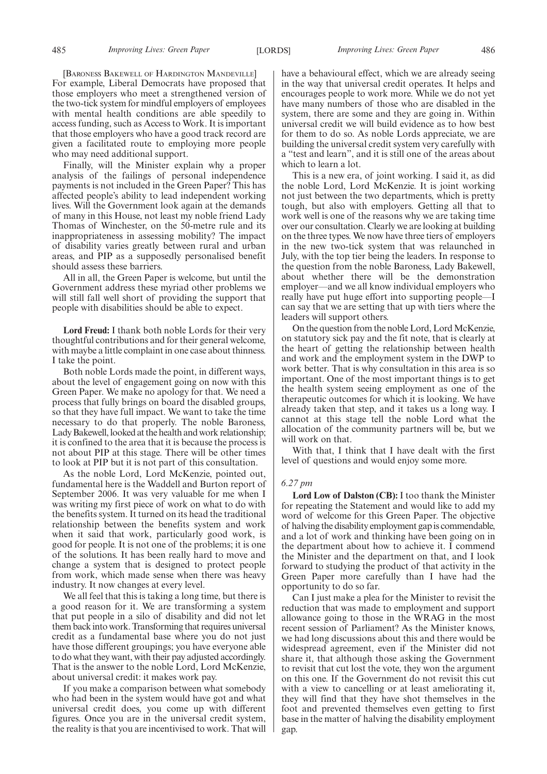485 *Improving Lives: Green Paper Improving Lives: Green Paper* [LORDS] 486

[BARONESS BAKEWELL OF HARDINGTON MANDEVILLE] For example, Liberal Democrats have proposed that those employers who meet a strengthened version of the two-tick system for mindful employers of employees with mental health conditions are able speedily to access funding, such as Access to Work. It is important that those employers who have a good track record are given a facilitated route to employing more people who may need additional support.

Finally, will the Minister explain why a proper analysis of the failings of personal independence payments is not included in the Green Paper? This has affected people's ability to lead independent working lives. Will the Government look again at the demands of many in this House, not least my noble friend Lady Thomas of Winchester, on the 50-metre rule and its inappropriateness in assessing mobility? The impact of disability varies greatly between rural and urban areas, and PIP as a supposedly personalised benefit should assess these barriers.

All in all, the Green Paper is welcome, but until the Government address these myriad other problems we will still fall well short of providing the support that people with disabilities should be able to expect.

**Lord Freud:** I thank both noble Lords for their very thoughtful contributions and for their general welcome, with maybe a little complaint in one case about thinness. I take the point.

Both noble Lords made the point, in different ways, about the level of engagement going on now with this Green Paper. We make no apology for that. We need a process that fully brings on board the disabled groups, so that they have full impact. We want to take the time necessary to do that properly. The noble Baroness, Lady Bakewell, looked at the health and work relationship; it is confined to the area that it is because the process is not about PIP at this stage. There will be other times to look at PIP but it is not part of this consultation.

As the noble Lord, Lord McKenzie, pointed out, fundamental here is the Waddell and Burton report of September 2006. It was very valuable for me when I was writing my first piece of work on what to do with the benefits system. It turned on its head the traditional relationship between the benefits system and work when it said that work, particularly good work, is good for people. It is not one of the problems; it is one of the solutions. It has been really hard to move and change a system that is designed to protect people from work, which made sense when there was heavy industry. It now changes at every level.

We all feel that this is taking a long time, but there is a good reason for it. We are transforming a system that put people in a silo of disability and did not let them back into work. Transforming that requires universal credit as a fundamental base where you do not just have those different groupings; you have everyone able to do what they want, with their pay adjusted accordingly. That is the answer to the noble Lord, Lord McKenzie, about universal credit: it makes work pay.

If you make a comparison between what somebody who had been in the system would have got and what universal credit does, you come up with different figures. Once you are in the universal credit system, the reality is that you are incentivised to work. That will have a behavioural effect, which we are already seeing in the way that universal credit operates. It helps and encourages people to work more. While we do not yet have many numbers of those who are disabled in the system, there are some and they are going in. Within universal credit we will build evidence as to how best for them to do so. As noble Lords appreciate, we are building the universal credit system very carefully with a "test and learn", and it is still one of the areas about which to learn a lot.

This is a new era, of joint working. I said it, as did the noble Lord, Lord McKenzie. It is joint working not just between the two departments, which is pretty tough, but also with employers. Getting all that to work well is one of the reasons why we are taking time over our consultation. Clearly we are looking at building on the three types. We now have three tiers of employers in the new two-tick system that was relaunched in July, with the top tier being the leaders. In response to the question from the noble Baroness, Lady Bakewell, about whether there will be the demonstration employer—and we all know individual employers who really have put huge effort into supporting people—I can say that we are setting that up with tiers where the leaders will support others.

On the question from the noble Lord, Lord McKenzie, on statutory sick pay and the fit note, that is clearly at the heart of getting the relationship between health and work and the employment system in the DWP to work better. That is why consultation in this area is so important. One of the most important things is to get the health system seeing employment as one of the therapeutic outcomes for which it is looking. We have already taken that step, and it takes us a long way. I cannot at this stage tell the noble Lord what the allocation of the community partners will be, but we will work on that.

With that, I think that I have dealt with the first level of questions and would enjoy some more.

## *6.27 pm*

**Lord Low of Dalston (CB):** I too thank the Minister for repeating the Statement and would like to add my word of welcome for this Green Paper. The objective of halving the disability employment gap is commendable, and a lot of work and thinking have been going on in the department about how to achieve it. I commend the Minister and the department on that, and I look forward to studying the product of that activity in the Green Paper more carefully than I have had the opportunity to do so far.

Can I just make a plea for the Minister to revisit the reduction that was made to employment and support allowance going to those in the WRAG in the most recent session of Parliament? As the Minister knows, we had long discussions about this and there would be widespread agreement, even if the Minister did not share it, that although those asking the Government to revisit that cut lost the vote, they won the argument on this one. If the Government do not revisit this cut with a view to cancelling or at least ameliorating it, they will find that they have shot themselves in the foot and prevented themselves even getting to first base in the matter of halving the disability employment gap.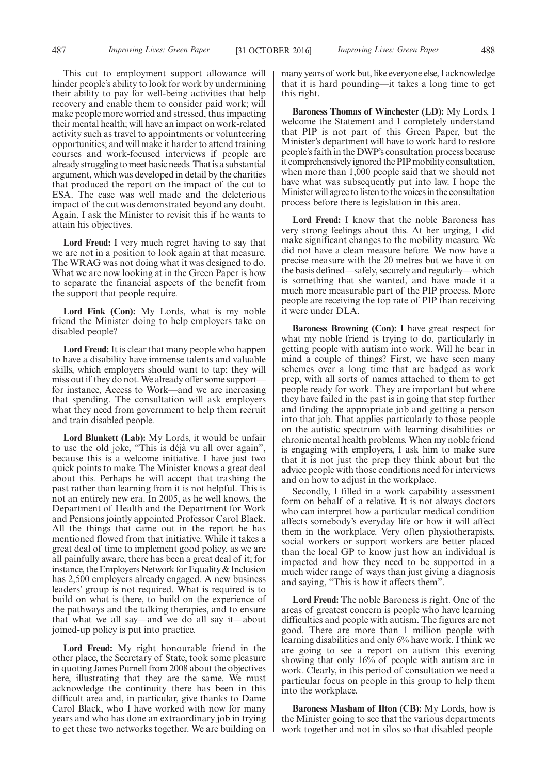This cut to employment support allowance will hinder people's ability to look for work by undermining their ability to pay for well-being activities that help recovery and enable them to consider paid work; will make people more worried and stressed, thus impacting their mental health; will have an impact on work-related activity such as travel to appointments or volunteering opportunities; and will make it harder to attend training courses and work-focused interviews if people are already struggling to meet basic needs. That is a substantial argument, which was developed in detail by the charities that produced the report on the impact of the cut to ESA. The case was well made and the deleterious impact of the cut was demonstrated beyond any doubt. Again, I ask the Minister to revisit this if he wants to attain his objectives.

**Lord Freud:** I very much regret having to say that we are not in a position to look again at that measure. The WRAG was not doing what it was designed to do. What we are now looking at in the Green Paper is how to separate the financial aspects of the benefit from the support that people require.

**Lord Fink (Con):** My Lords, what is my noble friend the Minister doing to help employers take on disabled people?

**Lord Freud:** It is clear that many people who happen to have a disability have immense talents and valuable skills, which employers should want to tap; they will miss out if they do not. We already offer some support for instance, Access to Work—and we are increasing that spending. The consultation will ask employers what they need from government to help them recruit and train disabled people.

**Lord Blunkett (Lab):** My Lords, it would be unfair to use the old joke, "This is déjà vu all over again", because this is a welcome initiative. I have just two quick points to make. The Minister knows a great deal about this. Perhaps he will accept that trashing the past rather than learning from it is not helpful. This is not an entirely new era. In 2005, as he well knows, the Department of Health and the Department for Work and Pensions jointly appointed Professor Carol Black. All the things that came out in the report he has mentioned flowed from that initiative. While it takes a great deal of time to implement good policy, as we are all painfully aware, there has been a great deal of it; for instance, the Employers Network for Equality & Inclusion has 2,500 employers already engaged. A new business leaders' group is not required. What is required is to build on what is there, to build on the experience of the pathways and the talking therapies, and to ensure that what we all say—and we do all say it—about joined-up policy is put into practice.

**Lord Freud:** My right honourable friend in the other place, the Secretary of State, took some pleasure in quoting James Purnell from 2008 about the objectives here, illustrating that they are the same. We must acknowledge the continuity there has been in this difficult area and, in particular, give thanks to Dame Carol Black, who I have worked with now for many years and who has done an extraordinary job in trying to get these two networks together. We are building on many years of work but, like everyone else, I acknowledge that it is hard pounding—it takes a long time to get this right.

**Baroness Thomas of Winchester (LD):** My Lords, I welcome the Statement and I completely understand that PIP is not part of this Green Paper, but the Minister's department will have to work hard to restore people's faith in the DWP's consultation process because it comprehensively ignored the PIP mobility consultation, when more than 1,000 people said that we should not have what was subsequently put into law. I hope the Minister will agree to listen to the voices in the consultation process before there is legislation in this area.

**Lord Freud:** I know that the noble Baroness has very strong feelings about this. At her urging, I did make significant changes to the mobility measure. We did not have a clean measure before. We now have a precise measure with the 20 metres but we have it on the basis defined—safely, securely and regularly—which is something that she wanted, and have made it a much more measurable part of the PIP process. More people are receiving the top rate of PIP than receiving it were under DLA.

**Baroness Browning (Con):** I have great respect for what my noble friend is trying to do, particularly in getting people with autism into work. Will he bear in mind a couple of things? First, we have seen many schemes over a long time that are badged as work prep, with all sorts of names attached to them to get people ready for work. They are important but where they have failed in the past is in going that step further and finding the appropriate job and getting a person into that job. That applies particularly to those people on the autistic spectrum with learning disabilities or chronic mental health problems. When my noble friend is engaging with employers, I ask him to make sure that it is not just the prep they think about but the advice people with those conditions need for interviews and on how to adjust in the workplace.

Secondly, I filled in a work capability assessment form on behalf of a relative. It is not always doctors who can interpret how a particular medical condition affects somebody's everyday life or how it will affect them in the workplace. Very often physiotherapists, social workers or support workers are better placed than the local GP to know just how an individual is impacted and how they need to be supported in a much wider range of ways than just giving a diagnosis and saying, "This is how it affects them".

**Lord Freud:** The noble Baroness is right. One of the areas of greatest concern is people who have learning difficulties and people with autism. The figures are not good. There are more than 1 million people with learning disabilities and only 6% have work. I think we are going to see a report on autism this evening showing that only 16% of people with autism are in work. Clearly, in this period of consultation we need a particular focus on people in this group to help them into the workplace.

**Baroness Masham of Ilton (CB):** My Lords, how is the Minister going to see that the various departments work together and not in silos so that disabled people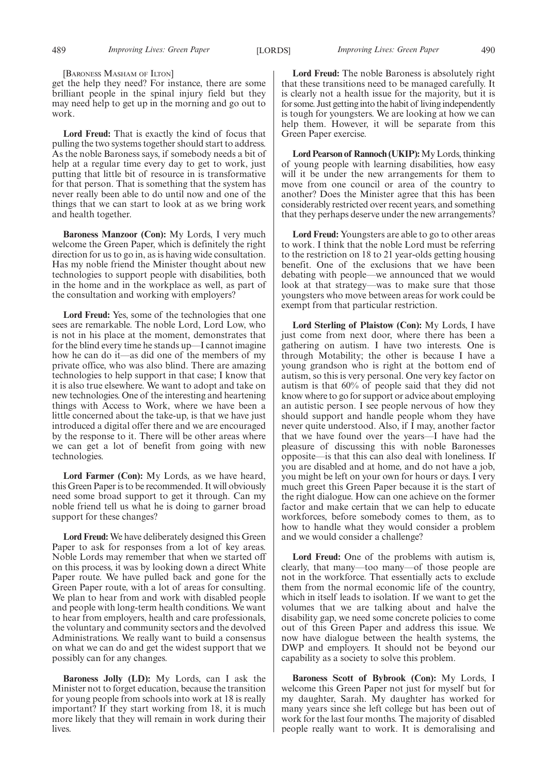[BARONESS MASHAM OF ILTON]

get the help they need? For instance, there are some brilliant people in the spinal injury field but they may need help to get up in the morning and go out to work.

**Lord Freud:** That is exactly the kind of focus that pulling the two systems together should start to address. As the noble Baroness says, if somebody needs a bit of help at a regular time every day to get to work, just putting that little bit of resource in is transformative for that person. That is something that the system has never really been able to do until now and one of the things that we can start to look at as we bring work and health together.

**Baroness Manzoor (Con):** My Lords, I very much welcome the Green Paper, which is definitely the right direction for us to go in, as is having wide consultation. Has my noble friend the Minister thought about new technologies to support people with disabilities, both in the home and in the workplace as well, as part of the consultation and working with employers?

**Lord Freud:** Yes, some of the technologies that one sees are remarkable. The noble Lord, Lord Low, who is not in his place at the moment, demonstrates that for the blind every time he stands up—I cannot imagine how he can do it—as did one of the members of my private office, who was also blind. There are amazing technologies to help support in that case; I know that it is also true elsewhere. We want to adopt and take on new technologies. One of the interesting and heartening things with Access to Work, where we have been a little concerned about the take-up, is that we have just introduced a digital offer there and we are encouraged by the response to it. There will be other areas where we can get a lot of benefit from going with new technologies.

**Lord Farmer (Con):** My Lords, as we have heard, this Green Paper is to be recommended. It will obviously need some broad support to get it through. Can my noble friend tell us what he is doing to garner broad support for these changes?

**Lord Freud:** We have deliberately designed this Green Paper to ask for responses from a lot of key areas. Noble Lords may remember that when we started off on this process, it was by looking down a direct White Paper route. We have pulled back and gone for the Green Paper route, with a lot of areas for consulting. We plan to hear from and work with disabled people and people with long-term health conditions. We want to hear from employers, health and care professionals, the voluntary and community sectors and the devolved Administrations. We really want to build a consensus on what we can do and get the widest support that we possibly can for any changes.

**Baroness Jolly (LD):** My Lords, can I ask the Minister not to forget education, because the transition for young people from schools into work at 18 is really important? If they start working from 18, it is much more likely that they will remain in work during their lives.

**Lord Freud:** The noble Baroness is absolutely right that these transitions need to be managed carefully. It is clearly not a health issue for the majority, but it is for some. Just getting into the habit of living independently is tough for youngsters. We are looking at how we can help them. However, it will be separate from this Green Paper exercise.

**Lord Pearson of Rannoch (UKIP):**My Lords, thinking of young people with learning disabilities, how easy will it be under the new arrangements for them to move from one council or area of the country to another? Does the Minister agree that this has been considerably restricted over recent years, and something that they perhaps deserve under the new arrangements?

**Lord Freud:** Youngsters are able to go to other areas to work. I think that the noble Lord must be referring to the restriction on 18 to 21 year-olds getting housing benefit. One of the exclusions that we have been debating with people—we announced that we would look at that strategy—was to make sure that those youngsters who move between areas for work could be exempt from that particular restriction.

**Lord Sterling of Plaistow (Con):** My Lords, I have just come from next door, where there has been a gathering on autism. I have two interests. One is through Motability; the other is because I have a young grandson who is right at the bottom end of autism, so this is very personal. One very key factor on autism is that 60% of people said that they did not know where to go for support or advice about employing an autistic person. I see people nervous of how they should support and handle people whom they have never quite understood. Also, if I may, another factor that we have found over the years—I have had the pleasure of discussing this with noble Baronesses opposite—is that this can also deal with loneliness. If you are disabled and at home, and do not have a job, you might be left on your own for hours or days. I very much greet this Green Paper because it is the start of the right dialogue. How can one achieve on the former factor and make certain that we can help to educate workforces, before somebody comes to them, as to how to handle what they would consider a problem and we would consider a challenge?

**Lord Freud:** One of the problems with autism is, clearly, that many—too many—of those people are not in the workforce. That essentially acts to exclude them from the normal economic life of the country, which in itself leads to isolation. If we want to get the volumes that we are talking about and halve the disability gap, we need some concrete policies to come out of this Green Paper and address this issue. We now have dialogue between the health systems, the DWP and employers. It should not be beyond our capability as a society to solve this problem.

**Baroness Scott of Bybrook (Con):** My Lords, I welcome this Green Paper not just for myself but for my daughter, Sarah. My daughter has worked for many years since she left college but has been out of work for the last four months. The majority of disabled people really want to work. It is demoralising and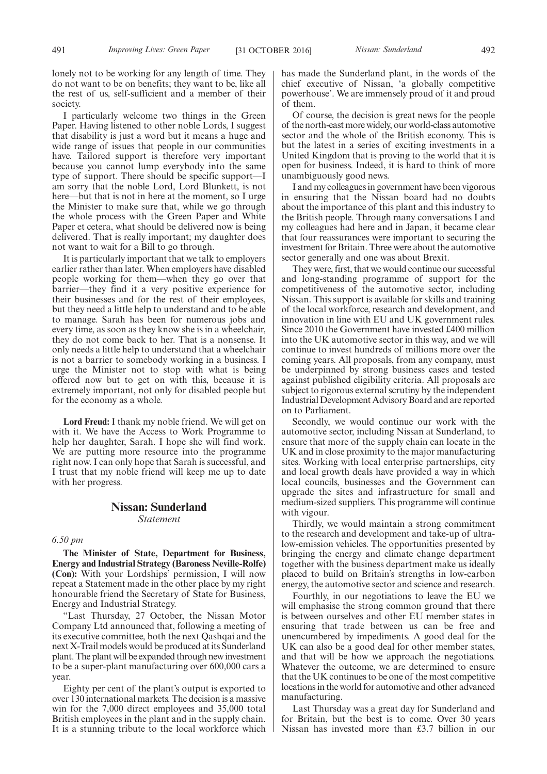I particularly welcome two things in the Green Paper. Having listened to other noble Lords, I suggest that disability is just a word but it means a huge and wide range of issues that people in our communities have. Tailored support is therefore very important because you cannot lump everybody into the same type of support. There should be specific support—I am sorry that the noble Lord, Lord Blunkett, is not here—but that is not in here at the moment, so I urge the Minister to make sure that, while we go through the whole process with the Green Paper and White Paper et cetera, what should be delivered now is being delivered. That is really important; my daughter does not want to wait for a Bill to go through.

It is particularly important that we talk to employers earlier rather than later. When employers have disabled people working for them—when they go over that barrier—they find it a very positive experience for their businesses and for the rest of their employees, but they need a little help to understand and to be able to manage. Sarah has been for numerous jobs and every time, as soon as they know she is in a wheelchair, they do not come back to her. That is a nonsense. It only needs a little help to understand that a wheelchair is not a barrier to somebody working in a business. I urge the Minister not to stop with what is being offered now but to get on with this, because it is extremely important, not only for disabled people but for the economy as a whole.

**Lord Freud:** I thank my noble friend. We will get on with it. We have the Access to Work Programme to help her daughter, Sarah. I hope she will find work. We are putting more resource into the programme right now. I can only hope that Sarah is successful, and I trust that my noble friend will keep me up to date with her progress.

## **Nissan: Sunderland** *Statement*

## *6.50 pm*

**The Minister of State, Department for Business, Energy and Industrial Strategy (Baroness Neville-Rolfe) (Con):** With your Lordships' permission, I will now repeat a Statement made in the other place by my right honourable friend the Secretary of State for Business, Energy and Industrial Strategy.

"Last Thursday, 27 October, the Nissan Motor Company Ltd announced that, following a meeting of its executive committee, both the next Qashqai and the next X-Trail models would be produced at its Sunderland plant. The plant will be expanded through new investment to be a super-plant manufacturing over 600,000 cars a year.

Eighty per cent of the plant's output is exported to over 130 international markets. The decision is a massive win for the 7,000 direct employees and 35,000 total British employees in the plant and in the supply chain. It is a stunning tribute to the local workforce which has made the Sunderland plant, in the words of the chief executive of Nissan, 'a globally competitive powerhouse'. We are immensely proud of it and proud of them.

Of course, the decision is great news for the people of the north-east more widely, our world-class automotive sector and the whole of the British economy. This is but the latest in a series of exciting investments in a United Kingdom that is proving to the world that it is open for business. Indeed, it is hard to think of more unambiguously good news.

I and my colleagues in government have been vigorous in ensuring that the Nissan board had no doubts about the importance of this plant and this industry to the British people. Through many conversations I and my colleagues had here and in Japan, it became clear that four reassurances were important to securing the investment for Britain. Three were about the automotive sector generally and one was about Brexit.

They were, first, that we would continue our successful and long-standing programme of support for the competitiveness of the automotive sector, including Nissan. This support is available for skills and training of the local workforce, research and development, and innovation in line with EU and UK government rules. Since 2010 the Government have invested £400 million into the UK automotive sector in this way, and we will continue to invest hundreds of millions more over the coming years. All proposals, from any company, must be underpinned by strong business cases and tested against published eligibility criteria. All proposals are subject to rigorous external scrutiny by the independent Industrial Development Advisory Board and are reported on to Parliament.

Secondly, we would continue our work with the automotive sector, including Nissan at Sunderland, to ensure that more of the supply chain can locate in the UK and in close proximity to the major manufacturing sites. Working with local enterprise partnerships, city and local growth deals have provided a way in which local councils, businesses and the Government can upgrade the sites and infrastructure for small and medium-sized suppliers. This programme will continue with vigour.

Thirdly, we would maintain a strong commitment to the research and development and take-up of ultralow-emission vehicles. The opportunities presented by bringing the energy and climate change department together with the business department make us ideally placed to build on Britain's strengths in low-carbon energy, the automotive sector and science and research.

Fourthly, in our negotiations to leave the EU we will emphasise the strong common ground that there is between ourselves and other EU member states in ensuring that trade between us can be free and unencumbered by impediments. A good deal for the UK can also be a good deal for other member states, and that will be how we approach the negotiations. Whatever the outcome, we are determined to ensure that the UK continues to be one of the most competitive locations in the world for automotive and other advanced manufacturing.

Last Thursday was a great day for Sunderland and for Britain, but the best is to come. Over 30 years Nissan has invested more than £3.7 billion in our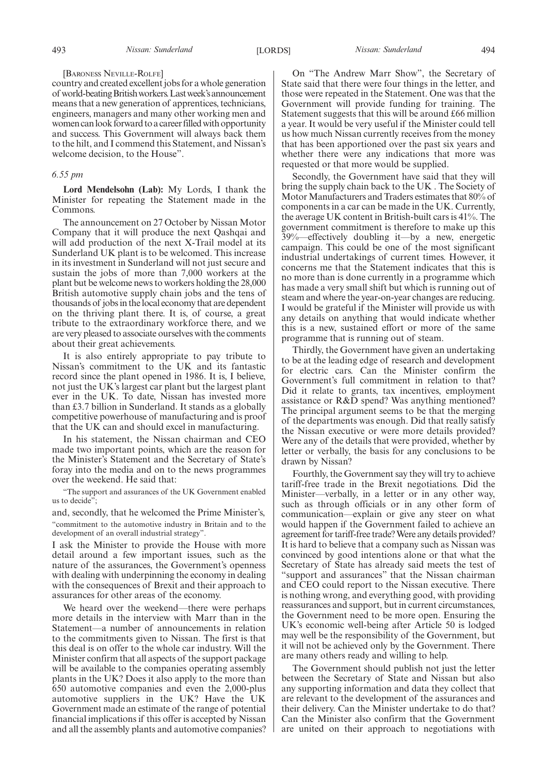#### [BARONESS NEVILLE-ROLFE]

country and created excellent jobs for a whole generation of world-beating British workers. Last week's announcement means that a new generation of apprentices, technicians, engineers, managers and many other working men and women can look forward to a career filled with opportunity and success. This Government will always back them to the hilt, and I commend this Statement, and Nissan's welcome decision, to the House".

## *6.55 pm*

**Lord Mendelsohn (Lab):** My Lords, I thank the Minister for repeating the Statement made in the Commons.

The announcement on 27 October by Nissan Motor Company that it will produce the next Qashqai and will add production of the next X-Trail model at its Sunderland UK plant is to be welcomed. This increase in its investment in Sunderland will not just secure and sustain the jobs of more than 7,000 workers at the plant but be welcome news to workers holding the 28,000 British automotive supply chain jobs and the tens of thousands of jobs in the local economy that are dependent on the thriving plant there. It is, of course, a great tribute to the extraordinary workforce there, and we are very pleased to associate ourselves with the comments about their great achievements.

It is also entirely appropriate to pay tribute to Nissan's commitment to the UK and its fantastic record since the plant opened in 1986. It is, I believe, not just the UK's largest car plant but the largest plant ever in the UK. To date, Nissan has invested more than £3.7 billion in Sunderland. It stands as a globally competitive powerhouse of manufacturing and is proof that the UK can and should excel in manufacturing.

In his statement, the Nissan chairman and CEO made two important points, which are the reason for the Minister's Statement and the Secretary of State's foray into the media and on to the news programmes over the weekend. He said that:

"The support and assurances of the UK Government enabled us to decide":

and, secondly, that he welcomed the Prime Minister's, "commitment to the automotive industry in Britain and to the development of an overall industrial strategy".

I ask the Minister to provide the House with more detail around a few important issues, such as the nature of the assurances, the Government's openness with dealing with underpinning the economy in dealing with the consequences of Brexit and their approach to assurances for other areas of the economy.

We heard over the weekend—there were perhaps more details in the interview with Marr than in the Statement—a number of announcements in relation to the commitments given to Nissan. The first is that this deal is on offer to the whole car industry. Will the Minister confirm that all aspects of the support package will be available to the companies operating assembly plants in the UK? Does it also apply to the more than 650 automotive companies and even the 2,000-plus automotive suppliers in the UK? Have the UK Government made an estimate of the range of potential financial implications if this offer is accepted by Nissan and all the assembly plants and automotive companies?

On "The Andrew Marr Show", the Secretary of State said that there were four things in the letter, and those were repeated in the Statement. One was that the Government will provide funding for training. The Statement suggests that this will be around £66 million a year. It would be very useful if the Minister could tell us how much Nissan currently receives from the money that has been apportioned over the past six years and whether there were any indications that more was requested or that more would be supplied.

Secondly, the Government have said that they will bring the supply chain back to the UK . The Society of Motor Manufacturers and Traders estimates that 80% of components in a car can be made in the UK. Currently, the average UK content in British-built cars is 41%. The government commitment is therefore to make up this 39%—effectively doubling it—by a new, energetic campaign. This could be one of the most significant industrial undertakings of current times. However, it concerns me that the Statement indicates that this is no more than is done currently in a programme which has made a very small shift but which is running out of steam and where the year-on-year changes are reducing. I would be grateful if the Minister will provide us with any details on anything that would indicate whether this is a new, sustained effort or more of the same programme that is running out of steam.

Thirdly, the Government have given an undertaking to be at the leading edge of research and development for electric cars. Can the Minister confirm the Government's full commitment in relation to that? Did it relate to grants, tax incentives, employment assistance or R&D spend? Was anything mentioned? The principal argument seems to be that the merging of the departments was enough. Did that really satisfy the Nissan executive or were more details provided? Were any of the details that were provided, whether by letter or verbally, the basis for any conclusions to be drawn by Nissan?

Fourthly, the Government say they will try to achieve tariff-free trade in the Brexit negotiations. Did the Minister—verbally, in a letter or in any other way, such as through officials or in any other form of communication—explain or give any steer on what would happen if the Government failed to achieve an agreement for tariff-free trade? Were any details provided? It is hard to believe that a company such as Nissan was convinced by good intentions alone or that what the Secretary of State has already said meets the test of "support and assurances" that the Nissan chairman and CEO could report to the Nissan executive. There is nothing wrong, and everything good, with providing reassurances and support, but in current circumstances, the Government need to be more open. Ensuring the UK's economic well-being after Article 50 is lodged may well be the responsibility of the Government, but it will not be achieved only by the Government. There are many others ready and willing to help.

The Government should publish not just the letter between the Secretary of State and Nissan but also any supporting information and data they collect that are relevant to the development of the assurances and their delivery. Can the Minister undertake to do that? Can the Minister also confirm that the Government are united on their approach to negotiations with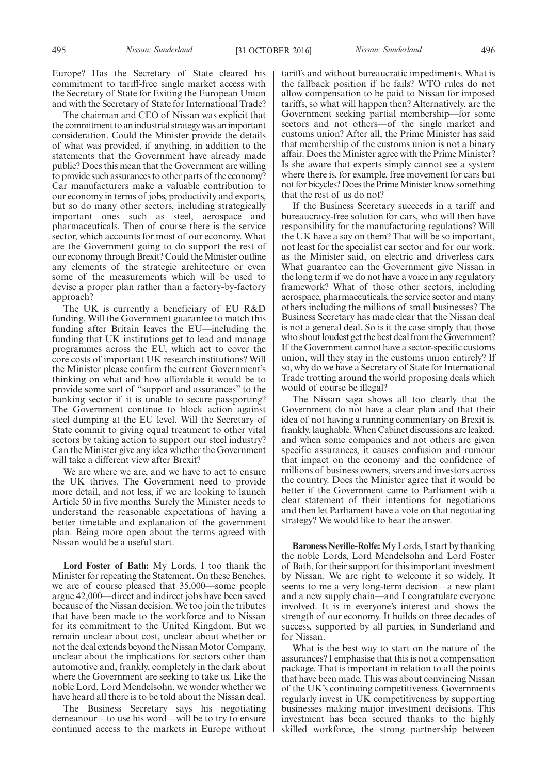Europe? Has the Secretary of State cleared his commitment to tariff-free single market access with the Secretary of State for Exiting the European Union and with the Secretary of State for International Trade?

The chairman and CEO of Nissan was explicit that the commitment to an industrial strategy was an important consideration. Could the Minister provide the details of what was provided, if anything, in addition to the statements that the Government have already made public? Does this mean that the Government are willing to provide such assurances to other parts of the economy? Car manufacturers make a valuable contribution to our economy in terms of jobs, productivity and exports, but so do many other sectors, including strategically important ones such as steel, aerospace and pharmaceuticals. Then of course there is the service sector, which accounts for most of our economy. What are the Government going to do support the rest of our economy through Brexit? Could the Minister outline any elements of the strategic architecture or even some of the measurements which will be used to devise a proper plan rather than a factory-by-factory approach?

The UK is currently a beneficiary of EU R&D funding. Will the Government guarantee to match this funding after Britain leaves the EU—including the funding that UK institutions get to lead and manage programmes across the EU, which act to cover the core costs of important UK research institutions? Will the Minister please confirm the current Government's thinking on what and how affordable it would be to provide some sort of "support and assurances" to the banking sector if it is unable to secure passporting? The Government continue to block action against steel dumping at the EU level. Will the Secretary of State commit to giving equal treatment to other vital sectors by taking action to support our steel industry? Can the Minister give any idea whether the Government will take a different view after Brexit?

We are where we are, and we have to act to ensure the UK thrives. The Government need to provide more detail, and not less, if we are looking to launch Article 50 in five months. Surely the Minister needs to understand the reasonable expectations of having a better timetable and explanation of the government plan. Being more open about the terms agreed with Nissan would be a useful start.

**Lord Foster of Bath:** My Lords, I too thank the Minister for repeating the Statement. On these Benches, we are of course pleased that 35,000—some people argue 42,000—direct and indirect jobs have been saved because of the Nissan decision. We too join the tributes that have been made to the workforce and to Nissan for its commitment to the United Kingdom. But we remain unclear about cost, unclear about whether or not the deal extends beyond the Nissan Motor Company, unclear about the implications for sectors other than automotive and, frankly, completely in the dark about where the Government are seeking to take us. Like the noble Lord, Lord Mendelsohn, we wonder whether we have heard all there is to be told about the Nissan deal.

The Business Secretary says his negotiating demeanour—to use his word—will be to try to ensure continued access to the markets in Europe without tariffs and without bureaucratic impediments. What is the fallback position if he fails? WTO rules do not allow compensation to be paid to Nissan for imposed tariffs, so what will happen then? Alternatively, are the Government seeking partial membership—for some sectors and not others—of the single market and customs union? After all, the Prime Minister has said that membership of the customs union is not a binary affair. Does the Minister agree with the Prime Minister? Is she aware that experts simply cannot see a system where there is, for example, free movement for cars but not for bicycles? Does the Prime Minister know something that the rest of us do not?

If the Business Secretary succeeds in a tariff and bureaucracy-free solution for cars, who will then have responsibility for the manufacturing regulations? Will the UK have a say on them? That will be so important, not least for the specialist car sector and for our work, as the Minister said, on electric and driverless cars. What guarantee can the Government give Nissan in the long term if we do not have a voice in any regulatory framework? What of those other sectors, including aerospace, pharmaceuticals, the service sector and many others including the millions of small businesses? The Business Secretary has made clear that the Nissan deal is not a general deal. So is it the case simply that those who shout loudest get the best deal from the Government? If the Government cannot have a sector-specific customs union, will they stay in the customs union entirely? If so, why do we have a Secretary of State for International Trade trotting around the world proposing deals which would of course be illegal?

The Nissan saga shows all too clearly that the Government do not have a clear plan and that their idea of not having a running commentary on Brexit is, frankly, laughable. When Cabinet discussions are leaked, and when some companies and not others are given specific assurances, it causes confusion and rumour that impact on the economy and the confidence of millions of business owners, savers and investors across the country. Does the Minister agree that it would be better if the Government came to Parliament with a clear statement of their intentions for negotiations and then let Parliament have a vote on that negotiating strategy? We would like to hear the answer.

**Baroness Neville-Rolfe:** My Lords, I start by thanking the noble Lords, Lord Mendelsohn and Lord Foster of Bath, for their support for this important investment by Nissan. We are right to welcome it so widely. It seems to me a very long-term decision—a new plant and a new supply chain—and I congratulate everyone involved. It is in everyone's interest and shows the strength of our economy. It builds on three decades of success, supported by all parties, in Sunderland and for Nissan.

What is the best way to start on the nature of the assurances? I emphasise that this is not a compensation package. That is important in relation to all the points that have been made. This was about convincing Nissan of the UK's continuing competitiveness. Governments regularly invest in UK competitiveness by supporting businesses making major investment decisions. This investment has been secured thanks to the highly skilled workforce, the strong partnership between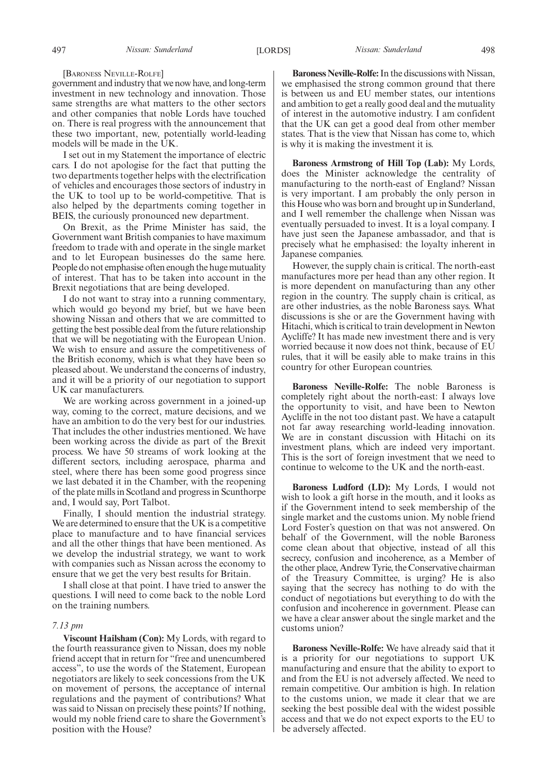#### [BARONESS NEVILLE-ROLFE]

government and industry that we now have, and long-term investment in new technology and innovation. Those same strengths are what matters to the other sectors and other companies that noble Lords have touched on. There is real progress with the announcement that these two important, new, potentially world-leading models will be made in the UK.

I set out in my Statement the importance of electric cars. I do not apologise for the fact that putting the two departments together helps with the electrification of vehicles and encourages those sectors of industry in the UK to tool up to be world-competitive. That is also helped by the departments coming together in BEIS, the curiously pronounced new department.

On Brexit, as the Prime Minister has said, the Government want British companies to have maximum freedom to trade with and operate in the single market and to let European businesses do the same here. People do not emphasise often enough the huge mutuality of interest. That has to be taken into account in the Brexit negotiations that are being developed.

I do not want to stray into a running commentary, which would go beyond my brief, but we have been showing Nissan and others that we are committed to getting the best possible deal from the future relationship that we will be negotiating with the European Union. We wish to ensure and assure the competitiveness of the British economy, which is what they have been so pleased about. We understand the concerns of industry, and it will be a priority of our negotiation to support UK car manufacturers.

We are working across government in a joined-up way, coming to the correct, mature decisions, and we have an ambition to do the very best for our industries. That includes the other industries mentioned. We have been working across the divide as part of the Brexit process. We have 50 streams of work looking at the different sectors, including aerospace, pharma and steel, where there has been some good progress since we last debated it in the Chamber, with the reopening of the plate mills in Scotland and progress in Scunthorpe and, I would say, Port Talbot.

Finally, I should mention the industrial strategy. We are determined to ensure that the UK is a competitive place to manufacture and to have financial services and all the other things that have been mentioned. As we develop the industrial strategy, we want to work with companies such as Nissan across the economy to ensure that we get the very best results for Britain.

I shall close at that point. I have tried to answer the questions. I will need to come back to the noble Lord on the training numbers.

## *7.13 pm*

**Viscount Hailsham (Con):** My Lords, with regard to the fourth reassurance given to Nissan, does my noble friend accept that in return for "free and unencumbered access", to use the words of the Statement, European negotiators are likely to seek concessions from the UK on movement of persons, the acceptance of internal regulations and the payment of contributions? What was said to Nissan on precisely these points? If nothing, would my noble friend care to share the Government's position with the House?

**Baroness Neville-Rolfe:**In the discussions with Nissan, we emphasised the strong common ground that there is between us and EU member states, our intentions and ambition to get a really good deal and the mutuality of interest in the automotive industry. I am confident that the UK can get a good deal from other member states. That is the view that Nissan has come to, which is why it is making the investment it is.

**Baroness Armstrong of Hill Top (Lab):** My Lords, does the Minister acknowledge the centrality of manufacturing to the north-east of England? Nissan is very important. I am probably the only person in this House who was born and brought up in Sunderland, and I well remember the challenge when Nissan was eventually persuaded to invest. It is a loyal company. I have just seen the Japanese ambassador, and that is precisely what he emphasised: the loyalty inherent in Japanese companies.

However, the supply chain is critical. The north-east manufactures more per head than any other region. It is more dependent on manufacturing than any other region in the country. The supply chain is critical, as are other industries, as the noble Baroness says. What discussions is she or are the Government having with Hitachi, which is critical to train development in Newton Aycliffe? It has made new investment there and is very worried because it now does not think, because of EU rules, that it will be easily able to make trains in this country for other European countries.

**Baroness Neville-Rolfe:** The noble Baroness is completely right about the north-east: I always love the opportunity to visit, and have been to Newton Aycliffe in the not too distant past. We have a catapult not far away researching world-leading innovation. We are in constant discussion with Hitachi on its investment plans, which are indeed very important. This is the sort of foreign investment that we need to continue to welcome to the UK and the north-east.

**Baroness Ludford (LD):** My Lords, I would not wish to look a gift horse in the mouth, and it looks as if the Government intend to seek membership of the single market and the customs union. My noble friend Lord Foster's question on that was not answered. On behalf of the Government, will the noble Baroness come clean about that objective, instead of all this secrecy, confusion and incoherence, as a Member of the other place, Andrew Tyrie, the Conservative chairman of the Treasury Committee, is urging? He is also saying that the secrecy has nothing to do with the conduct of negotiations but everything to do with the confusion and incoherence in government. Please can we have a clear answer about the single market and the customs union?

**Baroness Neville-Rolfe:** We have already said that it is a priority for our negotiations to support UK manufacturing and ensure that the ability to export to and from the EU is not adversely affected. We need to remain competitive. Our ambition is high. In relation to the customs union, we made it clear that we are seeking the best possible deal with the widest possible access and that we do not expect exports to the EU to be adversely affected.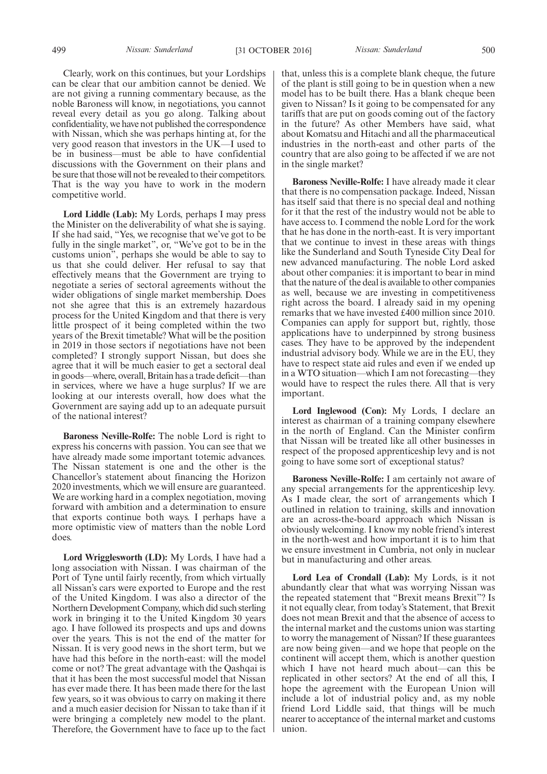499 *Nissan: Sunderland* [31 OCTOBER 2016] *Nissan: Sunderland* 500

Clearly, work on this continues, but your Lordships can be clear that our ambition cannot be denied. We are not giving a running commentary because, as the noble Baroness will know, in negotiations, you cannot reveal every detail as you go along. Talking about confidentiality, we have not published the correspondence with Nissan, which she was perhaps hinting at, for the very good reason that investors in the UK—I used to be in business—must be able to have confidential discussions with the Government on their plans and be sure that those will not be revealed to their competitors. That is the way you have to work in the modern competitive world.

**Lord Liddle (Lab):** My Lords, perhaps I may press the Minister on the deliverability of what she is saying. If she had said, "Yes, we recognise that we've got to be fully in the single market", or, "We've got to be in the customs union", perhaps she would be able to say to us that she could deliver. Her refusal to say that effectively means that the Government are trying to negotiate a series of sectoral agreements without the wider obligations of single market membership. Does not she agree that this is an extremely hazardous process for the United Kingdom and that there is very little prospect of it being completed within the two years of the Brexit timetable? What will be the position in 2019 in those sectors if negotiations have not been completed? I strongly support Nissan, but does she agree that it will be much easier to get a sectoral deal in goods—where, overall, Britain has a trade deficit—than in services, where we have a huge surplus? If we are looking at our interests overall, how does what the Government are saying add up to an adequate pursuit of the national interest?

**Baroness Neville-Rolfe:** The noble Lord is right to express his concerns with passion. You can see that we have already made some important totemic advances. The Nissan statement is one and the other is the Chancellor's statement about financing the Horizon 2020 investments, which we will ensure are guaranteed. We are working hard in a complex negotiation, moving forward with ambition and a determination to ensure that exports continue both ways. I perhaps have a more optimistic view of matters than the noble Lord does.

**Lord Wrigglesworth (LD):** My Lords, I have had a long association with Nissan. I was chairman of the Port of Tyne until fairly recently, from which virtually all Nissan's cars were exported to Europe and the rest of the United Kingdom. I was also a director of the Northern Development Company, which did such sterling work in bringing it to the United Kingdom 30 years ago. I have followed its prospects and ups and downs over the years. This is not the end of the matter for Nissan. It is very good news in the short term, but we have had this before in the north-east: will the model come or not? The great advantage with the Qashqai is that it has been the most successful model that Nissan has ever made there. It has been made there for the last few years, so it was obvious to carry on making it there and a much easier decision for Nissan to take than if it were bringing a completely new model to the plant. Therefore, the Government have to face up to the fact that, unless this is a complete blank cheque, the future of the plant is still going to be in question when a new model has to be built there. Has a blank cheque been given to Nissan? Is it going to be compensated for any tariffs that are put on goods coming out of the factory in the future? As other Members have said, what about Komatsu and Hitachi and all the pharmaceutical industries in the north-east and other parts of the country that are also going to be affected if we are not in the single market?

**Baroness Neville-Rolfe:** I have already made it clear that there is no compensation package. Indeed, Nissan has itself said that there is no special deal and nothing for it that the rest of the industry would not be able to have access to. I commend the noble Lord for the work that he has done in the north-east. It is very important that we continue to invest in these areas with things like the Sunderland and South Tyneside City Deal for new advanced manufacturing. The noble Lord asked about other companies: it is important to bear in mind that the nature of the deal is available to other companies as well, because we are investing in competitiveness right across the board. I already said in my opening remarks that we have invested £400 million since 2010. Companies can apply for support but, rightly, those applications have to underpinned by strong business cases. They have to be approved by the independent industrial advisory body. While we are in the EU, they have to respect state aid rules and even if we ended up in a WTO situation—which I am not forecasting—they would have to respect the rules there. All that is very important.

**Lord Inglewood (Con):** My Lords, I declare an interest as chairman of a training company elsewhere in the north of England. Can the Minister confirm that Nissan will be treated like all other businesses in respect of the proposed apprenticeship levy and is not going to have some sort of exceptional status?

**Baroness Neville-Rolfe:** I am certainly not aware of any special arrangements for the apprenticeship levy. As I made clear, the sort of arrangements which I outlined in relation to training, skills and innovation are an across-the-board approach which Nissan is obviously welcoming. I know my noble friend's interest in the north-west and how important it is to him that we ensure investment in Cumbria, not only in nuclear but in manufacturing and other areas.

**Lord Lea of Crondall (Lab):** My Lords, is it not abundantly clear that what was worrying Nissan was the repeated statement that "Brexit means Brexit"? Is it not equally clear, from today's Statement, that Brexit does not mean Brexit and that the absence of access to the internal market and the customs union was starting to worry the management of Nissan? If these guarantees are now being given—and we hope that people on the continent will accept them, which is another question which I have not heard much about—can this be replicated in other sectors? At the end of all this, I hope the agreement with the European Union will include a lot of industrial policy and, as my noble friend Lord Liddle said, that things will be much nearer to acceptance of the internal market and customs union.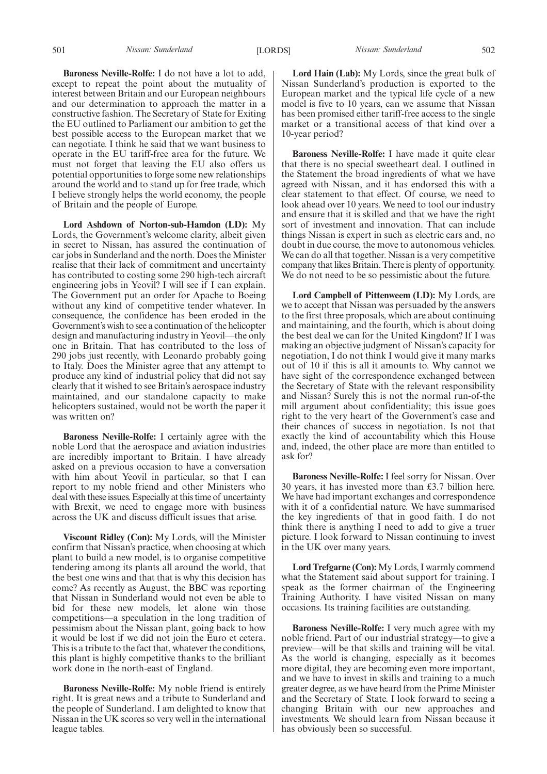**Baroness Neville-Rolfe:** I do not have a lot to add, except to repeat the point about the mutuality of interest between Britain and our European neighbours and our determination to approach the matter in a constructive fashion. The Secretary of State for Exiting the EU outlined to Parliament our ambition to get the best possible access to the European market that we can negotiate. I think he said that we want business to operate in the EU tariff-free area for the future. We must not forget that leaving the EU also offers us potential opportunities to forge some new relationships around the world and to stand up for free trade, which I believe strongly helps the world economy, the people of Britain and the people of Europe.

**Lord Ashdown of Norton-sub-Hamdon (LD):** My Lords, the Government's welcome clarity, albeit given in secret to Nissan, has assured the continuation of car jobs in Sunderland and the north. Does the Minister realise that their lack of commitment and uncertainty has contributed to costing some 290 high-tech aircraft engineering jobs in Yeovil? I will see if I can explain. The Government put an order for Apache to Boeing without any kind of competitive tender whatever. In consequence, the confidence has been eroded in the Government's wish to see a continuation of the helicopter design and manufacturing industry in Yeovil—the only one in Britain. That has contributed to the loss of 290 jobs just recently, with Leonardo probably going to Italy. Does the Minister agree that any attempt to produce any kind of industrial policy that did not say clearly that it wished to see Britain's aerospace industry maintained, and our standalone capacity to make helicopters sustained, would not be worth the paper it was written on?

**Baroness Neville-Rolfe:** I certainly agree with the noble Lord that the aerospace and aviation industries are incredibly important to Britain. I have already asked on a previous occasion to have a conversation with him about Yeovil in particular, so that I can report to my noble friend and other Ministers who deal with these issues. Especially at this time of uncertainty with Brexit, we need to engage more with business across the UK and discuss difficult issues that arise.

**Viscount Ridley (Con):** My Lords, will the Minister confirm that Nissan's practice, when choosing at which plant to build a new model, is to organise competitive tendering among its plants all around the world, that the best one wins and that that is why this decision has come? As recently as August, the BBC was reporting that Nissan in Sunderland would not even be able to bid for these new models, let alone win those competitions—a speculation in the long tradition of pessimism about the Nissan plant, going back to how it would be lost if we did not join the Euro et cetera. This is a tribute to the fact that, whatever the conditions, this plant is highly competitive thanks to the brilliant work done in the north-east of England.

**Baroness Neville-Rolfe:** My noble friend is entirely right. It is great news and a tribute to Sunderland and the people of Sunderland. I am delighted to know that Nissan in the UK scores so very well in the international league tables.

**Lord Hain (Lab):** My Lords, since the great bulk of Nissan Sunderland's production is exported to the European market and the typical life cycle of a new model is five to 10 years, can we assume that Nissan has been promised either tariff-free access to the single market or a transitional access of that kind over a 10-year period?

**Baroness Neville-Rolfe:** I have made it quite clear that there is no special sweetheart deal. I outlined in the Statement the broad ingredients of what we have agreed with Nissan, and it has endorsed this with a clear statement to that effect. Of course, we need to look ahead over 10 years. We need to tool our industry and ensure that it is skilled and that we have the right sort of investment and innovation. That can include things Nissan is expert in such as electric cars and, no doubt in due course, the move to autonomous vehicles. We can do all that together. Nissan is a very competitive company that likes Britain. There is plenty of opportunity. We do not need to be so pessimistic about the future.

**Lord Campbell of Pittenweem (LD):** My Lords, are we to accept that Nissan was persuaded by the answers to the first three proposals, which are about continuing and maintaining, and the fourth, which is about doing the best deal we can for the United Kingdom? If I was making an objective judgment of Nissan's capacity for negotiation, I do not think I would give it many marks out of 10 if this is all it amounts to. Why cannot we have sight of the correspondence exchanged between the Secretary of State with the relevant responsibility and Nissan? Surely this is not the normal run-of-the mill argument about confidentiality; this issue goes right to the very heart of the Government's case and their chances of success in negotiation. Is not that exactly the kind of accountability which this House and, indeed, the other place are more than entitled to ask for?

**Baroness Neville-Rolfe:** I feel sorry for Nissan. Over 30 years, it has invested more than £3.7 billion here. We have had important exchanges and correspondence with it of a confidential nature. We have summarised the key ingredients of that in good faith. I do not think there is anything I need to add to give a truer picture. I look forward to Nissan continuing to invest in the UK over many years.

**Lord Trefgarne (Con):** My Lords, I warmly commend what the Statement said about support for training. I speak as the former chairman of the Engineering Training Authority. I have visited Nissan on many occasions. Its training facilities are outstanding.

**Baroness Neville-Rolfe:** I very much agree with my noble friend. Part of our industrial strategy—to give a preview—will be that skills and training will be vital. As the world is changing, especially as it becomes more digital, they are becoming even more important, and we have to invest in skills and training to a much greater degree, as we have heard from the Prime Minister and the Secretary of State. I look forward to seeing a changing Britain with our new approaches and investments. We should learn from Nissan because it has obviously been so successful.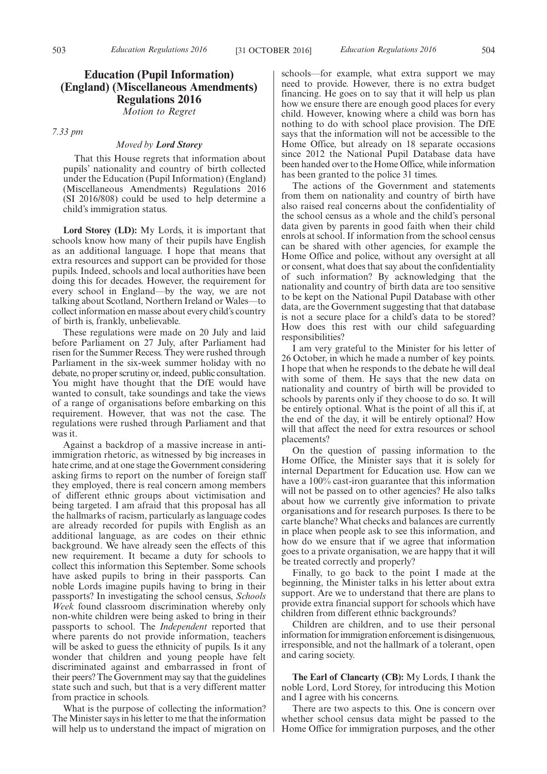## **Education (Pupil Information) (England) (Miscellaneous Amendments) Regulations 2016**

*Motion to Regret*

*7.33 pm*

## *Moved by Lord Storey*

That this House regrets that information about pupils' nationality and country of birth collected under the Education (Pupil Information) (England) (Miscellaneous Amendments) Regulations 2016 (SI 2016/808) could be used to help determine a child's immigration status.

**Lord Storey (LD):** My Lords, it is important that schools know how many of their pupils have English as an additional language. I hope that means that extra resources and support can be provided for those pupils. Indeed, schools and local authorities have been doing this for decades. However, the requirement for every school in England—by the way, we are not talking about Scotland, Northern Ireland or Wales—to collect information en masse about every child's country of birth is, frankly, unbelievable.

These regulations were made on 20 July and laid before Parliament on 27 July, after Parliament had risen for the Summer Recess. They were rushed through Parliament in the six-week summer holiday with no debate, no proper scrutiny or, indeed, public consultation. You might have thought that the DfE would have wanted to consult, take soundings and take the views of a range of organisations before embarking on this requirement. However, that was not the case. The regulations were rushed through Parliament and that was it.

Against a backdrop of a massive increase in antiimmigration rhetoric, as witnessed by big increases in hate crime, and at one stage the Government considering asking firms to report on the number of foreign staff they employed, there is real concern among members of different ethnic groups about victimisation and being targeted. I am afraid that this proposal has all the hallmarks of racism, particularly as language codes are already recorded for pupils with English as an additional language, as are codes on their ethnic background. We have already seen the effects of this new requirement. It became a duty for schools to collect this information this September. Some schools have asked pupils to bring in their passports. Can noble Lords imagine pupils having to bring in their passports? In investigating the school census, *Schools Week* found classroom discrimination whereby only non-white children were being asked to bring in their passports to school. The *Independent* reported that where parents do not provide information, teachers will be asked to guess the ethnicity of pupils. Is it any wonder that children and young people have felt discriminated against and embarrassed in front of their peers? The Government may say that the guidelines state such and such, but that is a very different matter from practice in schools.

What is the purpose of collecting the information? The Minister says in his letter to me that the information will help us to understand the impact of migration on schools—for example, what extra support we may need to provide. However, there is no extra budget financing. He goes on to say that it will help us plan how we ensure there are enough good places for every child. However, knowing where a child was born has nothing to do with school place provision. The DfE says that the information will not be accessible to the Home Office, but already on 18 separate occasions since 2012 the National Pupil Database data have been handed over to the Home Office, while information has been granted to the police 31 times.

The actions of the Government and statements from them on nationality and country of birth have also raised real concerns about the confidentiality of the school census as a whole and the child's personal data given by parents in good faith when their child enrols at school. If information from the school census can be shared with other agencies, for example the Home Office and police, without any oversight at all or consent, what does that say about the confidentiality of such information? By acknowledging that the nationality and country of birth data are too sensitive to be kept on the National Pupil Database with other data, are the Government suggesting that that database is not a secure place for a child's data to be stored? How does this rest with our child safeguarding responsibilities?

I am very grateful to the Minister for his letter of 26 October, in which he made a number of key points. I hope that when he responds to the debate he will deal with some of them. He says that the new data on nationality and country of birth will be provided to schools by parents only if they choose to do so. It will be entirely optional. What is the point of all this if, at the end of the day, it will be entirely optional? How will that affect the need for extra resources or school placements?

On the question of passing information to the Home Office, the Minister says that it is solely for internal Department for Education use. How can we have a 100% cast-iron guarantee that this information will not be passed on to other agencies? He also talks about how we currently give information to private organisations and for research purposes. Is there to be carte blanche? What checks and balances are currently in place when people ask to see this information, and how do we ensure that if we agree that information goes to a private organisation, we are happy that it will be treated correctly and properly?

Finally, to go back to the point I made at the beginning, the Minister talks in his letter about extra support. Are we to understand that there are plans to provide extra financial support for schools which have children from different ethnic backgrounds?

Children are children, and to use their personal information for immigration enforcement is disingenuous, irresponsible, and not the hallmark of a tolerant, open and caring society.

**The Earl of Clancarty (CB):** My Lords, I thank the noble Lord, Lord Storey, for introducing this Motion and I agree with his concerns.

There are two aspects to this. One is concern over whether school census data might be passed to the Home Office for immigration purposes, and the other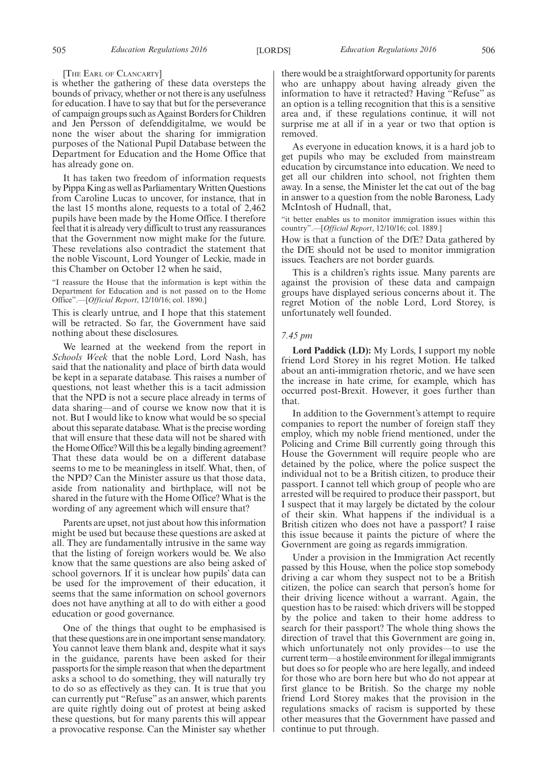#### [THE EARL OF CLANCARTY]

is whether the gathering of these data oversteps the bounds of privacy, whether or not there is any usefulness for education. I have to say that but for the perseverance of campaign groups such as Against Borders for Children and Jen Persson of defenddigitalme, we would be none the wiser about the sharing for immigration purposes of the National Pupil Database between the Department for Education and the Home Office that has already gone on.

It has taken two freedom of information requests by Pippa King as well as Parliamentary Written Questions from Caroline Lucas to uncover, for instance, that in the last 15 months alone, requests to a total of 2,462 pupils have been made by the Home Office. I therefore feel that it is already very difficult to trust any reassurances that the Government now might make for the future. These revelations also contradict the statement that the noble Viscount, Lord Younger of Leckie, made in this Chamber on October 12 when he said,

#### "I reassure the House that the information is kept within the Department for Education and is not passed on to the Home Office".—[*Official Report*, 12/10/16; col. 1890.]

This is clearly untrue, and I hope that this statement will be retracted. So far, the Government have said nothing about these disclosures.

We learned at the weekend from the report in *Schools Week* that the noble Lord, Lord Nash, has said that the nationality and place of birth data would be kept in a separate database. This raises a number of questions, not least whether this is a tacit admission that the NPD is not a secure place already in terms of data sharing—and of course we know now that it is not. But I would like to know what would be so special about this separate database. What is the precise wording that will ensure that these data will not be shared with the Home Office? Will this be a legally binding agreement? That these data would be on a different database seems to me to be meaningless in itself. What, then, of the NPD? Can the Minister assure us that those data, aside from nationality and birthplace, will not be shared in the future with the Home Office? What is the wording of any agreement which will ensure that?

Parents are upset, not just about how this information might be used but because these questions are asked at all. They are fundamentally intrusive in the same way that the listing of foreign workers would be. We also know that the same questions are also being asked of school governors. If it is unclear how pupils' data can be used for the improvement of their education, it seems that the same information on school governors does not have anything at all to do with either a good education or good governance.

One of the things that ought to be emphasised is that these questions are in one important sense mandatory. You cannot leave them blank and, despite what it says in the guidance, parents have been asked for their passports for the simple reason that when the department asks a school to do something, they will naturally try to do so as effectively as they can. It is true that you can currently put "Refuse" as an answer, which parents are quite rightly doing out of protest at being asked these questions, but for many parents this will appear a provocative response. Can the Minister say whether

there would be a straightforward opportunity for parents who are unhappy about having already given the information to have it retracted? Having "Refuse" as an option is a telling recognition that this is a sensitive area and, if these regulations continue, it will not surprise me at all if in a year or two that option is removed.

As everyone in education knows, it is a hard job to get pupils who may be excluded from mainstream education by circumstance into education. We need to get all our children into school, not frighten them away. In a sense, the Minister let the cat out of the bag in answer to a question from the noble Baroness, Lady McIntosh of Hudnall, that,

"it better enables us to monitor immigration issues within this country".—[*Official Report*, 12/10/16; col. 1889.]

How is that a function of the DfE? Data gathered by the DfE should not be used to monitor immigration issues. Teachers are not border guards.

This is a children's rights issue. Many parents are against the provision of these data and campaign groups have displayed serious concerns about it. The regret Motion of the noble Lord, Lord Storey, is unfortunately well founded.

## *7.45 pm*

**Lord Paddick (LD):** My Lords, I support my noble friend Lord Storey in his regret Motion. He talked about an anti-immigration rhetoric, and we have seen the increase in hate crime, for example, which has occurred post-Brexit. However, it goes further than that.

In addition to the Government's attempt to require companies to report the number of foreign staff they employ, which my noble friend mentioned, under the Policing and Crime Bill currently going through this House the Government will require people who are detained by the police, where the police suspect the individual not to be a British citizen, to produce their passport. I cannot tell which group of people who are arrested will be required to produce their passport, but I suspect that it may largely be dictated by the colour of their skin. What happens if the individual is a British citizen who does not have a passport? I raise this issue because it paints the picture of where the Government are going as regards immigration.

Under a provision in the Immigration Act recently passed by this House, when the police stop somebody driving a car whom they suspect not to be a British citizen, the police can search that person's home for their driving licence without a warrant. Again, the question has to be raised: which drivers will be stopped by the police and taken to their home address to search for their passport? The whole thing shows the direction of travel that this Government are going in, which unfortunately not only provides—to use the current term—a hostile environment for illegal immigrants but does so for people who are here legally, and indeed for those who are born here but who do not appear at first glance to be British. So the charge my noble friend Lord Storey makes that the provision in the regulations smacks of racism is supported by these other measures that the Government have passed and continue to put through.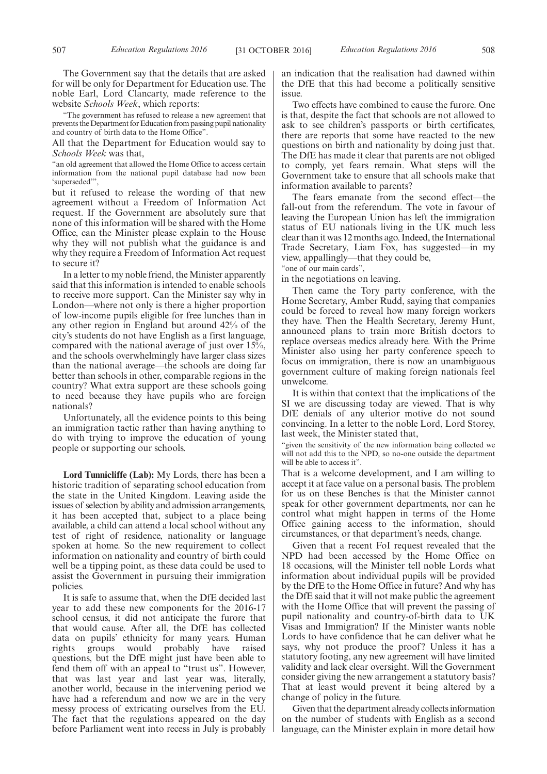"The government has refused to release a new agreement that prevents the Department for Education from passing pupil nationality and country of birth data to the Home Office".

All that the Department for Education would say to *Schools Week* was that,

"an old agreement that allowed the Home Office to access certain information from the national pupil database had now been 'superseded'",

but it refused to release the wording of that new agreement without a Freedom of Information Act request. If the Government are absolutely sure that none of this information will be shared with the Home Office, can the Minister please explain to the House why they will not publish what the guidance is and why they require a Freedom of Information Act request to secure it?

In a letter to my noble friend, the Minister apparently said that this information is intended to enable schools to receive more support. Can the Minister say why in London—where not only is there a higher proportion of low-income pupils eligible for free lunches than in any other region in England but around 42% of the city's students do not have English as a first language, compared with the national average of just over 15%, and the schools overwhelmingly have larger class sizes than the national average—the schools are doing far better than schools in other, comparable regions in the country? What extra support are these schools going to need because they have pupils who are foreign nationals?

Unfortunately, all the evidence points to this being an immigration tactic rather than having anything to do with trying to improve the education of young people or supporting our schools.

**Lord Tunnicliffe (Lab):** My Lords, there has been a historic tradition of separating school education from the state in the United Kingdom. Leaving aside the issues of selection by ability and admission arrangements, it has been accepted that, subject to a place being available, a child can attend a local school without any test of right of residence, nationality or language spoken at home. So the new requirement to collect information on nationality and country of birth could well be a tipping point, as these data could be used to assist the Government in pursuing their immigration policies.

It is safe to assume that, when the DfE decided last year to add these new components for the 2016-17 school census, it did not anticipate the furore that that would cause. After all, the DfE has collected data on pupils' ethnicity for many years. Human rights groups would probably have raised questions, but the DfE might just have been able to fend them off with an appeal to "trust us". However, that was last year and last year was, literally, another world, because in the intervening period we have had a referendum and now we are in the very messy process of extricating ourselves from the EU. The fact that the regulations appeared on the day before Parliament went into recess in July is probably an indication that the realisation had dawned within the DfE that this had become a politically sensitive issue.

Two effects have combined to cause the furore. One is that, despite the fact that schools are not allowed to ask to see children's passports or birth certificates, there are reports that some have reacted to the new questions on birth and nationality by doing just that. The DfE has made it clear that parents are not obliged to comply, yet fears remain. What steps will the Government take to ensure that all schools make that information available to parents?

The fears emanate from the second effect—the fall-out from the referendum. The vote in favour of leaving the European Union has left the immigration status of EU nationals living in the UK much less clear than it was 12 months ago. Indeed, the International Trade Secretary, Liam Fox, has suggested—in my view, appallingly—that they could be, 'one of our main cards",

in the negotiations on leaving.

Then came the Tory party conference, with the Home Secretary, Amber Rudd, saying that companies could be forced to reveal how many foreign workers they have. Then the Health Secretary, Jeremy Hunt, announced plans to train more British doctors to replace overseas medics already here. With the Prime Minister also using her party conference speech to focus on immigration, there is now an unambiguous government culture of making foreign nationals feel unwelcome.

It is within that context that the implications of the SI we are discussing today are viewed. That is why DfE denials of any ulterior motive do not sound convincing. In a letter to the noble Lord, Lord Storey, last week, the Minister stated that,

"given the sensitivity of the new information being collected we will not add this to the NPD, so no-one outside the department will be able to access it".

That is a welcome development, and I am willing to accept it at face value on a personal basis. The problem for us on these Benches is that the Minister cannot speak for other government departments, nor can he control what might happen in terms of the Home Office gaining access to the information, should circumstances, or that department's needs, change.

Given that a recent FoI request revealed that the NPD had been accessed by the Home Office on 18 occasions, will the Minister tell noble Lords what information about individual pupils will be provided by the DfE to the Home Office in future? And why has the DfE said that it will not make public the agreement with the Home Office that will prevent the passing of pupil nationality and country-of-birth data to UK Visas and Immigration? If the Minister wants noble Lords to have confidence that he can deliver what he says, why not produce the proof? Unless it has a statutory footing, any new agreement will have limited validity and lack clear oversight. Will the Government consider giving the new arrangement a statutory basis? That at least would prevent it being altered by a change of policy in the future.

Given that the department already collects information on the number of students with English as a second language, can the Minister explain in more detail how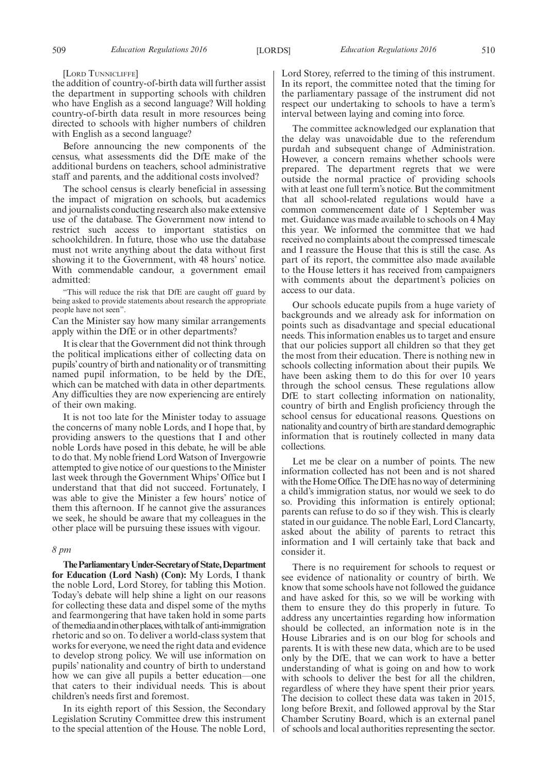[LORD TUNNICLIFFE]

the addition of country-of-birth data will further assist the department in supporting schools with children who have English as a second language? Will holding country-of-birth data result in more resources being directed to schools with higher numbers of children with English as a second language?

Before announcing the new components of the census, what assessments did the DfE make of the additional burdens on teachers, school administrative staff and parents, and the additional costs involved?

The school census is clearly beneficial in assessing the impact of migration on schools, but academics and journalists conducting research also make extensive use of the database. The Government now intend to restrict such access to important statistics on schoolchildren. In future, those who use the database must not write anything about the data without first showing it to the Government, with 48 hours' notice. With commendable candour, a government email admitted:

"This will reduce the risk that DfE are caught off guard by being asked to provide statements about research the appropriate people have not seen".

Can the Minister say how many similar arrangements apply within the DfE or in other departments?

It is clear that the Government did not think through the political implications either of collecting data on pupils'country of birth and nationality or of transmitting named pupil information, to be held by the DfE, which can be matched with data in other departments. Any difficulties they are now experiencing are entirely of their own making.

It is not too late for the Minister today to assuage the concerns of many noble Lords, and I hope that, by providing answers to the questions that I and other noble Lords have posed in this debate, he will be able to do that. My noble friend Lord Watson of Invergowrie attempted to give notice of our questions to the Minister last week through the Government Whips' Office but I understand that that did not succeed. Fortunately, I was able to give the Minister a few hours' notice of them this afternoon. If he cannot give the assurances we seek, he should be aware that my colleagues in the other place will be pursuing these issues with vigour.

#### *8 pm*

**TheParliamentaryUnder-Secretaryof State,Department for Education (Lord Nash) (Con):** My Lords, I thank the noble Lord, Lord Storey, for tabling this Motion. Today's debate will help shine a light on our reasons for collecting these data and dispel some of the myths and fearmongering that have taken hold in some parts of themediaandinotherplaces,withtalkof anti-immigration rhetoric and so on. To deliver a world-class system that works for everyone, we need the right data and evidence to develop strong policy. We will use information on pupils' nationality and country of birth to understand how we can give all pupils a better education—one that caters to their individual needs. This is about children's needs first and foremost.

In its eighth report of this Session, the Secondary Legislation Scrutiny Committee drew this instrument to the special attention of the House. The noble Lord, Lord Storey, referred to the timing of this instrument. In its report, the committee noted that the timing for the parliamentary passage of the instrument did not respect our undertaking to schools to have a term's interval between laying and coming into force.

The committee acknowledged our explanation that the delay was unavoidable due to the referendum purdah and subsequent change of Administration. However, a concern remains whether schools were prepared. The department regrets that we were outside the normal practice of providing schools with at least one full term's notice. But the commitment that all school-related regulations would have a common commencement date of 1 September was met. Guidance was made available to schools on 4 May this year. We informed the committee that we had received no complaints about the compressed timescale and I reassure the House that this is still the case. As part of its report, the committee also made available to the House letters it has received from campaigners with comments about the department's policies on access to our data.

Our schools educate pupils from a huge variety of backgrounds and we already ask for information on points such as disadvantage and special educational needs. This information enables us to target and ensure that our policies support all children so that they get the most from their education. There is nothing new in schools collecting information about their pupils. We have been asking them to do this for over 10 years through the school census. These regulations allow DfE to start collecting information on nationality, country of birth and English proficiency through the school census for educational reasons. Questions on nationality and country of birth are standard demographic information that is routinely collected in many data collections.

Let me be clear on a number of points. The new information collected has not been and is not shared with the Home Office. The DfE has no way of determining a child's immigration status, nor would we seek to do so. Providing this information is entirely optional; parents can refuse to do so if they wish. This is clearly stated in our guidance. The noble Earl, Lord Clancarty, asked about the ability of parents to retract this information and I will certainly take that back and consider it.

There is no requirement for schools to request or see evidence of nationality or country of birth. We know that some schools have not followed the guidance and have asked for this, so we will be working with them to ensure they do this properly in future. To address any uncertainties regarding how information should be collected, an information note is in the House Libraries and is on our blog for schools and parents. It is with these new data, which are to be used only by the DfE, that we can work to have a better understanding of what is going on and how to work with schools to deliver the best for all the children, regardless of where they have spent their prior years. The decision to collect these data was taken in 2015, long before Brexit, and followed approval by the Star Chamber Scrutiny Board, which is an external panel of schools and local authorities representing the sector.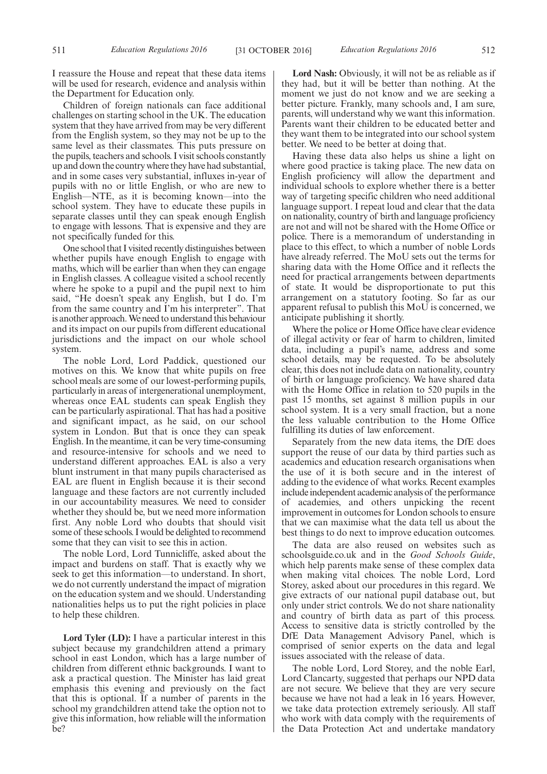I reassure the House and repeat that these data items will be used for research, evidence and analysis within the Department for Education only.

Children of foreign nationals can face additional challenges on starting school in the UK. The education system that they have arrived from may be very different from the English system, so they may not be up to the same level as their classmates. This puts pressure on the pupils, teachers and schools. I visit schools constantly up and down the country where they have had substantial, and in some cases very substantial, influxes in-year of pupils with no or little English, or who are new to English—NTE, as it is becoming known—into the school system. They have to educate these pupils in separate classes until they can speak enough English to engage with lessons. That is expensive and they are not specifically funded for this.

One school that I visited recently distinguishes between whether pupils have enough English to engage with maths, which will be earlier than when they can engage in English classes. A colleague visited a school recently where he spoke to a pupil and the pupil next to him said, "He doesn't speak any English, but I do. I'm from the same country and I'm his interpreter". That is another approach. We need to understand this behaviour and its impact on our pupils from different educational jurisdictions and the impact on our whole school system.

The noble Lord, Lord Paddick, questioned our motives on this. We know that white pupils on free school meals are some of our lowest-performing pupils, particularly in areas of intergenerational unemployment, whereas once EAL students can speak English they can be particularly aspirational. That has had a positive and significant impact, as he said, on our school system in London. But that is once they can speak English. In the meantime, it can be very time-consuming and resource-intensive for schools and we need to understand different approaches. EAL is also a very blunt instrument in that many pupils characterised as EAL are fluent in English because it is their second language and these factors are not currently included in our accountability measures. We need to consider whether they should be, but we need more information first. Any noble Lord who doubts that should visit some of these schools. I would be delighted to recommend some that they can visit to see this in action.

The noble Lord, Lord Tunnicliffe, asked about the impact and burdens on staff. That is exactly why we seek to get this information—to understand. In short, we do not currently understand the impact of migration on the education system and we should. Understanding nationalities helps us to put the right policies in place to help these children.

**Lord Tyler (LD):** I have a particular interest in this subject because my grandchildren attend a primary school in east London, which has a large number of children from different ethnic backgrounds. I want to ask a practical question. The Minister has laid great emphasis this evening and previously on the fact that this is optional. If a number of parents in the school my grandchildren attend take the option not to give this information, how reliable will the information be?

**Lord Nash:** Obviously, it will not be as reliable as if they had, but it will be better than nothing. At the moment we just do not know and we are seeking a better picture. Frankly, many schools and, I am sure, parents, will understand why we want this information. Parents want their children to be educated better and they want them to be integrated into our school system better. We need to be better at doing that.

Having these data also helps us shine a light on where good practice is taking place. The new data on English proficiency will allow the department and individual schools to explore whether there is a better way of targeting specific children who need additional language support. I repeat loud and clear that the data on nationality, country of birth and language proficiency are not and will not be shared with the Home Office or police. There is a memorandum of understanding in place to this effect, to which a number of noble Lords have already referred. The MoU sets out the terms for sharing data with the Home Office and it reflects the need for practical arrangements between departments of state. It would be disproportionate to put this arrangement on a statutory footing. So far as our apparent refusal to publish this MoU is concerned, we anticipate publishing it shortly.

Where the police or Home Office have clear evidence of illegal activity or fear of harm to children, limited data, including a pupil's name, address and some school details, may be requested. To be absolutely clear, this does not include data on nationality, country of birth or language proficiency. We have shared data with the Home Office in relation to 520 pupils in the past 15 months, set against 8 million pupils in our school system. It is a very small fraction, but a none the less valuable contribution to the Home Office fulfilling its duties of law enforcement.

Separately from the new data items, the DfE does support the reuse of our data by third parties such as academics and education research organisations when the use of it is both secure and in the interest of adding to the evidence of what works. Recent examples include independent academic analysis of the performance of academies, and others unpicking the recent improvement in outcomes for London schools to ensure that we can maximise what the data tell us about the best things to do next to improve education outcomes.

The data are also reused on websites such as schoolsguide.co.uk and in the *Good Schools Guide*, which help parents make sense of these complex data when making vital choices. The noble Lord, Lord Storey, asked about our procedures in this regard. We give extracts of our national pupil database out, but only under strict controls. We do not share nationality and country of birth data as part of this process. Access to sensitive data is strictly controlled by the DfE Data Management Advisory Panel, which is comprised of senior experts on the data and legal issues associated with the release of data.

The noble Lord, Lord Storey, and the noble Earl, Lord Clancarty, suggested that perhaps our NPD data are not secure. We believe that they are very secure because we have not had a leak in 16 years. However, we take data protection extremely seriously. All staff who work with data comply with the requirements of the Data Protection Act and undertake mandatory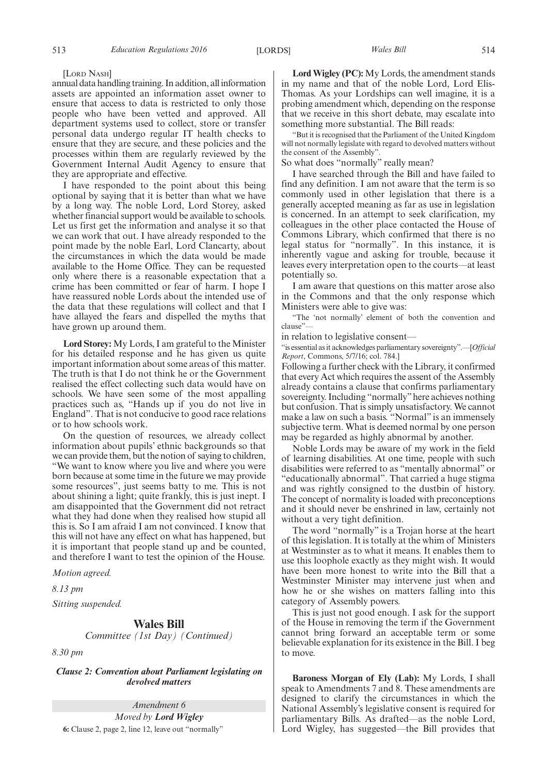[LORD NASH]

annual data handling training. In addition, all information assets are appointed an information asset owner to ensure that access to data is restricted to only those people who have been vetted and approved. All department systems used to collect, store or transfer personal data undergo regular IT health checks to ensure that they are secure, and these policies and the processes within them are regularly reviewed by the Government Internal Audit Agency to ensure that they are appropriate and effective.

I have responded to the point about this being optional by saying that it is better than what we have by a long way. The noble Lord, Lord Storey, asked whether financial support would be available to schools. Let us first get the information and analyse it so that we can work that out. I have already responded to the point made by the noble Earl, Lord Clancarty, about the circumstances in which the data would be made available to the Home Office. They can be requested only where there is a reasonable expectation that a crime has been committed or fear of harm. I hope I have reassured noble Lords about the intended use of the data that these regulations will collect and that I have allayed the fears and dispelled the myths that have grown up around them.

**Lord Storey:** My Lords, I am grateful to the Minister for his detailed response and he has given us quite important information about some areas of this matter. The truth is that I do not think he or the Government realised the effect collecting such data would have on schools. We have seen some of the most appalling practices such as, "Hands up if you do not live in England". That is not conducive to good race relations or to how schools work.

On the question of resources, we already collect information about pupils' ethnic backgrounds so that we can provide them, but the notion of saying to children, "We want to know where you live and where you were born because at some time in the future we may provide some resources", just seems batty to me. This is not about shining a light; quite frankly, this is just inept. I am disappointed that the Government did not retract what they had done when they realised how stupid all this is. So I am afraid I am not convinced. I know that this will not have any effect on what has happened, but it is important that people stand up and be counted, and therefore I want to test the opinion of the House.

*Motion agreed.*

*8.13 pm*

*Sitting suspended.*

## **Wales Bill**

*Committee (1st Day) (Continued)*

*8.30 pm*

*Clause 2: Convention about Parliament legislating on devolved matters*

*Amendment 6*

*Moved by Lord Wigley* **6:** Clause 2, page 2, line 12, leave out "normally"

**Lord Wigley (PC):** My Lords, the amendment stands in my name and that of the noble Lord, Lord Elis-Thomas. As your Lordships can well imagine, it is a probing amendment which, depending on the response that we receive in this short debate, may escalate into something more substantial. The Bill reads:

"But it is recognised that the Parliament of the United Kingdom will not normally legislate with regard to devolved matters without the consent of the Assembly".

So what does "normally" really mean?

I have searched through the Bill and have failed to find any definition. I am not aware that the term is so commonly used in other legislation that there is a generally accepted meaning as far as use in legislation is concerned. In an attempt to seek clarification, my colleagues in the other place contacted the House of Commons Library, which confirmed that there is no legal status for "normally". In this instance, it is inherently vague and asking for trouble, because it leaves every interpretation open to the courts—at least potentially so.

I am aware that questions on this matter arose also in the Commons and that the only response which Ministers were able to give was:

"The 'not normally' element of both the convention and clause"—

in relation to legislative consent—

"is essential as it acknowledges parliamentary sovereignty".—[*Official Report*, Commons, 5/7/16; col. 784.]

Following a further check with the Library, it confirmed that every Act which requires the assent of the Assembly already contains a clause that confirms parliamentary sovereignty. Including "normally"here achieves nothing but confusion. That is simply unsatisfactory. We cannot make a law on such a basis. "Normal" is an immensely subjective term. What is deemed normal by one person may be regarded as highly abnormal by another.

Noble Lords may be aware of my work in the field of learning disabilities. At one time, people with such disabilities were referred to as "mentally abnormal" or "educationally abnormal". That carried a huge stigma and was rightly consigned to the dustbin of history. The concept of normality is loaded with preconceptions and it should never be enshrined in law, certainly not without a very tight definition.

The word "normally" is a Trojan horse at the heart of this legislation. It is totally at the whim of Ministers at Westminster as to what it means. It enables them to use this loophole exactly as they might wish. It would have been more honest to write into the Bill that a Westminster Minister may intervene just when and how he or she wishes on matters falling into this category of Assembly powers.

This is just not good enough. I ask for the support of the House in removing the term if the Government cannot bring forward an acceptable term or some believable explanation for its existence in the Bill. I beg to move.

**Baroness Morgan of Ely (Lab):** My Lords, I shall speak to Amendments 7 and 8. These amendments are designed to clarify the circumstances in which the National Assembly's legislative consent is required for parliamentary Bills. As drafted—as the noble Lord, Lord Wigley, has suggested—the Bill provides that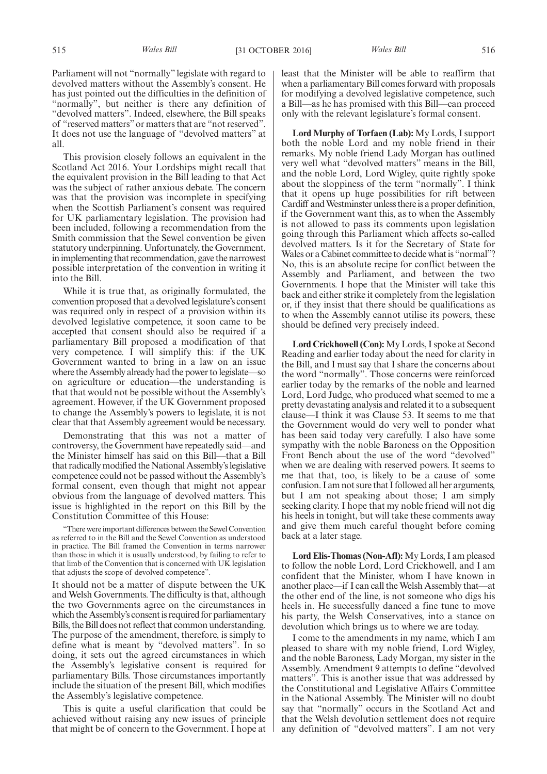Parliament will not "normally" legislate with regard to devolved matters without the Assembly's consent. He has just pointed out the difficulties in the definition of "normally", but neither is there any definition of "devolved matters". Indeed, elsewhere, the Bill speaks of "reserved matters"or matters that are "not reserved". It does not use the language of "devolved matters" at

This provision closely follows an equivalent in the Scotland Act 2016. Your Lordships might recall that the equivalent provision in the Bill leading to that Act was the subject of rather anxious debate. The concern was that the provision was incomplete in specifying when the Scottish Parliament's consent was required for UK parliamentary legislation. The provision had been included, following a recommendation from the Smith commission that the Sewel convention be given statutory underpinning. Unfortunately, the Government, in implementing that recommendation, gave the narrowest possible interpretation of the convention in writing it into the Bill.

While it is true that, as originally formulated, the convention proposed that a devolved legislature's consent was required only in respect of a provision within its devolved legislative competence, it soon came to be accepted that consent should also be required if a parliamentary Bill proposed a modification of that very competence. I will simplify this: if the UK Government wanted to bring in a law on an issue where the Assembly already had the power to legislate—so on agriculture or education—the understanding is that that would not be possible without the Assembly's agreement. However, if the UK Government proposed to change the Assembly's powers to legislate, it is not clear that that Assembly agreement would be necessary.

Demonstrating that this was not a matter of controversy, the Government have repeatedly said—and the Minister himself has said on this Bill—that a Bill that radically modified the National Assembly's legislative competence could not be passed without the Assembly's formal consent, even though that might not appear obvious from the language of devolved matters. This issue is highlighted in the report on this Bill by the Constitution Committee of this House:

"There were important differences between the Sewel Convention as referred to in the Bill and the Sewel Convention as understood in practice. The Bill framed the Convention in terms narrower than those in which it is usually understood, by failing to refer to that limb of the Convention that is concerned with UK legislation that adjusts the scope of devolved competence".

It should not be a matter of dispute between the UK and Welsh Governments. The difficulty is that, although the two Governments agree on the circumstances in which the Assembly's consent is required for parliamentary Bills, the Bill does not reflect that common understanding. The purpose of the amendment, therefore, is simply to define what is meant by "devolved matters". In so doing, it sets out the agreed circumstances in which the Assembly's legislative consent is required for parliamentary Bills. Those circumstances importantly include the situation of the present Bill, which modifies the Assembly's legislative competence.

This is quite a useful clarification that could be achieved without raising any new issues of principle that might be of concern to the Government. I hope at least that the Minister will be able to reaffirm that when a parliamentary Bill comes forward with proposals for modifying a devolved legislative competence, such a Bill—as he has promised with this Bill—can proceed only with the relevant legislature's formal consent.

**Lord Murphy of Torfaen (Lab):** My Lords, I support both the noble Lord and my noble friend in their remarks. My noble friend Lady Morgan has outlined very well what "devolved matters" means in the Bill, and the noble Lord, Lord Wigley, quite rightly spoke about the sloppiness of the term "normally". I think that it opens up huge possibilities for rift between Cardiff and Westminster unless there is a proper definition, if the Government want this, as to when the Assembly is not allowed to pass its comments upon legislation going through this Parliament which affects so-called devolved matters. Is it for the Secretary of State for Wales or a Cabinet committee to decide what is "normal"? No, this is an absolute recipe for conflict between the Assembly and Parliament, and between the two Governments. I hope that the Minister will take this back and either strike it completely from the legislation or, if they insist that there should be qualifications as to when the Assembly cannot utilise its powers, these should be defined very precisely indeed.

**Lord Crickhowell (Con):** My Lords, I spoke at Second Reading and earlier today about the need for clarity in the Bill, and I must say that I share the concerns about the word "normally". Those concerns were reinforced earlier today by the remarks of the noble and learned Lord, Lord Judge, who produced what seemed to me a pretty devastating analysis and related it to a subsequent clause—I think it was Clause 53. It seems to me that the Government would do very well to ponder what has been said today very carefully. I also have some sympathy with the noble Baroness on the Opposition Front Bench about the use of the word "devolved" when we are dealing with reserved powers. It seems to me that that, too, is likely to be a cause of some confusion. I am not sure that I followed all her arguments, but I am not speaking about those; I am simply seeking clarity. I hope that my noble friend will not dig his heels in tonight, but will take these comments away and give them much careful thought before coming back at a later stage.

**Lord Elis-Thomas (Non-Afl):** My Lords, I am pleased to follow the noble Lord, Lord Crickhowell, and I am confident that the Minister, whom I have known in another place—if I can call the Welsh Assembly that—at the other end of the line, is not someone who digs his heels in. He successfully danced a fine tune to move his party, the Welsh Conservatives, into a stance on devolution which brings us to where we are today.

I come to the amendments in my name, which I am pleased to share with my noble friend, Lord Wigley, and the noble Baroness, Lady Morgan, my sister in the Assembly. Amendment 9 attempts to define "devolved matters". This is another issue that was addressed by the Constitutional and Legislative Affairs Committee in the National Assembly. The Minister will no doubt say that "normally" occurs in the Scotland Act and that the Welsh devolution settlement does not require any definition of "devolved matters". I am not very

all.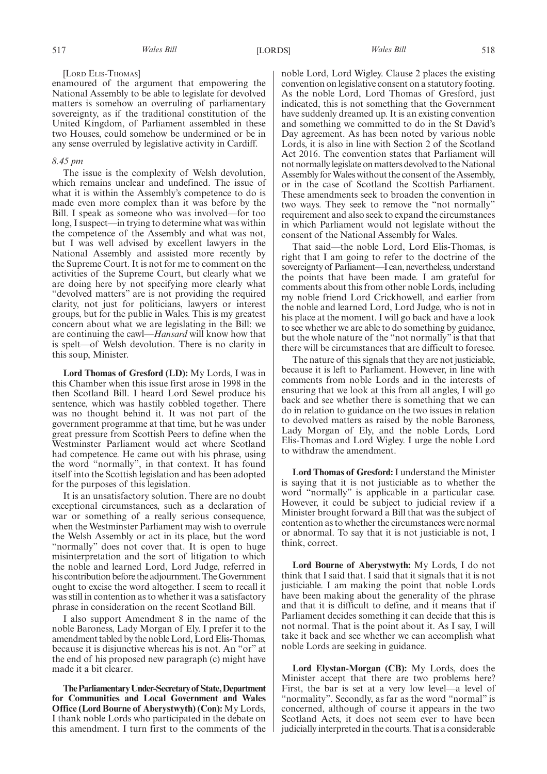enamoured of the argument that empowering the National Assembly to be able to legislate for devolved matters is somehow an overruling of parliamentary sovereignty, as if the traditional constitution of the United Kingdom, of Parliament assembled in these two Houses, could somehow be undermined or be in any sense overruled by legislative activity in Cardiff.

#### *8.45 pm*

The issue is the complexity of Welsh devolution, which remains unclear and undefined. The issue of what it is within the Assembly's competence to do is made even more complex than it was before by the Bill. I speak as someone who was involved—for too long, I suspect—in trying to determine what was within the competence of the Assembly and what was not, but I was well advised by excellent lawyers in the National Assembly and assisted more recently by the Supreme Court. It is not for me to comment on the activities of the Supreme Court, but clearly what we are doing here by not specifying more clearly what "devolved matters" are is not providing the required clarity, not just for politicians, lawyers or interest groups, but for the public in Wales. This is my greatest concern about what we are legislating in the Bill: we are continuing the cawl—*Hansard* will know how that is spelt—of Welsh devolution. There is no clarity in this soup, Minister.

**Lord Thomas of Gresford (LD):** My Lords, I was in this Chamber when this issue first arose in 1998 in the then Scotland Bill. I heard Lord Sewel produce his sentence, which was hastily cobbled together. There was no thought behind it. It was not part of the government programme at that time, but he was under great pressure from Scottish Peers to define when the Westminster Parliament would act where Scotland had competence. He came out with his phrase, using the word "normally", in that context. It has found itself into the Scottish legislation and has been adopted for the purposes of this legislation.

It is an unsatisfactory solution. There are no doubt exceptional circumstances, such as a declaration of war or something of a really serious consequence, when the Westminster Parliament may wish to overrule the Welsh Assembly or act in its place, but the word "normally" does not cover that. It is open to huge misinterpretation and the sort of litigation to which the noble and learned Lord, Lord Judge, referred in his contribution before the adjournment. The Government ought to excise the word altogether. I seem to recall it was still in contention as to whether it was a satisfactory phrase in consideration on the recent Scotland Bill.

I also support Amendment 8 in the name of the noble Baroness, Lady Morgan of Ely. I prefer it to the amendment tabled by the noble Lord, Lord Elis-Thomas, because it is disjunctive whereas his is not. An "or" at the end of his proposed new paragraph (c) might have made it a bit clearer.

**TheParliamentaryUnder-Secretaryof State,Department for Communities and Local Government and Wales Office (Lord Bourne of Aberystwyth) (Con):** My Lords, I thank noble Lords who participated in the debate on this amendment. I turn first to the comments of the

noble Lord, Lord Wigley. Clause 2 places the existing convention on legislative consent on a statutory footing. As the noble Lord, Lord Thomas of Gresford, just indicated, this is not something that the Government have suddenly dreamed up. It is an existing convention and something we committed to do in the St David's Day agreement. As has been noted by various noble Lords, it is also in line with Section 2 of the Scotland Act 2016. The convention states that Parliament will not normally legislate on matters devolved to the National Assembly for Wales without the consent of the Assembly, or in the case of Scotland the Scottish Parliament. These amendments seek to broaden the convention in two ways. They seek to remove the "not normally" requirement and also seek to expand the circumstances in which Parliament would not legislate without the consent of the National Assembly for Wales.

That said—the noble Lord, Lord Elis-Thomas, is right that I am going to refer to the doctrine of the sovereignty of Parliament—I can, nevertheless, understand the points that have been made. I am grateful for comments about this from other noble Lords, including my noble friend Lord Crickhowell, and earlier from the noble and learned Lord, Lord Judge, who is not in his place at the moment. I will go back and have a look to see whether we are able to do something by guidance, but the whole nature of the "not normally" is that that there will be circumstances that are difficult to foresee.

The nature of this signals that they are not justiciable, because it is left to Parliament. However, in line with comments from noble Lords and in the interests of ensuring that we look at this from all angles, I will go back and see whether there is something that we can do in relation to guidance on the two issues in relation to devolved matters as raised by the noble Baroness, Lady Morgan of Ely, and the noble Lords, Lord Elis-Thomas and Lord Wigley. I urge the noble Lord to withdraw the amendment.

**Lord Thomas of Gresford:** I understand the Minister is saying that it is not justiciable as to whether the word "normally" is applicable in a particular case. However, it could be subject to judicial review if a Minister brought forward a Bill that was the subject of contention as to whether the circumstances were normal or abnormal. To say that it is not justiciable is not, I think, correct.

**Lord Bourne of Aberystwyth:** My Lords, I do not think that I said that. I said that it signals that it is not justiciable. I am making the point that noble Lords have been making about the generality of the phrase and that it is difficult to define, and it means that if Parliament decides something it can decide that this is not normal. That is the point about it. As I say, I will take it back and see whether we can accomplish what noble Lords are seeking in guidance.

**Lord Elystan-Morgan (CB):** My Lords, does the Minister accept that there are two problems here? First, the bar is set at a very low level—a level of "normality". Secondly, as far as the word "normal" is concerned, although of course it appears in the two Scotland Acts, it does not seem ever to have been judicially interpreted in the courts. That is a considerable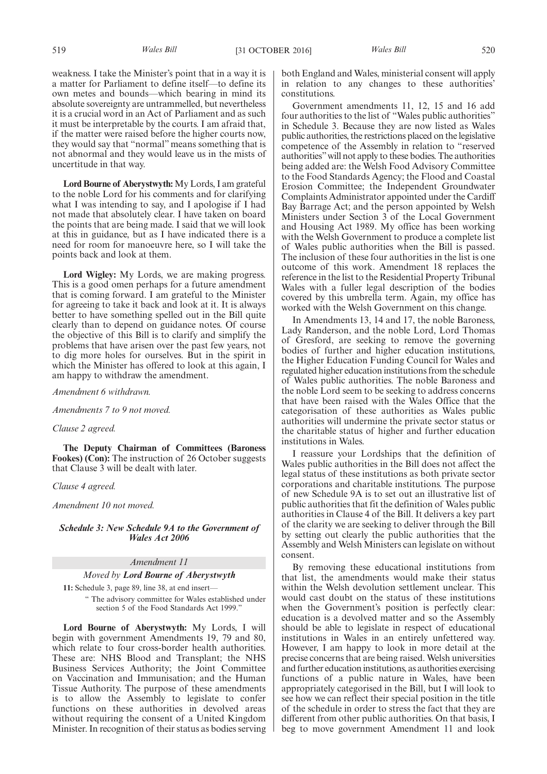weakness. I take the Minister's point that in a way it is a matter for Parliament to define itself—to define its own metes and bounds—which bearing in mind its absolute sovereignty are untrammelled, but nevertheless it is a crucial word in an Act of Parliament and as such it must be interpretable by the courts. I am afraid that, if the matter were raised before the higher courts now, they would say that "normal" means something that is not abnormal and they would leave us in the mists of uncertitude in that way.

**Lord Bourne of Aberystwyth:** My Lords, I am grateful to the noble Lord for his comments and for clarifying what I was intending to say, and I apologise if I had not made that absolutely clear. I have taken on board the points that are being made. I said that we will look at this in guidance, but as I have indicated there is a need for room for manoeuvre here, so I will take the points back and look at them.

**Lord Wigley:** My Lords, we are making progress. This is a good omen perhaps for a future amendment that is coming forward. I am grateful to the Minister for agreeing to take it back and look at it. It is always better to have something spelled out in the Bill quite clearly than to depend on guidance notes. Of course the objective of this Bill is to clarify and simplify the problems that have arisen over the past few years, not to dig more holes for ourselves. But in the spirit in which the Minister has offered to look at this again, I am happy to withdraw the amendment.

*Amendment 6 withdrawn.*

*Amendments 7 to 9 not moved.*

*Clause 2 agreed.*

**The Deputy Chairman of Committees (Baroness Fookes) (Con):** The instruction of 26 October suggests that Clause 3 will be dealt with later.

*Clause 4 agreed.*

*Amendment 10 not moved.*

*Schedule 3: New Schedule 9A to the Government of Wales Act 2006*

*Amendment 11*

*Moved by Lord Bourne of Aberystwyth*

11: Schedule 3, page 89, line 38, at end insert-" The advisory committee for Wales established under section 5 of the Food Standards Act 1999."

**Lord Bourne of Aberystwyth:** My Lords, I will begin with government Amendments 19, 79 and 80, which relate to four cross-border health authorities. These are: NHS Blood and Transplant; the NHS Business Services Authority; the Joint Committee on Vaccination and Immunisation; and the Human Tissue Authority. The purpose of these amendments is to allow the Assembly to legislate to confer functions on these authorities in devolved areas without requiring the consent of a United Kingdom Minister. In recognition of their status as bodies serving both England and Wales, ministerial consent will apply in relation to any changes to these authorities' constitutions.

Government amendments 11, 12, 15 and 16 add four authorities to the list of "Wales public authorities" in Schedule 3. Because they are now listed as Wales public authorities, the restrictions placed on the legislative competence of the Assembly in relation to "reserved authorities"will not apply to these bodies. The authorities being added are: the Welsh Food Advisory Committee to the Food Standards Agency; the Flood and Coastal Erosion Committee; the Independent Groundwater Complaints Administrator appointed under the Cardiff Bay Barrage Act; and the person appointed by Welsh Ministers under Section 3 of the Local Government and Housing Act 1989. My office has been working with the Welsh Government to produce a complete list of Wales public authorities when the Bill is passed. The inclusion of these four authorities in the list is one outcome of this work. Amendment 18 replaces the reference in the list to the Residential Property Tribunal Wales with a fuller legal description of the bodies covered by this umbrella term. Again, my office has worked with the Welsh Government on this change.

In Amendments 13, 14 and 17, the noble Baroness, Lady Randerson, and the noble Lord, Lord Thomas of Gresford, are seeking to remove the governing bodies of further and higher education institutions, the Higher Education Funding Council for Wales and regulated higher education institutions from the schedule of Wales public authorities. The noble Baroness and the noble Lord seem to be seeking to address concerns that have been raised with the Wales Office that the categorisation of these authorities as Wales public authorities will undermine the private sector status or the charitable status of higher and further education institutions in Wales.

I reassure your Lordships that the definition of Wales public authorities in the Bill does not affect the legal status of these institutions as both private sector corporations and charitable institutions. The purpose of new Schedule 9A is to set out an illustrative list of public authorities that fit the definition of Wales public authorities in Clause 4 of the Bill. It delivers a key part of the clarity we are seeking to deliver through the Bill by setting out clearly the public authorities that the Assembly and Welsh Ministers can legislate on without consent.

By removing these educational institutions from that list, the amendments would make their status within the Welsh devolution settlement unclear. This would cast doubt on the status of these institutions when the Government's position is perfectly clear: education is a devolved matter and so the Assembly should be able to legislate in respect of educational institutions in Wales in an entirely unfettered way. However, I am happy to look in more detail at the precise concerns that are being raised. Welsh universities and further education institutions, as authorities exercising functions of a public nature in Wales, have been appropriately categorised in the Bill, but I will look to see how we can reflect their special position in the title of the schedule in order to stress the fact that they are different from other public authorities. On that basis, I beg to move government Amendment 11 and look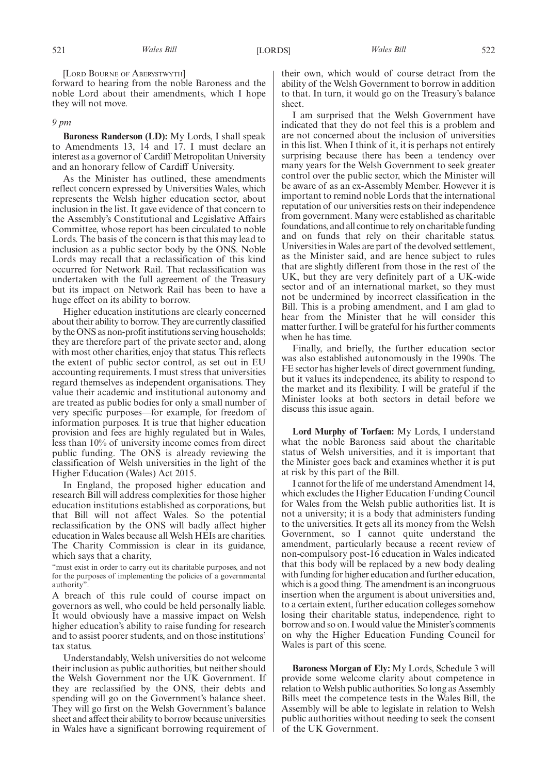[LORD BOURNE OF ABERYSTWYTH]

forward to hearing from the noble Baroness and the noble Lord about their amendments, which I hope they will not move.

#### *9 pm*

**Baroness Randerson (LD):** My Lords, I shall speak to Amendments 13, 14 and 17. I must declare an interest as a governor of Cardiff Metropolitan University and an honorary fellow of Cardiff University.

As the Minister has outlined, these amendments reflect concern expressed by Universities Wales, which represents the Welsh higher education sector, about inclusion in the list. It gave evidence of that concern to the Assembly's Constitutional and Legislative Affairs Committee, whose report has been circulated to noble Lords. The basis of the concern is that this may lead to inclusion as a public sector body by the ONS. Noble Lords may recall that a reclassification of this kind occurred for Network Rail. That reclassification was undertaken with the full agreement of the Treasury but its impact on Network Rail has been to have a huge effect on its ability to borrow.

Higher education institutions are clearly concerned about their ability to borrow. They are currently classified by the ONS as non-profit institutions serving households; they are therefore part of the private sector and, along with most other charities, enjoy that status. This reflects the extent of public sector control, as set out in EU accounting requirements. I must stress that universities regard themselves as independent organisations. They value their academic and institutional autonomy and are treated as public bodies for only a small number of very specific purposes—for example, for freedom of information purposes. It is true that higher education provision and fees are highly regulated but in Wales, less than 10% of university income comes from direct public funding. The ONS is already reviewing the classification of Welsh universities in the light of the Higher Education (Wales) Act 2015.

In England, the proposed higher education and research Bill will address complexities for those higher education institutions established as corporations, but that Bill will not affect Wales. So the potential reclassification by the ONS will badly affect higher education in Wales because all Welsh HEIs are charities. The Charity Commission is clear in its guidance, which says that a charity,

"must exist in order to carry out its charitable purposes, and not for the purposes of implementing the policies of a governmental authority".

A breach of this rule could of course impact on governors as well, who could be held personally liable. It would obviously have a massive impact on Welsh higher education's ability to raise funding for research and to assist poorer students, and on those institutions' tax status.

Understandably, Welsh universities do not welcome their inclusion as public authorities, but neither should the Welsh Government nor the UK Government. If they are reclassified by the ONS, their debts and spending will go on the Government's balance sheet. They will go first on the Welsh Government's balance sheet and affect their ability to borrow because universities in Wales have a significant borrowing requirement of their own, which would of course detract from the ability of the Welsh Government to borrow in addition to that. In turn, it would go on the Treasury's balance sheet.

I am surprised that the Welsh Government have indicated that they do not feel this is a problem and are not concerned about the inclusion of universities in this list. When I think of it, it is perhaps not entirely surprising because there has been a tendency over many years for the Welsh Government to seek greater control over the public sector, which the Minister will be aware of as an ex-Assembly Member. However it is important to remind noble Lords that the international reputation of our universities rests on their independence from government. Many were established as charitable foundations, and all continue to rely on charitable funding and on funds that rely on their charitable status. Universities in Wales are part of the devolved settlement, as the Minister said, and are hence subject to rules that are slightly different from those in the rest of the UK, but they are very definitely part of a UK-wide sector and of an international market, so they must not be undermined by incorrect classification in the Bill. This is a probing amendment, and I am glad to hear from the Minister that he will consider this matter further. I will be grateful for his further comments when he has time.

Finally, and briefly, the further education sector was also established autonomously in the 1990s. The FE sector has higher levels of direct government funding, but it values its independence, its ability to respond to the market and its flexibility. I will be grateful if the Minister looks at both sectors in detail before we discuss this issue again.

**Lord Murphy of Torfaen:** My Lords, I understand what the noble Baroness said about the charitable status of Welsh universities, and it is important that the Minister goes back and examines whether it is put at risk by this part of the Bill.

I cannot for the life of me understand Amendment 14, which excludes the Higher Education Funding Council for Wales from the Welsh public authorities list. It is not a university; it is a body that administers funding to the universities. It gets all its money from the Welsh Government, so I cannot quite understand the amendment, particularly because a recent review of non-compulsory post-16 education in Wales indicated that this body will be replaced by a new body dealing with funding for higher education and further education, which is a good thing. The amendment is an incongruous insertion when the argument is about universities and, to a certain extent, further education colleges somehow losing their charitable status, independence, right to borrow and so on. I would value the Minister's comments on why the Higher Education Funding Council for Wales is part of this scene.

**Baroness Morgan of Ely:** My Lords, Schedule 3 will provide some welcome clarity about competence in relation to Welsh public authorities. So long as Assembly Bills meet the competence tests in the Wales Bill, the Assembly will be able to legislate in relation to Welsh public authorities without needing to seek the consent of the UK Government.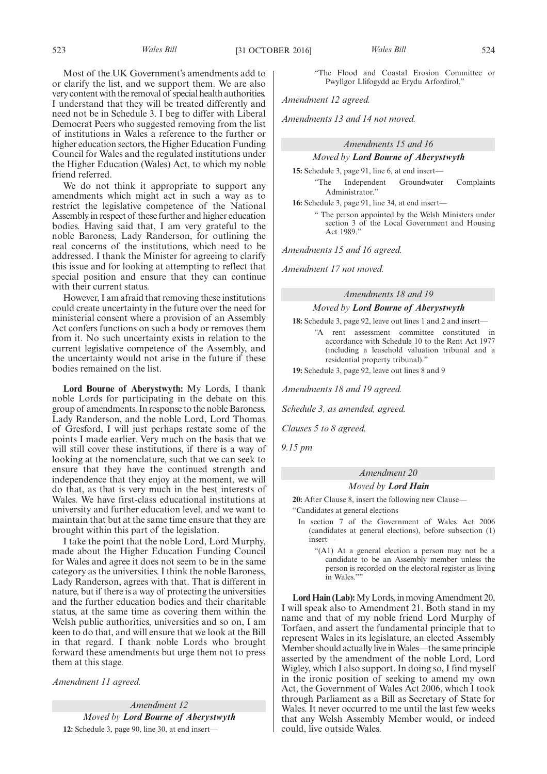Most of the UK Government's amendments add to or clarify the list, and we support them. We are also very content with the removal of special health authorities. I understand that they will be treated differently and need not be in Schedule 3. I beg to differ with Liberal Democrat Peers who suggested removing from the list of institutions in Wales a reference to the further or higher education sectors, the Higher Education Funding

Council for Wales and the regulated institutions under the Higher Education (Wales) Act, to which my noble friend referred. We do not think it appropriate to support any

amendments which might act in such a way as to restrict the legislative competence of the National Assembly in respect of these further and higher education bodies. Having said that, I am very grateful to the noble Baroness, Lady Randerson, for outlining the real concerns of the institutions, which need to be addressed. I thank the Minister for agreeing to clarify this issue and for looking at attempting to reflect that special position and ensure that they can continue with their current status.

However, I am afraid that removing these institutions could create uncertainty in the future over the need for ministerial consent where a provision of an Assembly Act confers functions on such a body or removes them from it. No such uncertainty exists in relation to the current legislative competence of the Assembly, and the uncertainty would not arise in the future if these bodies remained on the list.

**Lord Bourne of Aberystwyth:** My Lords, I thank noble Lords for participating in the debate on this group of amendments. In response to the noble Baroness, Lady Randerson, and the noble Lord, Lord Thomas of Gresford, I will just perhaps restate some of the points I made earlier. Very much on the basis that we will still cover these institutions, if there is a way of looking at the nomenclature, such that we can seek to ensure that they have the continued strength and independence that they enjoy at the moment, we will do that, as that is very much in the best interests of Wales. We have first-class educational institutions at university and further education level, and we want to maintain that but at the same time ensure that they are brought within this part of the legislation.

I take the point that the noble Lord, Lord Murphy, made about the Higher Education Funding Council for Wales and agree it does not seem to be in the same category as the universities. I think the noble Baroness, Lady Randerson, agrees with that. That is different in nature, but if there is a way of protecting the universities and the further education bodies and their charitable status, at the same time as covering them within the Welsh public authorities, universities and so on, I am keen to do that, and will ensure that we look at the Bill in that regard. I thank noble Lords who brought forward these amendments but urge them not to press them at this stage.

*Amendment 11 agreed.*

*Amendment 12 Moved by Lord Bourne of Aberystwyth* **12:** Schedule 3, page 90, line 30, at end insert—

"The Flood and Coastal Erosion Committee or Pwyllgor Llifogydd ac Erydu Arfordirol."

*Amendment 12 agreed.*

*Amendments 13 and 14 not moved.*

## *Amendments 15 and 16*

## *Moved by Lord Bourne of Aberystwyth*

**15:** Schedule 3, page 91, line 6, at end insert—

"The Independent Groundwater Complaints Administrator."

**16:** Schedule 3, page 91, line 34, at end insert—

" The person appointed by the Welsh Ministers under section 3 of the Local Government and Housing Act 1989.

*Amendments 15 and 16 agreed.*

*Amendment 17 not moved.*

#### *Amendments 18 and 19*

## *Moved by Lord Bourne of Aberystwyth*

**18:** Schedule 3, page 92, leave out lines 1 and 2 and insert— "A rent assessment committee constituted in

accordance with Schedule 10 to the Rent Act 1977 (including a leasehold valuation tribunal and a residential property tribunal)."

**19:** Schedule 3, page 92, leave out lines 8 and 9

*Amendments 18 and 19 agreed.*

*Schedule 3, as amended, agreed.*

*Clauses 5 to 8 agreed.*

*9.15 pm*

## *Amendment 20*

## *Moved by Lord Hain*

**20:** After Clause 8, insert the following new Clause— "Candidates at general elections

In section 7 of the Government of Wales Act 2006 (candidates at general elections), before subsection (1) insert—

"(A1) At a general election a person may not be a candidate to be an Assembly member unless the person is recorded on the electoral register as living in Wales."

**Lord Hain (Lab):**My Lords, in moving Amendment 20, I will speak also to Amendment 21. Both stand in my name and that of my noble friend Lord Murphy of Torfaen, and assert the fundamental principle that to represent Wales in its legislature, an elected Assembly Member should actually live in Wales—the same principle asserted by the amendment of the noble Lord, Lord Wigley, which I also support. In doing so, I find myself in the ironic position of seeking to amend my own Act, the Government of Wales Act 2006, which I took through Parliament as a Bill as Secretary of State for Wales. It never occurred to me until the last few weeks that any Welsh Assembly Member would, or indeed could, live outside Wales.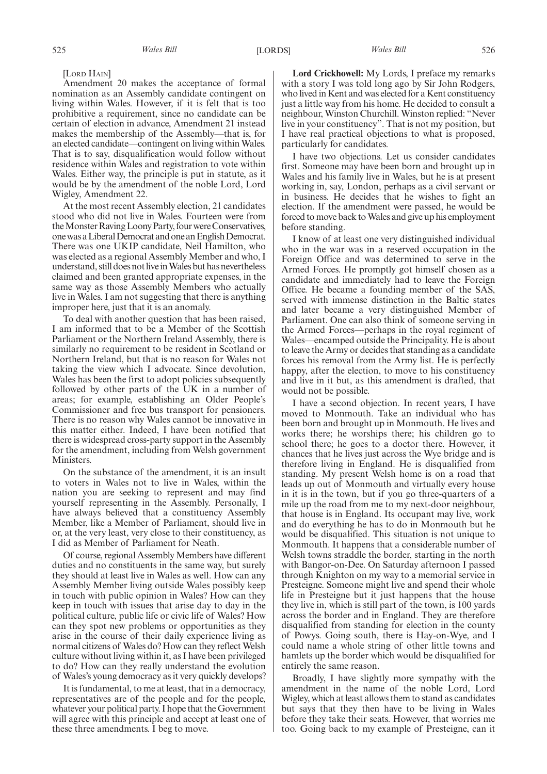[LORD HAIN]

Amendment 20 makes the acceptance of formal nomination as an Assembly candidate contingent on living within Wales. However, if it is felt that is too prohibitive a requirement, since no candidate can be certain of election in advance, Amendment 21 instead makes the membership of the Assembly—that is, for an elected candidate—contingent on living within Wales. That is to say, disqualification would follow without residence within Wales and registration to vote within Wales. Either way, the principle is put in statute, as it would be by the amendment of the noble Lord, Lord Wigley, Amendment 22.

At the most recent Assembly election, 21 candidates stood who did not live in Wales. Fourteen were from the Monster Raving Loony Party, four were Conservatives, onewasaLiberalDemocratandoneanEnglishDemocrat. There was one UKIP candidate, Neil Hamilton, who was elected as a regional Assembly Member and who, I understand, still does not live in Wales but has nevertheless claimed and been granted appropriate expenses, in the same way as those Assembly Members who actually live in Wales. I am not suggesting that there is anything improper here, just that it is an anomaly.

To deal with another question that has been raised, I am informed that to be a Member of the Scottish Parliament or the Northern Ireland Assembly, there is similarly no requirement to be resident in Scotland or Northern Ireland, but that is no reason for Wales not taking the view which I advocate. Since devolution, Wales has been the first to adopt policies subsequently followed by other parts of the UK in a number of areas; for example, establishing an Older People's Commissioner and free bus transport for pensioners. There is no reason why Wales cannot be innovative in this matter either. Indeed, I have been notified that there is widespread cross-party support in the Assembly for the amendment, including from Welsh government Ministers.

On the substance of the amendment, it is an insult to voters in Wales not to live in Wales, within the nation you are seeking to represent and may find yourself representing in the Assembly. Personally, I have always believed that a constituency Assembly Member, like a Member of Parliament, should live in or, at the very least, very close to their constituency, as I did as Member of Parliament for Neath.

Of course, regional Assembly Members have different duties and no constituents in the same way, but surely they should at least live in Wales as well. How can any Assembly Member living outside Wales possibly keep in touch with public opinion in Wales? How can they keep in touch with issues that arise day to day in the political culture, public life or civic life of Wales? How can they spot new problems or opportunities as they arise in the course of their daily experience living as normal citizens of Wales do? How can they reflect Welsh culture without living within it, as I have been privileged to do? How can they really understand the evolution of Wales's young democracy as it very quickly develops?

It is fundamental, to me at least, that in a democracy, representatives are of the people and for the people, whatever your political party. I hope that the Government will agree with this principle and accept at least one of these three amendments. I beg to move.

**Lord Crickhowell:** My Lords, I preface my remarks with a story I was told long ago by Sir John Rodgers, who lived in Kent and was elected for a Kent constituency just a little way from his home. He decided to consult a neighbour, Winston Churchill. Winston replied: "Never live in your constituency". That is not my position, but I have real practical objections to what is proposed, particularly for candidates.

I have two objections. Let us consider candidates first. Someone may have been born and brought up in Wales and his family live in Wales, but he is at present working in, say, London, perhaps as a civil servant or in business. He decides that he wishes to fight an election. If the amendment were passed, he would be forced to move back to Wales and give up his employment before standing.

I know of at least one very distinguished individual who in the war was in a reserved occupation in the Foreign Office and was determined to serve in the Armed Forces. He promptly got himself chosen as a candidate and immediately had to leave the Foreign Office. He became a founding member of the SAS, served with immense distinction in the Baltic states and later became a very distinguished Member of Parliament. One can also think of someone serving in the Armed Forces—perhaps in the royal regiment of Wales—encamped outside the Principality. He is about to leave the Army or decides that standing as a candidate forces his removal from the Army list. He is perfectly happy, after the election, to move to his constituency and live in it but, as this amendment is drafted, that would not be possible.

I have a second objection. In recent years, I have moved to Monmouth. Take an individual who has been born and brought up in Monmouth. He lives and works there; he worships there; his children go to school there; he goes to a doctor there. However, it chances that he lives just across the Wye bridge and is therefore living in England. He is disqualified from standing. My present Welsh home is on a road that leads up out of Monmouth and virtually every house in it is in the town, but if you go three-quarters of a mile up the road from me to my next-door neighbour, that house is in England. Its occupant may live, work and do everything he has to do in Monmouth but he would be disqualified. This situation is not unique to Monmouth. It happens that a considerable number of Welsh towns straddle the border, starting in the north with Bangor-on-Dee. On Saturday afternoon I passed through Knighton on my way to a memorial service in Presteigne. Someone might live and spend their whole life in Presteigne but it just happens that the house they live in, which is still part of the town, is 100 yards across the border and in England. They are therefore disqualified from standing for election in the county of Powys. Going south, there is Hay-on-Wye, and I could name a whole string of other little towns and hamlets up the border which would be disqualified for entirely the same reason.

Broadly, I have slightly more sympathy with the amendment in the name of the noble Lord, Lord Wigley, which at least allows them to stand as candidates but says that they then have to be living in Wales before they take their seats. However, that worries me too. Going back to my example of Presteigne, can it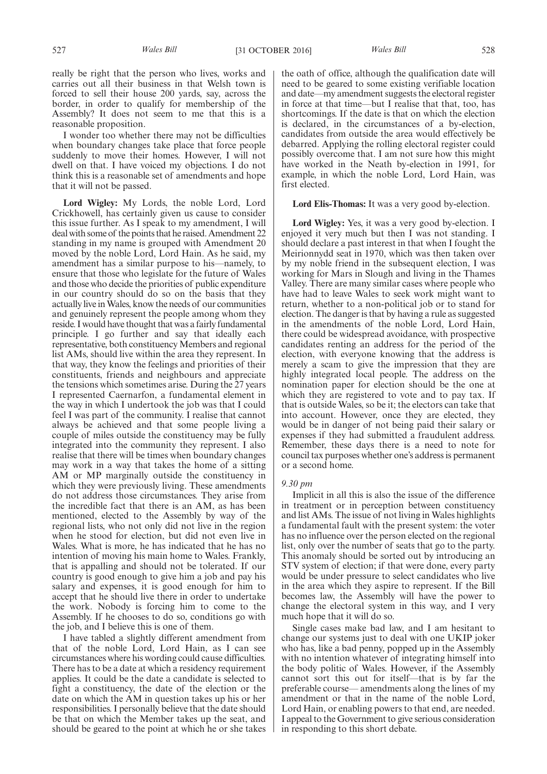really be right that the person who lives, works and carries out all their business in that Welsh town is forced to sell their house 200 yards, say, across the border, in order to qualify for membership of the Assembly? It does not seem to me that this is a reasonable proposition.

I wonder too whether there may not be difficulties when boundary changes take place that force people suddenly to move their homes. However, I will not dwell on that. I have voiced my objections. I do not think this is a reasonable set of amendments and hope that it will not be passed.

**Lord Wigley:** My Lords, the noble Lord, Lord Crickhowell, has certainly given us cause to consider this issue further. As I speak to my amendment, I will deal with some of the points that he raised. Amendment 22 standing in my name is grouped with Amendment 20 moved by the noble Lord, Lord Hain. As he said, my amendment has a similar purpose to his—namely, to ensure that those who legislate for the future of Wales and those who decide the priorities of public expenditure in our country should do so on the basis that they actually live in Wales, know the needs of our communities and genuinely represent the people among whom they reside. I would have thought that was a fairly fundamental principle. I go further and say that ideally each representative, both constituency Members and regional list AMs, should live within the area they represent. In that way, they know the feelings and priorities of their constituents, friends and neighbours and appreciate the tensions which sometimes arise. During the 27 years I represented Caernarfon, a fundamental element in the way in which I undertook the job was that I could feel I was part of the community. I realise that cannot always be achieved and that some people living a couple of miles outside the constituency may be fully integrated into the community they represent. I also realise that there will be times when boundary changes may work in a way that takes the home of a sitting AM or MP marginally outside the constituency in which they were previously living. These amendments do not address those circumstances. They arise from the incredible fact that there is an AM, as has been mentioned, elected to the Assembly by way of the regional lists, who not only did not live in the region when he stood for election, but did not even live in Wales. What is more, he has indicated that he has no intention of moving his main home to Wales. Frankly, that is appalling and should not be tolerated. If our country is good enough to give him a job and pay his salary and expenses, it is good enough for him to accept that he should live there in order to undertake the work. Nobody is forcing him to come to the Assembly. If he chooses to do so, conditions go with the job, and I believe this is one of them.

I have tabled a slightly different amendment from that of the noble Lord, Lord Hain, as I can see circumstances where his wording could cause difficulties. There has to be a date at which a residency requirement applies. It could be the date a candidate is selected to fight a constituency, the date of the election or the date on which the AM in question takes up his or her responsibilities. I personally believe that the date should be that on which the Member takes up the seat, and should be geared to the point at which he or she takes

the oath of office, although the qualification date will need to be geared to some existing verifiable location and date—my amendment suggests the electoral register in force at that time—but I realise that that, too, has shortcomings. If the date is that on which the election is declared, in the circumstances of a by-election, candidates from outside the area would effectively be debarred. Applying the rolling electoral register could possibly overcome that. I am not sure how this might have worked in the Neath by-election in 1991, for example, in which the noble Lord, Lord Hain, was first elected.

#### **Lord Elis-Thomas:** It was a very good by-election.

**Lord Wigley:** Yes, it was a very good by-election. I enjoyed it very much but then I was not standing. I should declare a past interest in that when I fought the Meirionnydd seat in 1970, which was then taken over by my noble friend in the subsequent election, I was working for Mars in Slough and living in the Thames Valley. There are many similar cases where people who have had to leave Wales to seek work might want to return, whether to a non-political job or to stand for election. The danger is that by having a rule as suggested in the amendments of the noble Lord, Lord Hain, there could be widespread avoidance, with prospective candidates renting an address for the period of the election, with everyone knowing that the address is merely a scam to give the impression that they are highly integrated local people. The address on the nomination paper for election should be the one at which they are registered to vote and to pay tax. If that is outside Wales, so be it; the electors can take that into account. However, once they are elected, they would be in danger of not being paid their salary or expenses if they had submitted a fraudulent address. Remember, these days there is a need to note for council tax purposes whether one's address is permanent or a second home.

## *9.30 pm*

Implicit in all this is also the issue of the difference in treatment or in perception between constituency and list AMs. The issue of not living in Wales highlights a fundamental fault with the present system: the voter has no influence over the person elected on the regional list, only over the number of seats that go to the party. This anomaly should be sorted out by introducing an STV system of election; if that were done, every party would be under pressure to select candidates who live in the area which they aspire to represent. If the Bill becomes law, the Assembly will have the power to change the electoral system in this way, and I very much hope that it will do so.

Single cases make bad law, and I am hesitant to change our systems just to deal with one UKIP joker who has, like a bad penny, popped up in the Assembly with no intention whatever of integrating himself into the body politic of Wales. However, if the Assembly cannot sort this out for itself—that is by far the preferable course— amendments along the lines of my amendment or that in the name of the noble Lord, Lord Hain, or enabling powers to that end, are needed. I appeal to the Government to give serious consideration in responding to this short debate.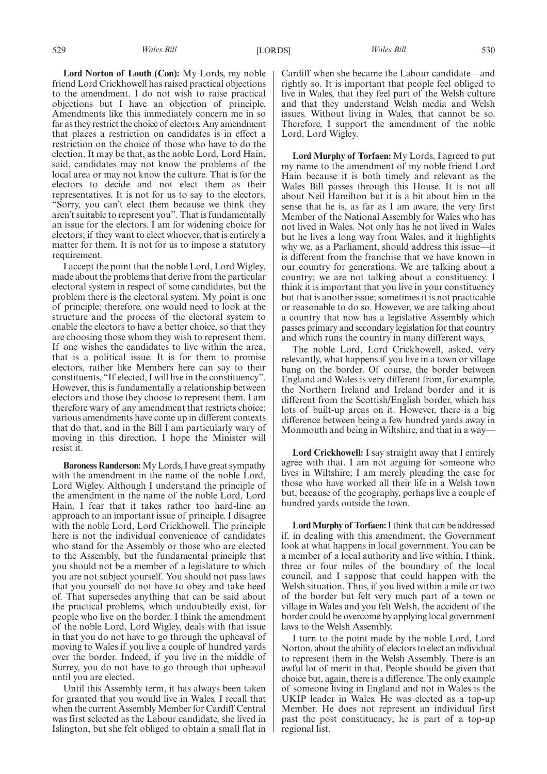**Lord Norton of Louth (Con):** My Lords, my noble friend Lord Crickhowell has raised practical objections to the amendment. I do not wish to raise practical objections but I have an objection of principle. Amendments like this immediately concern me in so far as they restrict the choice of electors. Any amendment that places a restriction on candidates is in effect a restriction on the choice of those who have to do the election. It may be that, as the noble Lord, Lord Hain, said, candidates may not know the problems of the local area or may not know the culture. That is for the electors to decide and not elect them as their representatives. It is not for us to say to the electors, "Sorry, you can't elect them because we think they aren't suitable to represent you". That is fundamentally an issue for the electors. I am for widening choice for electors; if they want to elect whoever, that is entirely a matter for them. It is not for us to impose a statutory requirement.

I accept the point that the noble Lord, Lord Wigley, made about the problems that derive from the particular electoral system in respect of some candidates, but the problem there is the electoral system. My point is one of principle; therefore, one would need to look at the structure and the process of the electoral system to enable the electors to have a better choice, so that they are choosing those whom they wish to represent them. If one wishes the candidates to live within the area, that is a political issue. It is for them to promise electors, rather like Members here can say to their constituents, "If elected, I will live in the constituency". However, this is fundamentally a relationship between electors and those they choose to represent them. I am therefore wary of any amendment that restricts choice; various amendments have come up in different contexts that do that, and in the Bill I am particularly wary of moving in this direction. I hope the Minister will resist it.

**Baroness Randerson:**My Lords, I have great sympathy with the amendment in the name of the noble Lord, Lord Wigley. Although I understand the principle of the amendment in the name of the noble Lord, Lord Hain, I fear that it takes rather too hard-line an approach to an important issue of principle. I disagree with the noble Lord, Lord Crickhowell. The principle here is not the individual convenience of candidates who stand for the Assembly or those who are elected to the Assembly, but the fundamental principle that you should not be a member of a legislature to which you are not subject yourself. You should not pass laws that you yourself do not have to obey and take heed of. That supersedes anything that can be said about the practical problems, which undoubtedly exist, for people who live on the border. I think the amendment of the noble Lord, Lord Wigley, deals with that issue in that you do not have to go through the upheaval of moving to Wales if you live a couple of hundred yards over the border. Indeed, if you live in the middle of Surrey, you do not have to go through that upheaval until you are elected.

Until this Assembly term, it has always been taken for granted that you would live in Wales. I recall that when the current Assembly Member for Cardiff Central was first selected as the Labour candidate, she lived in Islington, but she felt obliged to obtain a small flat in Cardiff when she became the Labour candidate—and rightly so. It is important that people feel obliged to live in Wales, that they feel part of the Welsh culture and that they understand Welsh media and Welsh issues. Without living in Wales, that cannot be so. Therefore, I support the amendment of the noble Lord, Lord Wigley.

**Lord Murphy of Torfaen:** My Lords, I agreed to put my name to the amendment of my noble friend Lord Hain because it is both timely and relevant as the Wales Bill passes through this House. It is not all about Neil Hamilton but it is a bit about him in the sense that he is, as far as I am aware, the very first Member of the National Assembly for Wales who has not lived in Wales. Not only has he not lived in Wales but he lives a long way from Wales, and it highlights why we, as a Parliament, should address this issue—it is different from the franchise that we have known in our country for generations. We are talking about a country; we are not talking about a constituency. I think it is important that you live in your constituency but that is another issue; sometimes it is not practicable or reasonable to do so. However, we are talking about a country that now has a legislative Assembly which passes primary and secondary legislation for that country and which runs the country in many different ways.

The noble Lord, Lord Crickhowell, asked, very relevantly, what happens if you live in a town or village bang on the border. Of course, the border between England and Wales is very different from, for example, the Northern Ireland and Ireland border and it is different from the Scottish/English border, which has lots of built-up areas on it. However, there is a big difference between being a few hundred yards away in Monmouth and being in Wiltshire, and that in a way—

**Lord Crickhowell:** I say straight away that I entirely agree with that. I am not arguing for someone who lives in Wiltshire; I am merely pleading the case for those who have worked all their life in a Welsh town but, because of the geography, perhaps live a couple of hundred yards outside the town.

**Lord Murphy of Torfaen:**I think that can be addressed if, in dealing with this amendment, the Government look at what happens in local government. You can be a member of a local authority and live within, I think, three or four miles of the boundary of the local council, and I suppose that could happen with the Welsh situation. Thus, if you lived within a mile or two of the border but felt very much part of a town or village in Wales and you felt Welsh, the accident of the border could be overcome by applying local government laws to the Welsh Assembly.

I turn to the point made by the noble Lord, Lord Norton, about the ability of electors to elect an individual to represent them in the Welsh Assembly. There is an awful lot of merit in that. People should be given that choice but, again, there is a difference. The only example of someone living in England and not in Wales is the UKIP leader in Wales. He was elected as a top-up Member. He does not represent an individual first past the post constituency; he is part of a top-up regional list.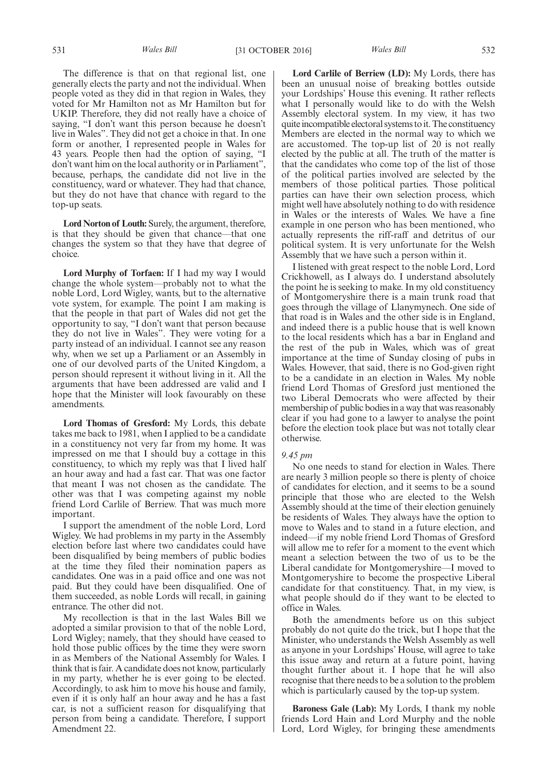The difference is that on that regional list, one generally elects the party and not the individual. When people voted as they did in that region in Wales, they voted for Mr Hamilton not as Mr Hamilton but for UKIP. Therefore, they did not really have a choice of saying, "I don't want this person because he doesn't live in Wales". They did not get a choice in that. In one form or another, I represented people in Wales for 43 years. People then had the option of saying, "I don't want him on the local authority or in Parliament", because, perhaps, the candidate did not live in the constituency, ward or whatever. They had that chance, but they do not have that chance with regard to the top-up seats.

**Lord Norton of Louth:** Surely, the argument, therefore, is that they should be given that chance—that one changes the system so that they have that degree of choice.

**Lord Murphy of Torfaen:** If I had my way I would change the whole system—probably not to what the noble Lord, Lord Wigley, wants, but to the alternative vote system, for example. The point I am making is that the people in that part of Wales did not get the opportunity to say, "I don't want that person because they do not live in Wales". They were voting for a party instead of an individual. I cannot see any reason why, when we set up a Parliament or an Assembly in one of our devolved parts of the United Kingdom, a person should represent it without living in it. All the arguments that have been addressed are valid and I hope that the Minister will look favourably on these amendments.

**Lord Thomas of Gresford:** My Lords, this debate takes me back to 1981, when I applied to be a candidate in a constituency not very far from my home. It was impressed on me that I should buy a cottage in this constituency, to which my reply was that I lived half an hour away and had a fast car. That was one factor that meant I was not chosen as the candidate. The other was that I was competing against my noble friend Lord Carlile of Berriew. That was much more important.

I support the amendment of the noble Lord, Lord Wigley. We had problems in my party in the Assembly election before last where two candidates could have been disqualified by being members of public bodies at the time they filed their nomination papers as candidates. One was in a paid office and one was not paid. But they could have been disqualified. One of them succeeded, as noble Lords will recall, in gaining entrance. The other did not.

My recollection is that in the last Wales Bill we adopted a similar provision to that of the noble Lord, Lord Wigley; namely, that they should have ceased to hold those public offices by the time they were sworn in as Members of the National Assembly for Wales. I think that is fair. A candidate does not know, particularly in my party, whether he is ever going to be elected. Accordingly, to ask him to move his house and family, even if it is only half an hour away and he has a fast car, is not a sufficient reason for disqualifying that person from being a candidate. Therefore, I support Amendment 22.

**Lord Carlile of Berriew (LD):** My Lords, there has been an unusual noise of breaking bottles outside your Lordships' House this evening. It rather reflects what I personally would like to do with the Welsh Assembly electoral system. In my view, it has two quite incompatible electoral systems to it. The constituency Members are elected in the normal way to which we are accustomed. The top-up list of 20 is not really elected by the public at all. The truth of the matter is that the candidates who come top of the list of those of the political parties involved are selected by the members of those political parties. Those political parties can have their own selection process, which might well have absolutely nothing to do with residence in Wales or the interests of Wales. We have a fine example in one person who has been mentioned, who actually represents the riff-raff and detritus of our political system. It is very unfortunate for the Welsh Assembly that we have such a person within it.

I listened with great respect to the noble Lord, Lord Crickhowell, as I always do. I understand absolutely the point he is seeking to make. In my old constituency of Montgomeryshire there is a main trunk road that goes through the village of Llanymynech. One side of that road is in Wales and the other side is in England, and indeed there is a public house that is well known to the local residents which has a bar in England and the rest of the pub in Wales, which was of great importance at the time of Sunday closing of pubs in Wales. However, that said, there is no God-given right to be a candidate in an election in Wales. My noble friend Lord Thomas of Gresford just mentioned the two Liberal Democrats who were affected by their membership of public bodies in a way that was reasonably clear if you had gone to a lawyer to analyse the point before the election took place but was not totally clear otherwise.

#### *9.45 pm*

No one needs to stand for election in Wales. There are nearly 3 million people so there is plenty of choice of candidates for election, and it seems to be a sound principle that those who are elected to the Welsh Assembly should at the time of their election genuinely be residents of Wales. They always have the option to move to Wales and to stand in a future election, and indeed—if my noble friend Lord Thomas of Gresford will allow me to refer for a moment to the event which meant a selection between the two of us to be the Liberal candidate for Montgomeryshire—I moved to Montgomeryshire to become the prospective Liberal candidate for that constituency. That, in my view, is what people should do if they want to be elected to office in Wales.

Both the amendments before us on this subject probably do not quite do the trick, but I hope that the Minister, who understands the Welsh Assembly as well as anyone in your Lordships' House, will agree to take this issue away and return at a future point, having thought further about it. I hope that he will also recognise that there needs to be a solution to the problem which is particularly caused by the top-up system.

**Baroness Gale (Lab):** My Lords, I thank my noble friends Lord Hain and Lord Murphy and the noble Lord, Lord Wigley, for bringing these amendments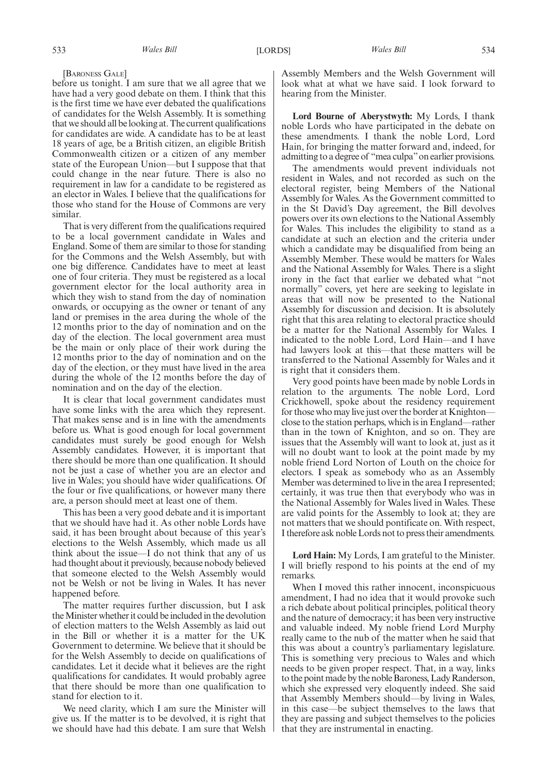#### [BARONESS GALE]

before us tonight. I am sure that we all agree that we have had a very good debate on them. I think that this is the first time we have ever debated the qualifications of candidates for the Welsh Assembly. It is something that we should all be looking at. The current qualifications for candidates are wide. A candidate has to be at least 18 years of age, be a British citizen, an eligible British Commonwealth citizen or a citizen of any member state of the European Union—but I suppose that that could change in the near future. There is also no requirement in law for a candidate to be registered as an elector in Wales. I believe that the qualifications for those who stand for the House of Commons are very similar.

That is very different from the qualifications required to be a local government candidate in Wales and England. Some of them are similar to those for standing for the Commons and the Welsh Assembly, but with one big difference. Candidates have to meet at least one of four criteria. They must be registered as a local government elector for the local authority area in which they wish to stand from the day of nomination onwards, or occupying as the owner or tenant of any land or premises in the area during the whole of the 12 months prior to the day of nomination and on the day of the election. The local government area must be the main or only place of their work during the 12 months prior to the day of nomination and on the day of the election, or they must have lived in the area during the whole of the 12 months before the day of nomination and on the day of the election.

It is clear that local government candidates must have some links with the area which they represent. That makes sense and is in line with the amendments before us. What is good enough for local government candidates must surely be good enough for Welsh Assembly candidates. However, it is important that there should be more than one qualification. It should not be just a case of whether you are an elector and live in Wales; you should have wider qualifications. Of the four or five qualifications, or however many there are, a person should meet at least one of them.

This has been a very good debate and it is important that we should have had it. As other noble Lords have said, it has been brought about because of this year's elections to the Welsh Assembly, which made us all think about the issue—I do not think that any of us had thought about it previously, because nobody believed that someone elected to the Welsh Assembly would not be Welsh or not be living in Wales. It has never happened before.

The matter requires further discussion, but I ask the Minister whether it could be included in the devolution of election matters to the Welsh Assembly as laid out in the Bill or whether it is a matter for the UK Government to determine. We believe that it should be for the Welsh Assembly to decide on qualifications of candidates. Let it decide what it believes are the right qualifications for candidates. It would probably agree that there should be more than one qualification to stand for election to it.

We need clarity, which I am sure the Minister will give us. If the matter is to be devolved, it is right that we should have had this debate. I am sure that Welsh Assembly Members and the Welsh Government will look what at what we have said. I look forward to hearing from the Minister.

**Lord Bourne of Aberystwyth:** My Lords, I thank noble Lords who have participated in the debate on these amendments. I thank the noble Lord, Lord Hain, for bringing the matter forward and, indeed, for admitting to a degree of "mea culpa"on earlier provisions.

The amendments would prevent individuals not resident in Wales, and not recorded as such on the electoral register, being Members of the National Assembly for Wales. As the Government committed to in the St David's Day agreement, the Bill devolves powers over its own elections to the National Assembly for Wales. This includes the eligibility to stand as a candidate at such an election and the criteria under which a candidate may be disqualified from being an Assembly Member. These would be matters for Wales and the National Assembly for Wales. There is a slight irony in the fact that earlier we debated what "not normally" covers, yet here are seeking to legislate in areas that will now be presented to the National Assembly for discussion and decision. It is absolutely right that this area relating to electoral practice should be a matter for the National Assembly for Wales. I indicated to the noble Lord, Lord Hain—and I have had lawyers look at this—that these matters will be transferred to the National Assembly for Wales and it is right that it considers them.

Very good points have been made by noble Lords in relation to the arguments. The noble Lord, Lord Crickhowell, spoke about the residency requirement for those who may live just over the border at Knighton close to the station perhaps, which is in England—rather than in the town of Knighton, and so on. They are issues that the Assembly will want to look at, just as it will no doubt want to look at the point made by my noble friend Lord Norton of Louth on the choice for electors. I speak as somebody who as an Assembly Member was determined to live in the area I represented; certainly, it was true then that everybody who was in the National Assembly for Wales lived in Wales. These are valid points for the Assembly to look at; they are not matters that we should pontificate on. With respect, I therefore ask noble Lords not to press their amendments.

**Lord Hain:** My Lords, I am grateful to the Minister. I will briefly respond to his points at the end of my remarks.

When I moved this rather innocent, inconspicuous amendment, I had no idea that it would provoke such a rich debate about political principles, political theory and the nature of democracy; it has been very instructive and valuable indeed. My noble friend Lord Murphy really came to the nub of the matter when he said that this was about a country's parliamentary legislature. This is something very precious to Wales and which needs to be given proper respect. That, in a way, links to the point made by the noble Baroness, Lady Randerson, which she expressed very eloquently indeed. She said that Assembly Members should—by living in Wales, in this case—be subject themselves to the laws that they are passing and subject themselves to the policies that they are instrumental in enacting.